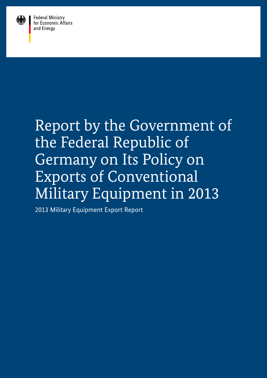

**Federal Ministry** for Economic Affairs and Energy

# Report by the Government of the Federal Republic of Germany on Its Policy on Exports of Conventional Military Equipment in 2013

2013 Military Equipment Export Report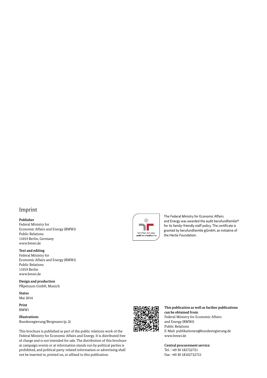# Imprint

#### **Publisher**

Federal Ministry for Economic Affairs and Energy (BMWi) Public Relations 11019 Berlin, Germany www.bmwi.de

#### **Text and editing**

Federal Ministry for Economic Affairs and Energy (BMWi) Public Relations 11019 Berlin www.bmwi.de

**Design and production** PRpetuum GmbH, Munich

**Status** Mai 2014

**Print** BMWi

**Illustrations** Bundesregierung/Bergmann (p. 2)

This brochure is published as part of the public relations work of the Federal Ministry for Economic Affairs and Energy. It is distributed free of charge and is not intended for sale. The distribution of this brochure at campaign events or at information stands run by political parties is prohibited, and political party-related information or advertising shall not be inserted in, printed on, or affixed to this publication.



The Federal Ministry for Economic Affairs and Energy was awarded the audit berufundfamilie® for its family-friendly staff policy. The certificate is granted by berufundfamilie gGmbH, an initiative of the Hertie Foundation.



**This publication as well as further publications can be obtained from:** Federal Ministry for Economic Affairs and Energy (BMWi) Public Relations E-Mail: publikationen@bundesregierung.de www.bmwi.de

**Central procurement service:**  $Tel \cdot + 4930182722721$ Fax: +49 30 18102722721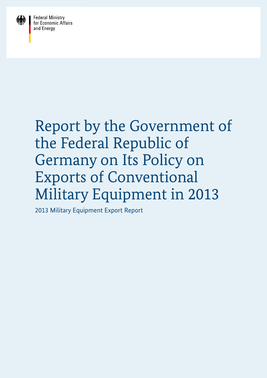

**Federal Ministry<br>for Economic Affairs** and Energy

# Report by the Government of the Federal Republic of Germany on Its Policy on Exports of Conventional Military Equipment in 2013

2013 Military Equipment Export Report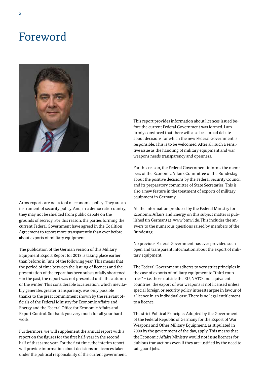# Foreword



Arms exports are not a tool of economic policy. They are an instrument of security policy. And, in a democratic country, they may not be shielded from public debate on the grounds of secrecy. For this reason, the parties forming the current Federal Government have agreed in the Coalition Agreement to report more transparently than ever before about exports of military equipment.

The publication of the German version of this Military Equipment Export Report for 2013 is taking place earlier than before: in June of the following year. This means that the period of time between the issuing of licences and the presentation of the report has been substantially shortened - in the past, the report was not presented until the autumn or the winter. This considerable acceleration, which inevitably generates greater transparency, was only possible thanks to the great commitment shown by the relevant officials of the Federal Ministry for Economic Affairs and Energy and the Federal Office for Economic Affairs and Export Control. So thank you very much for all your hard work!

Furthermore, we will supplement the annual report with a report on the figures for the first half-year in the second half of that same year. For the first time, the interim report will provide information about decisions on licences taken under the political responsibility of the current government. This report provides information about licences issued before the current Federal Government was formed. I am firmly convinced that there will also be a broad debate about decisions for which the new Federal Government is responsible. This is to be welcomed. After all, such a sensitive issue as the handling of military equipment and war weapons needs transparency and openness.

For this reason, the Federal Government informs the members of the Economic Affairs Committee of the Bundestag about the positive decisions by the Federal Security Council and its preparatory committee of State Secretaries. This is also a new feature in the treatment of exports of military equipment in Germany.

All the information produced by the Federal Ministry for Economic Affairs and Energy on this subject matter is published (in German) at www.bmwi.de. This includes the answers to the numerous questions raised by members of the Bundestag.

No previous Federal Government has ever provided such open and transparent information about the export of military equipment.

The Federal Government adheres to very strict principles in the case of exports of military equipment to "third countries" – i.e. those outside the EU, NATO and equivalent countries: the export of war weapons is not licensed unless special foreign or security policy interests argue in favour of a licence in an individual case. There is no legal entitlement to a licence.

The strict Political Principles Adopted by the Government of the Federal Republic of Germany for the Export of War Weapons and Other Military Equipment, as stipulated in 2000 by the government of the day, apply. This means that the Economic Affairs Ministry would not issue licences for dubious transactions even if they are justified by the need to safeguard jobs.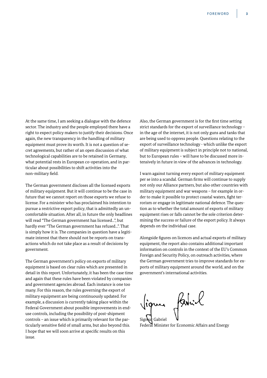At the same time, I am seeking a dialogue with the defence sector. The industry and the people employed there have a right to expect policy makers to justify their decisions. Once again, the new transparency in the handling of military equipment must prove its worth. It is not a question of secret agreements, but rather of an open discussion of what technological capabilities are to be retained in Germany, what potential rests in European co-operation, and in particular about possibilities to shift activities into the non-military field.

The German government discloses all the licensed exports of military equipment. But it will continue to be the case in future that we cannot report on those exports we refuse to license. For a minister who has proclaimed his intention to pursue a restrictive export policy, that is admittedly an uncomfortable situation. After all, in future the only headlines will read "The German government has licensed...", but hardly ever "The German government has refused...". That is simply how it is. The companies in question have a legitimate interest that there should not be reports on transactions which do not take place as a result of decisions by government.

The German government's policy on exports of military equipment is based on clear rules which are presented in detail in this report. Unfortunately, it has been the case time and again that these rules have been violated by companies and government agencies abroad. Each instance is one too many. For this reason, the rules governing the export of military equipment are being continuously updated. For example, a discussion is currently taking place within the Federal Government about possible improvements in enduse controls, including the possibility of post-shipment controls – an issue which is primarily relevant for the particularly sensitive field of small arms, but also beyond this. I hope that we will soon arrive at specific results on this issue.

Also, the German government is for the first time setting strict standards for the export of surveillance technology – in the age of the internet, it is not only guns and tanks that are being used to oppress people. Questions relating to the export of surveillance technology - which unlike the export of military equipment is subject in principle not to national, but to European rules – will have to be discussed more intensively in future in view of the advances in technology.

I warn against turning every export of military equipment per se into a scandal. German firms will continue to supply not only our Alliance partners, but also other countries with military equipment and war weapons – for example in order to make it possible to protect coastal waters, fight terrorism or engage in legitimate national defence. The question as to whether the total amount of exports of military equipment rises or falls cannot be the sole criterion determining the success or failure of the export policy. It always depends on the individual case.

Alongside figures on licences and actual exports of military equipment, the report also contains additional important information on controls in the context of the EU's Common Foreign and Security Policy, on outreach activities, where the German government tries to improve standards for exports of military equipment around the world, and on the government's international activities.

favril Sigmat Gabriel

Federal Minister for Economic Affairs and Energy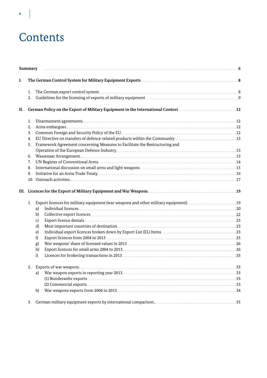# Contents

|     | Summary      |                                                                                                                                                                                                                                                |     |
|-----|--------------|------------------------------------------------------------------------------------------------------------------------------------------------------------------------------------------------------------------------------------------------|-----|
| I.  |              |                                                                                                                                                                                                                                                |     |
|     | 1.           |                                                                                                                                                                                                                                                |     |
|     | 2.           |                                                                                                                                                                                                                                                |     |
| II. |              | German Policy on the Export of Military Equipment in the International Context <b>Export of Alixary Equipment</b> in the International Context <b>Export of Alixary Equipment</b> in the International Context <b>Export of Alixary Equipm</b> |     |
|     | 1.           |                                                                                                                                                                                                                                                |     |
|     | 2.           |                                                                                                                                                                                                                                                |     |
|     | 3.           | Common Foreign and Security Policy of the EU. <b>EXECUDE:</b> 12                                                                                                                                                                               |     |
|     | 4.           |                                                                                                                                                                                                                                                |     |
|     | 5.           | Framework Agreement concerning Measures to Facilitate the Restructuring and                                                                                                                                                                    |     |
|     |              |                                                                                                                                                                                                                                                |     |
|     | 6.           |                                                                                                                                                                                                                                                |     |
|     | 7.           | UN Register of Conventional Arms.                                                                                                                                                                                                              |     |
|     | 8.           |                                                                                                                                                                                                                                                |     |
|     | 9.           |                                                                                                                                                                                                                                                |     |
|     | 10.          |                                                                                                                                                                                                                                                |     |
|     |              |                                                                                                                                                                                                                                                |     |
|     | 1.           |                                                                                                                                                                                                                                                |     |
|     | a)           |                                                                                                                                                                                                                                                |     |
|     | b)           |                                                                                                                                                                                                                                                |     |
|     | c)           |                                                                                                                                                                                                                                                | .23 |
|     | $\mathbf{d}$ |                                                                                                                                                                                                                                                |     |
|     | e)           |                                                                                                                                                                                                                                                |     |
|     | f)           |                                                                                                                                                                                                                                                |     |
|     | g)           |                                                                                                                                                                                                                                                |     |
|     | h)           |                                                                                                                                                                                                                                                |     |
|     | i)           |                                                                                                                                                                                                                                                |     |
|     |              | Exports of war weapons.                                                                                                                                                                                                                        | 33  |
|     | a)           | War weapon exports in reporting year 2013.                                                                                                                                                                                                     |     |
|     |              |                                                                                                                                                                                                                                                |     |
|     |              | (2) Commercial exports 233                                                                                                                                                                                                                     |     |
|     | b)           |                                                                                                                                                                                                                                                |     |
|     |              |                                                                                                                                                                                                                                                |     |
|     | 3.           |                                                                                                                                                                                                                                                |     |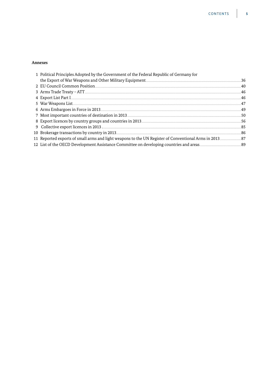# Annexes

| 1 Political Principles Adopted by the Government of the Federal Republic of Germany for                          |     |
|------------------------------------------------------------------------------------------------------------------|-----|
| the Export of War Weapons and Other Military Equipment                                                           | -36 |
| 2 EU Council Common Position                                                                                     | 40  |
|                                                                                                                  | -46 |
| 4 Export List Part I                                                                                             | 46  |
| 5 War Weapons List                                                                                               | 47  |
| 6 Arms Embargoes in Force in 2013                                                                                | 49  |
| 7 Most important countries of destination in 2013                                                                | .50 |
| 8 Export licences by country groups and countries in 2013                                                        | -56 |
|                                                                                                                  | .85 |
|                                                                                                                  | 86  |
| 87. [87] Reported exports of small arms and light weapons to the UN Register of Conventional Arms in 2013        |     |
| 12 List of the OECD Development Assistance Committee on developing countries and areas. ______________________89 |     |
|                                                                                                                  |     |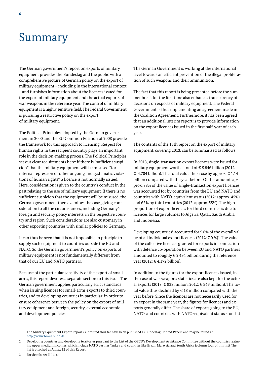# Summary

The German government's report on exports of military equipment provides the Bundestag and the public with a comprehensive picture of German policy on the export of military equipment – including in the international context – and furnishes information about the licences issued for the export of military equipment and the actual exports of war weapons in the reference year. The control of military equipment is a highly sensitive field. The Federal Government is pursuing a restrictive policy on the export of military equipment.

The Political Principles adopted by the German government in 2000 and the EU Common Position of 2008 provide the framework for this approach to licensing. Respect for human rights in the recipient country plays an important role in the decision-making process. The Political Principles set out clear requirements here: if there is "sufficient suspicion" that the military equipment will be misused "for internal repression or other ongoing and systematic violations of human rights", a licence is not normally issued. Here, consideration is given to the country's conduct in the past relating to the use of military equipment. If there is no sufficient suspicion that the equipment will be misused, the German government then examines the case, giving consideration to all the circumstances, including Germany's foreign and security policy interests, in the respective country and region. Such considerations are also customary in other exporting countries with similar policies to Germany.

It can thus be seen that it is not impossible in principle to supply such equipment to countries outside the EU and NATO. So the German government's policy on exports of military equipment is not fundamentally different from that of our EU and NATO partners.

Because of the particular sensitivity of the export of small arms, this report devotes a separate section to this issue. The German government applies particularly strict standards when issuing licences for small-arms exports to third countries, and to developing countries in particular, in order to ensure coherence between the policy on the export of military equipment and foreign, security, external economic and development policies.

The German Government is working at the international level towards an efficient prevention of the illegal proliferation of such weapons and their ammunition.

The fact that this report is being presented before the summer break for the first time also enhances transparency of decisions on exports of military equipment. The Federal Government is thus implementing an agreement made in the Coalition Agreement. Furthermore, it has been agreed that an additional interim report is to provide information on the export licences issued in the first half-year of each year.

The contents of the 15th report on the export of military equipment, covering 2013, can be summarised as follows<sup>1</sup>:

In 2013, single-transaction export licences were issued for military equipment worth a total of  $\epsilon$  5.846 billion (2012: € 4.704 billion). The total value thus rose by approx.  $€ 1.14$ billion compared with the year before. Of this amount, approx. 38% of the value of single-transaction export licences was accounted for by countries from the EU and NATO and countries with NATO-equivalent status (2012: approx. 45%), and 62% by third countries (2012: approx. 55%). The high proportion of export licences for third countries is due to licences for large volumes to Algeria, Qatar, Saudi Arabia and Indonesia.

Developing countries<sup>2</sup> accounted for 9.6% of the overall value of all individual export licences (2012: 7.0 %)<sup>3</sup>. The value of the collective licences granted for exports in connection with defence co-operation between EU and NATO partners amounted to roughly € 2.494 billion during the reference year (2012: € 4.172 billion).

In addition to the figures for the export licences issued, in the case of war weapons statistics are also kept for the actual exports (2013: € 933 million, 2012: € 946 million). The total value thus declined by  $\epsilon$  13 million compared with the year before. Since the licences are not necessarily used for an export in the same year, the figures for licences and exports generally differ. The share of exports going to the EU, NATO, and countries with NATO-equivalent status stood at

1 The Military Equipment Export Reports submitted thus far have been published as Bundestag Printed Papers and may be found at http://www.bmwi.bund.de.

<sup>2</sup> Developing countries and developing territories pursuant to the List of the OECD's Development Assistance Committee without the countries featuring upper medium incomes, which include NATO partner Turkey and countries like Brazil, Malaysia and South Africa (column four of this list). The list is attached as Annex 12 of this Report.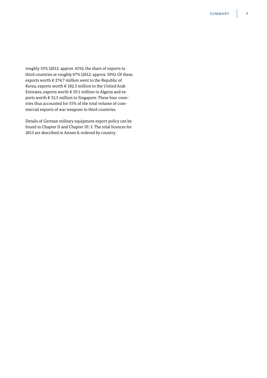roughly 33% (2012: approx. 41%), the share of exports to third countries at roughly 67% (2012: approx. 59%). Of these, exports worth  $\epsilon$  274.7 million went to the Republic of Korea, exports worth  $\epsilon$  102.3 million to the United Arab Emirates, exports worth  $\epsilon$  59.1 million to Algeria and exports worth € 52.5 million to Singapore. These four countries thus accounted for 55% of the total volume of commercial exports of war weapons to third countries.

Details of German military equipment export policy can be found in Chapter II and Chapter III. 3. The total licences for 2013 are described in Annex 8, ordered by country.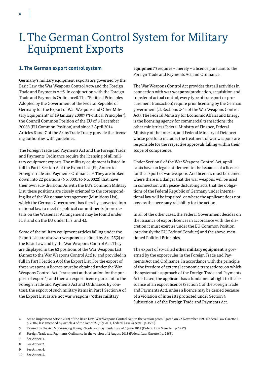# I. The German Control System for Military Equipment Exports

# **1. The German export control system**

Germany's military equipment exports are governed by the Basic Law, the War Weapons Control Act4 and the Foreign Trade and Payments Act5 in conjunction with the Foreign Trade and Payments Ordinance6. The "Political Principles Adopted by the Government of the Federal Republic of Germany for the Export of War Weapons and Other Military Equipment" of 19 January 20007 ("Political Principles"), the Council Common Position of the EU of 8 December 20088 (EU Common Position) and since 2 April 2014 Articles 6 and 7 of the Arms Trade Treaty provide the licensing authorities with guidelines.

The Foreign Trade and Payments Act and the Foreign Trade and Payments Ordinance require the licensing of **all** military equipment exports. The military equipment is listed in full in Part I Section A of the Export List (EL, Annex to Foreign Trade and Payments Ordinance)9. They are broken down into 22 positions (No. 0001 to No. 0022) that have their own sub-divisions. As with the EU's Common Military List, these positions are closely oriented to the corresponding list of the Wassenaar Arrangement (Munitions List), which the German Government has thereby converted into national law to meet its political commitments (more details on the Wassenaar Arrangement may be found under II. 6. and on the EU under II. 3. and 4.).

Some of the military equipment articles falling under the Export List are also **war weapons** as defined by Art. 26(2) of the Basic Law and by the War Weapons Control Act. They are displayed in the 62 positions of the War Weapons List (Annex to the War Weapons Control Act)10 and provided in full in Part I Section A of the Export List. For the export of these weapons, a licence must be obtained under the War Weapons Control Act ("transport authorisation for the purpose of export"), and then an export licence pursuant to the Foreign Trade and Payments Act and Ordinance. By contrast, the export of such military items in Part I Section A of the Export List as are not war weapons ("**other military** 

**equipment**") requires – merely – a licence pursuant to the Foreign Trade and Payments Act and Ordinance.

The War Weapons Control Act provides that all activities in connection with **war weapons** (production, acquisition and transfer of actual control, every type of transport or procurement transaction) require prior licensing by the German government (cf. Sections 2-4a of the War Weapons Control Act). The Federal Ministry for Economic Affairs and Energy is the licensing agency for commercial transactions; the other ministries (Federal Ministry of Finance, Federal Ministry of the Interior, and Federal Ministry of Defence) whose portfolio includes the treatment of war weapons are responsible for the respective approvals falling within their scope of competence.

Under Section 6 of the War Weapons Control Act, applicants have no legal entitlement to the issuance of a licence for the export of war weapons. And licences must be denied where there is a danger that the war weapons will be used in connection with peace-disturbing acts, that the obligations of the Federal Republic of Germany under international law will be impaired, or where the applicant does not possess the necessary reliability for the action.

In all of the other cases, the Federal Government decides on the issuance of export licences in accordance with the discretion it must exercise under the EU Common Position (previously the EU Code of Conduct) and the above-mentioned Political Principles.

The export of so-called **other military equipment** is governed by the export rules in the Foreign Trade and Payments Act and Ordinance. In accordance with the principle of the freedom of external economic transactions, on which the systematic approach of the Foreign Trade and Payments Act is based, the applicant has a fundamental right to the issuance of an export licence (Section 1 of the Foreign Trade and Payments Act), unless a licence may be denied because of a violation of interests protected under Section 4 Subsection 1 of the Foreign Trade and Payments Act.

- 7 See Annex 1.
- 8 See Annex 2.
- 9 See Annex 4.
- 10 See Annex 5.

<sup>4</sup> Act to implement Article 26(2) of the Basic Law (War Weapons Control Act) in the version promulgated on 22 November 1990 (Federal Law Gazette I, p. 2506), last amended by Article 4 of the Act of 27 July 2011, Federal Law Gazette I p. 1595).

<sup>5</sup> Revised by the Act Modernising Foreign Trade and Payments Law of 6 June 2013 (Federal Law Gazette I. p. 1482).

<sup>6</sup> Foreign Trade and Payments Ordinance in the version of 2 August 2013 (Federal Law Gazette I p. 2865).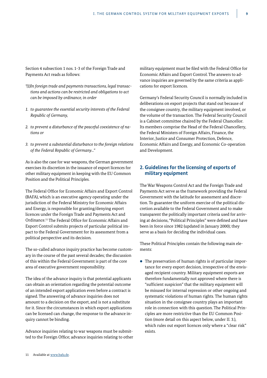Section 4 subsection 1 nos. 1-3 of the Foreign Trade and Payments Act reads as follows:

- *"(1) In foreign trade and payments transactions, legal transactions and actions can be restricted and obligations to act can be imposed by ordinance, in order*
- *1. to guarantee the essential security interests of the Federal Republic of Germany,*
- *2. to prevent a disturbance of the peaceful coexistence of nations or*
- *3. to prevent a substantial disturbance to the foreign relations of the Federal Republic of Germany..."*

As is also the case for war weapons, the German government exercises its discretion in the issuance of export licences for other military equipment in keeping with the EU Common Position and the Political Principles.

The Federal Office for Economic Affairs and Export Control (BAFA), which is an executive agency operating under the jurisdiction of the Federal Ministry for Economic Affairs and Energy, is responsible for granting/denying export licences under the Foreign Trade and Payments Act and Ordinance.11 The Federal Office for Economic Affairs and Export Control submits projects of particular political impact to the Federal Government for its assessment from a political perspective and its decision.

The so-called advance inquiry practice has become customary in the course of the past several decades; the discussion of this within the Federal Government is part of the core area of executive government responsibility.

The idea of the advance inquiry is that potential applicants can obtain an orientation regarding the potential outcome of an intended export application even before a contract is signed. The answering of advance inquiries does not amount to a decision on the export, and is not a substitute for it. Since the circumstances in which export applications can be licensed can change, the response to the advance inquiry cannot be binding.

Advance inquiries relating to war weapons must be submitted to the Foreign Office; advance inquiries relating to other military equipment must be filed with the Federal Office for Economic Affairs and Export Control. The answers to advance inquiries are governed by the same criteria as applications for export licences.

Germany's Federal Security Council is normally included in deliberations on export projects that stand out because of the consignee country, the military equipment involved, or the volume of the transaction. The Federal Security Council is a Cabinet committee chaired by the Federal Chancellor. Its members comprise the Head of the Federal Chancellery, the Federal Ministers of Foreign Affairs, Finance, the Interior, Justice and Consumer Protection, Defence, Economic Affairs and Energy, and Economic Co-operation and Development.

### **2. Guidelines for the licensing of exports of military equipment**

The War Weapons Control Act and the Foreign Trade and Payments Act serve as the framework providing the Federal Government with the latitude for assessment and discretion. To guarantee the uniform exercise of the political discretion available to the Federal Government and to make transparent the politically important criteria used for arriving at decisions, "Political Principles" were defined and have been in force since 1982 (updated in January 2000); they serve as a basis for deciding the individual cases.

These Political Principles contain the following main elements:

 $\bullet$  The preservation of human rights is of particular importance for every export decision, irrespective of the envisaged recipient country. Military equipment exports are therefore fundamentally not approved where there is "sufficient suspicion" that the military equipment will be misused for internal repression or other ongoing and systematic violations of human rights. The human rights situation in the consignee country plays an important role in connection with this question. The Political Principles are more restrictive than the EU Common Position (more detail on this aspect below, under II. 3.), which rules out export licences only where a "clear risk" exists.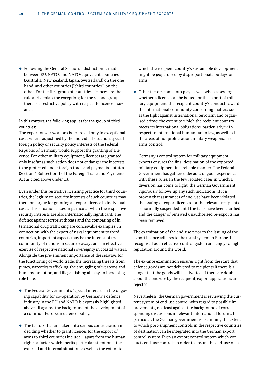• Following the General Section, a distinction is made between EU, NATO, and NATO-equivalent countries (Australia, New Zealand, Japan, Switzerland) on the one hand, and other countries ("third countries") on the other. For the first group of countries, licences are the rule and denials the exception; for the second group, there is a restrictive policy with respect to licence issuance.

In this context, the following applies for the group of third countries:

The export of war weapons is approved only in exceptional cases where, as justified by the individual situation, special foreign policy or security policy interests of the Federal Republic of Germany would support the granting of a licence. For other military equipment, licences are granted only insofar as such action does not endanger the interests to be protected under foreign trade and payments statutes (Section 4 Subsection 1 of the Foreign Trade and Payments Act as cited above under 1.).

Even under this restrictive licensing practice for third countries, the legitimate security interests of such countries may therefore argue for granting an export licence in individual cases. This situation arises in particular when the respective security interests are also internationally significant. The defence against terrorist threats and the combating of international drug trafficking are conceivable examples. In connection with the export of naval equipment to third countries, important aspects may be the interest of the community of nations in secure seaways and an effective exercise of respective national sovereignty in coastal waters. Alongside the pre-eminent importance of the seaways for the functioning of world trade, the increasing threats from piracy, narcotics trafficking, the smuggling of weapons and humans, pollution, and illegal fishing all play an increasing role here.

- The Federal Government's "special interest" in the ongoing capability for co-operation by Germany's defence industry in the EU and NATO is expressly highlighted, above all against the background of the development of a common European defence policy.
- $\bullet$  The factors that are taken into serious consideration in deciding whether to grant licences for the export of arms to third countries include – apart from the human rights, a factor which merits particular attention – the external and internal situation, as well as the extent to

which the recipient country's sustainable development might be jeopardised by disproportionate outlays on arms.

 $\bullet$  Other factors come into play as well when assessing whether a licence can be issued for the export of military equipment: the recipient country's conduct toward the international community concerning matters such as the fight against international terrorism and organised crime; the extent to which the recipient country meets its international obligations, particularly with respect to international humanitarian law, as well as in the areas of nonproliferation, military weapons, and arms control.

Germany's control system for military equipment exports ensures the final destination of the exported military equipment in a reliable manner. The Federal Government has gathered decades of good experience with these rules. In the few isolated cases in which a diversion has come to light, the German Government vigorously follows up any such indications. If it is proven that assurances of end-use have been violated, the issuing of export licences for the relevant recipients is normally suspended until the facts have been clarified and the danger of renewed unauthorised re-exports has been removed.

The examination of the end-use prior to the issuing of the export licence adheres to the usual system in Europe. It is recognised as an effective control system and enjoys a high reputation around the world.

The ex-ante examination ensures right from the start that defence goods are not delivered to recipients if there is a danger that the goods will be diverted. If there are doubts about the end-use by the recipient, export applications are rejected.

Nevertheless, the German government is reviewing the current system of end-use control with regard to possible improvements, not least against the background of corresponding discussions in relevant international forums. In particular, the German government is examining the extent to which post-shipment controls in the respective countries of destination can be integrated into the German export control system. Even an export control system which conducts end-use controls in order to ensure the end-use of ex-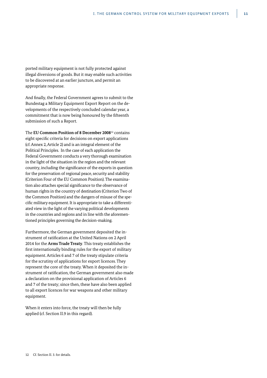ported military equipment is not fully protected against illegal diversions of goods. But it may enable such activities to be discovered at an earlier juncture, and permit an appropriate response.

And finally, the Federal Government agrees to submit to the Bundestag a Military Equipment Export Report on the developments of the respectively concluded calendar year, a commitment that is now being honoured by the fifteenth submission of such a Report.

The **EU Common Position of 8 December 2008**12 contains eight specific criteria for decisions on export applications (cf. Annex 2, Article 2) and is an integral element of the Political Principles. In the case of each application the Federal Government conducts a very thorough examination in the light of the situation in the region and the relevant country, including the significance of the exports in question for the preservation of regional peace, security and stability (Criterion Four of the EU Common Position). The examination also attaches special significance to the observance of human rights in the country of destination (Criterion Two of the Common Position) and the dangers of misuse of the specific military equipment. It is appropriate to take a differentiated view in the light of the varying political developments in the countries and regions and in line with the aforementioned principles governing the decision-making.

Furthermore, the German government deposited the instrument of ratification at the United Nations on 2 April 2014 for the **Arms Trade Treaty**. This treaty establishes the first internationally binding rules for the export of military equipment. Articles 6 and 7 of the treaty stipulate criteria for the scrutiny of applications for export licences. They represent the core of the treaty. When it deposited the instrument of ratification, the German government also made a declaration on the provisional application of Articles 6 and 7 of the treaty; since then, these have also been applied to all export licences for war weapons and other military equipment.

When it enters into force, the treaty will then be fully applied (cf. Section II.9 in this regard).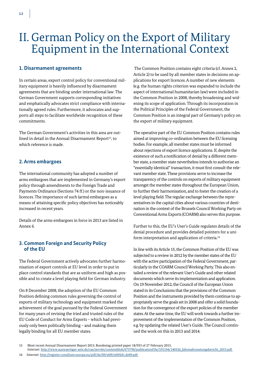# II. German Policy on the Export of Military Equipment in the International Context

# **1. Disarmament agreements**

In certain areas, export control policy for conventional military equipment is heavily influenced by disarmament agreements that are binding under international law. The German Government supports corresponding initiatives and emphatically advocates strict compliance with internationally agreed rules. Furthermore, it advocates and supports all steps to facilitate worldwide recognition of these commitments.

The German Government's activities in this area are outlined in detail in the Annual Disarmament Report<sup>13</sup>, to which reference is made.

# **2. Arms embargoes**

The international community has adopted a number of arms embargoes that are implemented in Germany's export policy through amendments to the Foreign Trade and Payments Ordinance (Sections 74 ff.) or the non-issuance of licences. The importance of such (arms) embargoes as a means of attaining specific policy objectives has noticeably increased in recent years.

Details of the arms embargoes in force in 2013 are listed in Annex 6.

# **3. Common Foreign and Security Policy of the EU**

The Federal Government actively advocates further harmonisation of export controls at EU level in order to put in place control standards that are as uniform and high as possible and to create a level playing field for German industry.

On 8 December 2008, the adoption of the EU Common Position defining common rules governing the control of exports of military technology and equipment marked the achievement of the goal pursued by the Federal Government for many years of revising the tried and trusted rules of the EU Code of Conduct for Arms Exports – which had previously only been politically binding – and making them legally binding for all EU member states.

 The Common Position contains eight criteria (cf. Annex 2, Article 2) to be used by all member states in decisions on applications for export licences. A number of new elements (e.g. the human rights criterion was expanded to include the aspect of international humanitarian law) were included in the Common Position in 2008, thereby broadening and widening its scope of application. Through its incorporation in the Political Principles of the Federal Government, the Common Position is an integral part of Germany's policy on the export of military equipment.

The operative part of the EU Common Position contains rules aimed at improving co-ordination between the EU licensing bodies. For example, all member states must be informed about rejections of export licence applications. If, despite the existence of such a notification of denial by a different member state, a member state nevertheless intends to authorise an "essentially identical" transaction, it must first consult the relevant member state. These provisions serve to increase the transparency of the controls on exports of military equipment amongst the member states throughout the European Union, to further their harmonisation, and to foster the creation of a level playing field. The regular exchange between the representatives in the capital cities about various countries of destination in the context of the Brussels Council Working Party on Conventional Arms Exports (COARM) also serves this purpose.

Further to this, the EU's User's Guide regulates details of the denial procedure and provides detailed pointers for a uniform interpretation and application of criteria.14

In line with its Article 15, the Common Position of the EU was subjected to a review in 2012 by the member states of the EU with the active participation of the Federal Government, particularly in the COARM Council Working Party. This also entailed a review of the relevant User's Guide and other related documents which serve its implementation and application. On 19 November 2012, the Council of the European Union stated in its Conclusions that the provisions of the Common Position and the instruments provided by them continue to appropriately serve the goals set in 2008 and offer a solid foundation for the convergence of the export policies of the member states. At the same time, the EU will work towards a further improvement of the implementation of the Common Position, e.g. by updating the related User's Guide. The Council continued the work on this in 2013 and 2014.

<sup>13</sup> Most recent Annual Disarmament Report 2013, Bundestag printed paper 18/933 of 27 February 2013,

Internet: http://www.auswaertiges-amt.de/cae/servlet/contentblob/673790/publicationFile/191194/140326\_Jahresabruestungsbericht\_2013.pdf.

<sup>14</sup> Internet: http://register.consilium.europa.eu/pdf/de/09/st09/st09241.de09.pdf.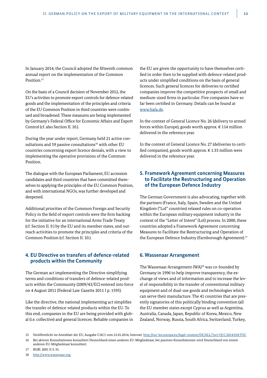In January 2014, the Council adopted the fifteenth common annual report on the implementation of the Common Position.<sup>15</sup>

On the basis of a Council decision of November 2012, the EU's activities to promote export controls for defence-related goods and the implementation of the principles and criteria of the EU Common Position in third countries were continued and broadened. These measures are being implemented by Germany's Federal Office for Economic Affairs and Export Control (cf. also Section II. 10.).

During the year under report, Germany held 21 active consultations and 59 passive consultations<sup>16</sup> with other EU countries concerning export licence denials, with a view to implementing the operative provisions of the Common Position.

The dialogue with the European Parliament, EU accession candidates and third countries that have committed themselves to applying the principles of the EU Common Position, and with international NGOs, was further developed and deepened.

Additional priorities of the Common Foreign and Security Policy in the field of export controls were the firm backing for the initiative for an international Arms Trade Treaty (cf. Section II. 9.) by the EU and its member states, and outreach activities to promote the principles and criteria of the Common Position (cf. Section II. 10.).

# **4. EU Directive on transfers of defence-related products within the Community**

The German act implementing the Directive simplifying terms and conditions of transfers of defence-related products within the Community (2009/43/EC) entered into force on 4 August 2011 (Federal Law Gazette 2011 I p. 1595).

Like the directive, the national implementing act simplifies the transfer of defence-related products within the EU. To this end, companies in the EU are being provided with global (i.e. collective) and general licences. Reliable companies in the EU are given the opportunity to have themselves certified in order then to be supplied with defence-related products under simplified conditions on the basis of general licences. Such general licences for deliveries to certified companies improve the competitive prospects of small and medium-sized firms in particular. Five companies have so far been certified in Germany. Details can be found at www.bafa.de.

In the context of General Licence No. 26 (delivery to armed forces within Europe), goods worth approx.  $\epsilon$  114 million delivered in the reference year.

In the context of General Licence No. 27 (deliveries to certified companies), goods worth approx. € 1.33 million were delivered in the reference year.

# **5. Framework Agreement concerning Measures to Facilitate the Restructuring and Operation of the European Defence Industry**

The German Government is also advocating, together with the partners (France, Italy, Spain, Sweden and the United Kingdom ("LoI" countries) relaxed rules on co-operation within the European military equipment industry in the context of the "Letter of Intent" (LoI) process. In 2000, these countries adopted a Framework Agreement concerning Measures to Facilitate the Restructuring and Operation of the European Defence Industry (Farnborough Agreement).<sup>17</sup>

#### **6. Wassenaar Arrangement**

The Wassenaar Arrangement (WA)<sup>18</sup> was co-founded by Germany in 1996 to help improve transparency, the exchange of views and of information and to increase the level of responsibility in the transfer of conventional military equipment and of dual-use goods and technologies which can serve their manufacture. The 41 countries that are presently signatories of this politically binding convention (all the EU member states except Cyprus as well as Argentina, Australia, Canada, Japan, Republic of Korea, Mexico, New Zealand, Norway, Russia, South Africa, Switzerland, Turkey,

- 17 BGBl. 2001 II S. 91.
- 18 http://www.wassenaar.org.

<sup>15</sup> Veröffentlicht im Amtsblatt der EU, Ausgabe C18/1 vom 21.01.2014, Internet: http://eur-lex.europa.eu/legal-content/DE/ALL/?uri=OJ:C:2014:018:TOC

<sup>16</sup> Bei aktiven Konsultationen konsultiert Deutschland einen anderen EU-Mitgliedstaat, bei passiven Konsultationen wird Deutschland von einem anderen EU-Mitgliedstaat konsultiert.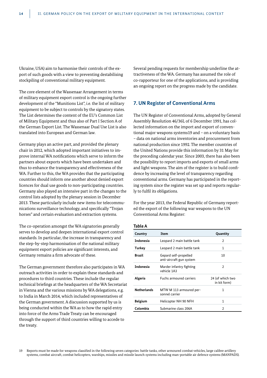Ukraine, USA) aim to harmonise their controls of the export of such goods with a view to preventing destabilising stockpiling of conventional military equipment.

The core element of the Wassenaar Arrangement in terms of military equipment export control is the ongoing further development of the "Munitions List", i.e. the list of military equipment to be subject to controls by the signatory states. The List determines the content of the EU's Common List of Military Equipment and thus also of Part I Section A of the German Export List. The Wassenaar Dual Use List is also translated into European and German law.

Germany plays an active part, and provided the plenary chair in 2012, which adopted important initiatives to improve internal WA notifications which serve to inform the partners about exports which have been undertaken and thus to enhance the transparency and effectiveness of the WA. Further to this, the WA provides that the participating countries should inform one another about denied export licences for dual use goods to non-participating countries. Germany also played an intensive part in the changes to the control lists adopted by the plenary session in December 2013. These particularly include new items for telecommunications surveillance technology, and specifically "Trojan horses" and certain evaluation and extraction systems.

The co-operation amongst the WA signatories generally serves to develop and deepen international export control standards. In particular, the increase in transparency and the step-by-step harmonisation of the national military equipment export policies are significant interests, and Germany remains a firm advocate of these.

The German government therefore also participates in WA outreach activities in order to explain these standards and procedures to third countries. These include the regular technical briefings at the headquarters of the WA Secretariat in Vienna and the various missions by WA delegations, e.g. to India in March 2014, which included representatives of the German government. A discussion supported by us is being conducted within the WA as to how the rapid entry into force of the Arms Trade Treaty can be encouraged through the support of third countries willing to accede to the treaty.

Several pending requests for membership underline the attractiveness of the WA. Germany has assumed the role of co-rapporteur for one of the applications, and is providing an ongoing report on the progress made by the candidate.

#### **7. UN Register of Conventional Arms**

The UN Register of Conventional Arms, adopted by General Assembly Resolution 46/36L of 6 December 1991, has collected information on the import and export of conventional major weapons systems19 and – on a voluntary basis – data on national arms inventories and procurement from national production since 1992. The member countries of the United Nations provide this information by 31 May for the preceding calendar year. Since 2003, there has also been the possibility to report imports and exports of small arms and light weapons. The aim of the register is to build confidence by increasing the level of transparency regarding conventional arms. Germany has participated in the reporting system since the register was set up and reports regularly to fulfil its obligations.

For the year 2013, the Federal Republic of Germany reported the export of the following war weapons to the UN Conventional Arms Register:

#### **Table A**

| Country            | Item                                              | Quantity                         |
|--------------------|---------------------------------------------------|----------------------------------|
| <b>Indonesia</b>   | Leopard 2 main battle tank                        | 2                                |
| Turkey             | Leopard 2 main battle tank                        | 1                                |
| Brazil             | Gepard self-propelled<br>anti-aircraft gun system | 10                               |
| <b>Indonesia</b>   | Marder infantry fighting<br>vehicle 1A3           | 2                                |
| Algeria            | <b>Fuchs armoured carriers</b>                    | 24 (of which two<br>in kit form) |
| <b>Netherlands</b> | MTW M 113 armoured per-<br>sonnel carrier         | 1                                |
| <b>Belgium</b>     | Helicopter NH 90 NFH                              | 1                                |
| Colombia           | Submarine class 206A                              | 2                                |

19 Reports must be made for weapons classified in the following seven categories: battle tanks, other armoured combat vehicles, large calibre artillery systems, combat aircraft, combat helicopters, warships, missiles and missile launch systems including man-portable air defence systems (MANPADS).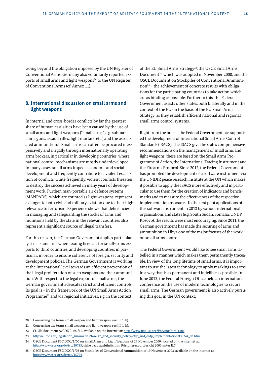Going beyond the obligation imposed by the UN Register of Conventional Arms, Germany also voluntarily reported exports of small arms and light weapons<sup>20</sup> to the UN Register of Conventional Arms (cf. Annex 11).

# **8. International discussion on small arms and light weapons**

In internal and cross-border conflicts by far the greatest share of human casualties have been caused by the use of small arms and light weapons ("small arms", e.g. submachine guns, assault rifles, light mortars, etc.) and the associated ammunition.<sup>21</sup> Small arms can often be procured inexpensively and illegally through internationally operating arms brokers, in particular in developing countries, where national control mechanisms are mostly underdeveloped. In many cases, small arms impede economic and social development and frequently contribute to a violent escalation of conflicts. Quite frequently, violent conflicts threaten to destroy the success achieved in many years of development work. Further, man-portable air defence systems (MANPADS), which are counted as light weapons, represent a danger to both civil and military aviation due to their high relevance to terrorism. Experience shows that deficiencies in managing and safeguarding the stocks of arms and munitions held by the state in the relevant countries also represent a significant source of illegal transfers.

For this reason, the German Government applies particularly strict standards when issuing licences for small-arms exports to third countries, and developing countries in particular, in order to ensure coherence of foreign, security and development policies. The German Government is working at the international level towards an efficient prevention of the illegal proliferation of such weapons and their ammunition. With respect to the legal export of small arms, the German government advocates strict and efficient controls. Its goal is – in the framework of the UN Small Arms Action Programme<sup>22</sup> and via regional initiatives, e.g. in the context

of the EU Small Arms Strategy<sup>23</sup>, the OSCE Small Arms Document<sup>24</sup>, which was adopted in November 2000, and the OSCE Document on Stockpiles of Conventional Ammunition<sup>25</sup> - the achievement of concrete results with obligations for the participating countries to take action which are as binding as possible. Further to this, the Federal Government assists other states, both bilaterally and in the context of the EU on the basis of the EU Small Arms Strategy, as they establish efficient national and regional small arms control systems.

Right from the outset, the Federal Government has supported the development of International Small Arms Control Standards (ISACS). The ISACS give the states comprehensive recommendations on the management of small arms and light weapons; these are based on the Small Arms Programme of Action, the International Tracing Instrument and the Firearms Protocol. Since 2012, the Federal Government has promoted the development of a software instrument via the UNIDIR peace research institute at the UN which makes it possible to apply the ISACS more effectively and in particular to use them for the creation of indicators and benchmarks and to measure the effectiveness of the respective implementation measures. In the first pilot applications of this software instrument in 2013 by various international organisations and states (e.g. South Sudan, Somalia, UNDP Kosovo), the results were most encouraging. Since 2011, the German government has made the securing of arms and ammunition in Libya one of the major focuses of the work on small arms control.

The Federal Government would like to see small arms labelled in a manner which makes them permanently traceable. In view of the long lifetime of small arms, it is important to use the latest technology to apply markings to arms in a way that is as permanent and indelible as possible. In June 2013, the Federal Foreign Office held an international conference on the use of modern technologies to secure small arms. The German government is also actively pursuing this goal in the UN context.

- 20 Concerning the terms small weapon and light weapon, see III. 1. h).
- 21 Concerning the terms small weapon and light weapon, see III. 1. h).
- 22 Cf. UN document A/CONF. 192/15, available on the internet at: http://www.poa-iss.org/PoA/poahtml.aspx.
- 23 http://europa.eu/legislation\_summaries/foreign\_and\_security\_policy/cfsp\_and\_esdp\_implementation/l33244\_de.htm.
- 24 OSCE Document FSC.DOC/1/00 on Small Arms and Light Weapons of 24 November 2000 (located on the internet at: http://www.osce.org/de/fsc/20785; siehe dazu ausführlich im Rüstungsexportbericht 2000 unter II.7.
- 25 OSCE Document FSC.DOC/1/03 on Stockpiles of Conventional Ammunition of 19 November 2003, available on the internet at: http://www.osce.org/de/fsc/15794.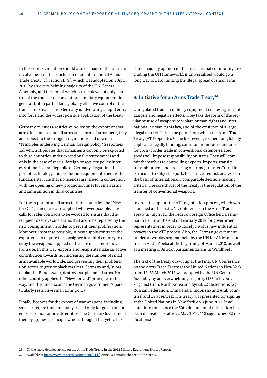In this context, mention should also be made of the German involvement in the conclusion of an international Arms Trade Treaty (cf. Section II. 9.), which was adopted on 2 April 2013 by an overwhelming majority of the UN General Assembly, and the aim of which is to achieve not only control of the transfer of conventional military equipment in general, but in particular a globally effective control of the transfer of small arms. Germany is advocating a rapid entry into force and the widest possible application of the treaty.

Germany pursues a restrictive policy on the export of small arms. Inasmuch as small arms are a form of armament, they are subject to the stringent regulations laid down in "Principles underlying German foreign policy" (see Annex 1a), which stipulates that armaments can only be exported to third countries under exceptional circumstances and only in the case of special foreign or security policy interests of the Federal Republic of Germany. Regarding the export of technology and production equipment, there is the fundamental rule that no licences are issued in connection with the opening of new production lines for small arms and ammunition in third countries.

For the export of small arms to third countries, the "New for Old" principle is also applied wherever possible. This calls for sales contracts to be worded to ensure that the recipient destroys small arms that are to be replaced by the new consignment, in order to prevent their proliferation. Moreover, insofar as possible, in new supply contracts the exporter is to require the consignee in a third country to destroy the weapons supplied in the case of a later removal from use. In this way, exports and recipients make an active contribution towards not increasing the number of small arms available worldwide, and preventing their proliferation across to grey or black markets. Germany and, in particular the Bundeswehr, destroys surplus small arms. No other country applies the "New for Old" principle in this way, and this underscores the German government's particularly restrictive small arms policy.

Finally, licences for the export of war weapons, including small arms, are fundamentally issued only for government end-users, not for private entities. The German Government thereby applies a principle which, though it has yet to become majority opinion in the international community (including the UN framework), if universalised would go a long way toward limiting the illegal spread of small arms.

# **9. Initiative for an Arms Trade Treaty<sup>26</sup>**

Unregulated trade in military equipment creates significant dangers and negative effects. They take the form of the regular misuse of weapons to violate human rights and international human rights law, and of the existence of a large illegal market. This is the point from which the Arms Trade Treaty (ATT) operates.27 The first ever agreement on globally applicable, legally binding, common minimum standards for cross-border trade in conventional defence-related goods will impose responsibility on states. They will commit themselves to controlling exports, imports, transits, trans-shipment and brokering of arms ("transfers") and in particular to subject exports to a structured risk analysis on the basis of internationally comparable decision-making criteria. The core thrust of the Treaty is the regulation of the transfer of conventional weapons.

In order to support the ATT negotiation process, which was launched at the first UN Conference on the Arms Trade Treaty in July 2012, the Federal Foreign Office held a seminar in Berlin at the end of February 2013 for government representatives in order to closely involve new influential powers in the ATT process. Also, the German government funded a two-day seminar held by the UN for African countries in Addis Abeba at the beginning of March 2013, as well as a meeting of African parliamentarians in Windhoek.

The text of the treaty drawn up at the Final UN Conference on the Arms Trade Treaty at the United Nations in New York from 18-28 March 2013 was adopted by the UN General Assembly by an overwhelming majority (155 in favour, 3 against (Iran, North Korea and Syria), 22 abstentions (e.g. Russian Federation, China, India, Indonesia and Arab countries) and 13 absences). The treaty was presented for signing at the United Nations in New York on 3 June 2013. It will enter into force once the 50th document of ratification has been deposited. (Status 22 May 2014: 118 signatories; 32 ratifications)

<sup>27</sup> Available at http://www.un.org/disarmament/ATT/. Annex 3 contains the text of the treaty.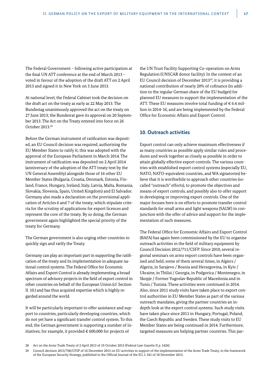The Federal Government – following active participation at the final UN ATT conference at the end of March 2013 – voted in favour of the adoption of the draft ATT on 2 April 2013 and signed it in New York on 3 June 2013.

At national level, the Federal Cabinet took the decision on the draft act on the treaty as early as 22 May 2013. The Bundestag unanimously approved the act on the treaty on 27 June 2013; the Bundesrat gave its approval on 20 September 2013. The Act on the Treaty entered into force on 26 October 2013.28

Before the German instrument of ratification was deposited, an EU Council decision was required, authorising the EU Member States to ratify it; this was adopted with the approval of the European Parliament in March 2014. The instrument of ratification was deposited on 2 April 2014 (anniversary of the adoption of the ATT treaty text by the UN General Assembly) alongside those of 16 other EU Member States (Bulgaria, Croatia, Denmark, Estonia, Finland, France, Hungary, Ireland, Italy, Latvia, Malta, Romania, Slovakia, Slovenia, Spain, United Kingdom) and El Salvador. Germany also made a declaration on the provisional application of Articles 6 and 7 of the treaty, which stipulate criteria for the scrutiny of applications for export licences and represent the core of the treaty. By so doing, the German government again highlighted the special priority of the treaty for Germany.

The German government is also urging other countries to quickly sign and ratify the Treaty.

Germany can play an important part in supporting the ratification of the treaty and its implementation in adequate national control systems. The Federal Office for Economic Affairs and Export Control is already implementing a broad spectrum of advisory projects in the field of export control in other countries on behalf of the European Union (cf. Section II. 10.) and has thus acquired expertise which is highly regarded around the world.

It will be particularly important to offer assistance and support to countries, particularly developing countries, which do not yet have a significant transfer control system. To this end, the German government is supporting a number of initiatives; for example, it provided  $\epsilon$  600,000 for projects of

the UN Trust Facility Supporting Co-operation on Arms Regulation (UNSCAR donor facility). In the context of an EU Council decision of December 201329, it is providing a national contribution of nearly 20% of cofinance (in addition to the regular German share of the EU budget) for planned EU measures to support the implementation of the ATT. These EU measures involve total funding of  $\epsilon$  6.4 million in 2014-16, and are being implemented by the Federal Office for Economic Affairs and Export Control.

# **10. Outreach activities**

Export control can only achieve maximum effectiveness if as many countries as possible apply similar rules and procedures and work together as closely as possible in order to attain globally effective export controls. The various countries with established export control systems (especially EU, NATO, NATO-equivalent countries, and WA signatories) believe that it is worthwhile to approach other countries (socalled "outreach" efforts), to promote the objectives and means of export controls, and possibly also to offer support in developing or improving export controls. One of the major focuses here is on efforts to promote transfer control standards for small arms and light weapons (SALW) in conjunction with the offer of advice and support for the implementation of such measures.

The Federal Office for Economic Affairs and Export Control (BAFA) has again been commissioned by the EU to organise outreach activities in the field of military equipment by Council Decision 2012/711/CSFP. Since 2010, several regional seminars on arms export controls have been organised and held, some of them several times, in Algiers / Algeria, in Sarajevo / Bosnia and Herzegovina, in Kyiv / Ukraine, in Tbilisi / Georgia, in Podgorica / Montenegro, in Skopje / Former Yugoslav Republic of Macedonia and in Tunis / Tunisia. These activities were continued in 2014. Also, since 2011 study visits have taken place to export control authorities in EU Member States as part of the various outreach mandates, giving the partner countries an indepth look at the export control systems. Such study visits have taken place since 2011 in Hungary, Portugal, Poland, the Czech Republic and Sweden. These study visits to EU Member States are being continued in 2014. Furthermore, targeted measures are helping partner countries. This par-

<sup>28</sup> Act on the Arms Trade Treaty of 2 April 2013 of 19 October 2013 (Federal Law Gazette II p. 1426).

<sup>29</sup> Council decision 2013/768/CFSP of 16 December 2013 on EU activities in support of the implementation of the Arms Trade Treaty, in the framework of the European Security Strategy, published in the Official Journal of the EU, L 341 of 18 December 2013.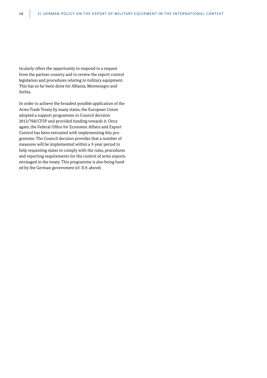ticularly offers the opportunity to respond to a request from the partner country and to review the export control legislation and procedures relating to military equipment. This has so far been done for Albania, Montenegro and Serbia.

In order to achieve the broadest possible application of the Arms Trade Treaty by many states, the European Union adopted a support programme in Council decision 2013/768/CFSP and provided funding towards it. Once again, the Federal Office for Economic Affairs and Export Control has been entrusted with implementing this programme. The Council decision provides that a number of measures will be implemented within a 3-year period to help requesting states to comply with the rules, procedures and reporting requirements for the control of arms exports envisaged in the treaty. This programme is also being funded by the German government (cf. II.9. above).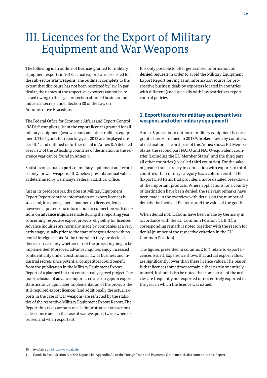# III. Licences for the Export of Military Equipment and War Weapons

The following is an outline of **licences** granted for military equipment exports in 2013; actual exports are also listed for the sub-sector **war weapons**. The outline is complete to the extent that disclosure has not been restricted by law. In particular, the names of the respective exporters cannot be released owing to the legal protection afforded business and industrial secrets under Section 30 of the Law on Administrative Procedure.

The Federal Office for Economic Affairs and Export Control (BAFA)30 compiles a list of the **export licences** granted for all military equipment (war weapons and other military equipment). The figures for reporting year 2013 are displayed under III. 1. and outlined in further detail in Annex 8. A detailed overview of the 20 leading countries of destination in the reference year can be found in Annex 7.

Statistics on **actual exports** of military equipment are recorded only for war weapons. III. 2. below presents annual values as determined by Germany's Federal Statistical Office.

Just as its predecessors, the present Military Equipment Export Report contains information on export licences issued and, in a more general manner, on licences denied; however, it presents no information in connection with decisions on **advance inquiries** made during the reporting year concerning respective export projects' eligibility for licences. Advance inquiries are normally made by companies at a very early stage, usually prior to the start of negotiations with potential foreign clients. At the time when they are decided, there is no certainty whether or not the project is going to be implemented. Moreover, advance inquiries enjoy increased confidentiality under constitutional law as business and industrial secrets since potential competitors could benefit from the publication in the Military Equipment Export Report of a planned but not contractually agreed project. The non-inclusion of advance inquiries creates no gaps in export statistics since upon later implementation of the projects the still-required export licences (and additionally the actual exports in the case of war weapons) are reflected by the statistics of the respective Military Equipment Export Report. The Report thus takes account of all administrative transactions at least once and, in the case of war weapons, twice (when licensed and when exported).

It is only possible to offer generalised information on **denied** requests in order to avoid the Military Equipment Export Report serving as an information source for prospective business deals by exporters located in countries with different (and especially with less restrictive) export control policies..

# **1. Export licences for military equipment (war weapons and other military equipment)**

Annex 8 presents an outline of military equipment licences granted and/or denied in 201331, broken down by countries of destination. The first part of this Annex shows EU Member States, the second part NATO and NATO-equivalent countries (excluding the EU Member States), and the third part all other countries (so-called third countries). For the sake of greater transparency in connection with exports to third countries, this country category has a column entitled EL (Export List) Items that provides a more detailed breakdown of the important products. Where applications for a country of destination have been denied, the relevant remarks have been made in the overview with details on the number of denials, the involved EL Items, and the value of the goods.

When denial notifications have been made by Germany in accordance with the EU Common Position (cf. II. 3.), a corresponding remark is noted together with the reason for denial (number of the respective criterion in the EU Common Position).

The figures presented in columns 2 to 4 relate to export licences issued. Experience shows that actual export values are significantly lower than these licence values. The reason is that licences sometimes remain either partly or entirely unused. It should also be noted that some or all of the articles are frequently not exported or not entirely exported in the year in which the licence was issued.

<sup>30</sup> Available at: http://www.bafa.de.

<sup>31</sup> Goods in Part I Section A of the Export List, Appendix AL to the Foreign Trade and Payments Ordinance, cf. also Annex 4 to this Report.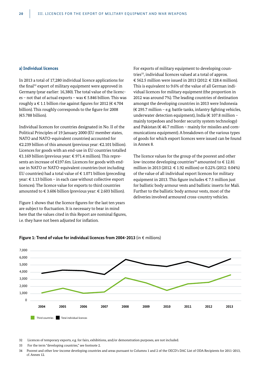#### **a) Individual licences**

In 2013 a total of 17,280 individual licence applications for the final<sup>32</sup> export of military equipment were approved in Germany (year earlier: 16,380). The total value of the licences – not that of actual exports – was  $\epsilon$  5.846 billion. This was roughly a  $\in$  1.1 billion rise against figures for 2012 ( $\in$  4.704 billion). This roughly corresponds to the figure for 2008 (€5.788 billion).

Individual licences for countries designated in No. II of the Political Principles of 19 January 2000 (EU member states, NATO and NATO-equivalent countries) accounted for €2.239 billion of this amount (previous year: €2.101 billion). Licences for goods with an end-use in EU countries totalled €1.169 billion (previous year: € 971.4 million). This represents an increase of €197.6m. Licences for goods with enduse in NATO or NATO-equivalent countries (not including EU countries) had a total value of  $\epsilon$  1.071 billion (preceding year: € 1.13 billion – in each case without collective export licences). The licence value for exports to third countries amounted to € 3.606 billion (previous year: € 2.603 billion).

Figure 1 shows that the licence figures for the last ten years are subject to fluctuation. It is necessary to bear in mind here that the values cited in this Report are nominal figures, i.e. they have not been adjusted for inflation.

For exports of military equipment to developing countries<sup>33</sup>, individual licences valued at a total of approx. € 562.5 million were issued in 2013 (2012: € 328.4 million). This is equivalent to 9.6% of the value of all German individual licences for military equipment (the proportion in 2012 was around 7%). The leading countries of destination amongst the developing countries in 2013 were Indonesia (€ 295.7 million – e.g. battle tanks, infantry fighting vehicles, underwater detection equipment), India (€ 107.8 million – mainly torpedoes and border security system technology) and Pakistan ( $\epsilon$  46.7 million – mainly for missiles and communications equipment). A breakdown of the various types of goods for which export licences were issued can be found in Annex 8.

The licence values for the group of the poorest and other low-income developing countries<sup>34</sup> amounted to  $\in$  12.81 million in 2013 (2012: € 1.92 million) or 0.22% (2012: 0.04%) of the value of all individual export licences for military equipment in 2013. This figure includes € 7.5 million just for ballistic body armour vests and ballistic inserts for Mali. Further to the ballistic body armour vests, most of the deliveries involved armoured cross-country vehicles.



#### **Figure 1: Trend of value for individual licences from 2004-2013** (in € millions)

<sup>32</sup> Licences of temporary exports, e.g. for fairs, exhibitions, and/or demonstration purposes, are not included.

<sup>33</sup> For the term "developing countries," see footnote 2.

<sup>34</sup> Poorest and other low-income developing countries and areas pursuant to Columns 1 and 2 of the OECD's DAC List of ODA Recipients for 2011-2013, cf. Annex 12.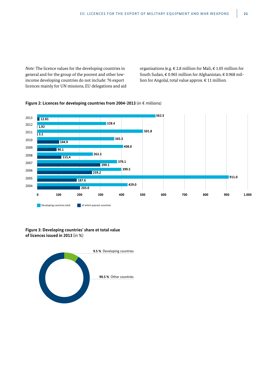*Note:* The licence values for the developing countries in general and for the group of the poorest and other lowincome developing countries do not include: 76 export licences mainly for UN missions, EU delegations and aid organisations (e.g. € 2.8 million for Mali, € 1.05 million for South Sudan, € 0.965 million for Afghanistan, € 0.968 million for Angola), total value approx. € 11 million.



#### **Figure 2: Licences for developing countries from 2004-2013** (in € millions)

### **Figure 3: Developing countries' share ot total value of licences issued in 2013** (in %)

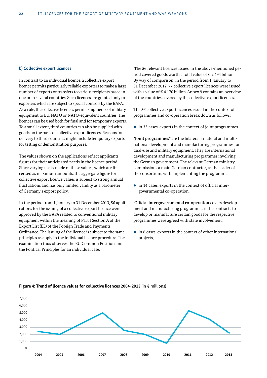#### **b) Collective export licences**

In contrast to an individual licence, a collective export licence permits particularly reliable exporters to make a large number of exports or transfers to various recipients based in one or in several countries. Such licences are granted only to exporters which are subject to special controls by the BAFA. As a rule, the collective licences permit shipments of military equipment to EU, NATO or NATO-equivalent countries. The licences can be used both for final and for temporary exports. To a small extent, third countries can also be supplied with goods on the basis of collective export licences. Reasons for delivery to third countries might include temporary exports for testing or demonstration purposes.

The values shown on the applications reflect applicants' figures for their anticipated needs in the licence period. Since varying use is made of these values, which are licensed as maximum amounts, the aggregate figure for collective export licence values is subject to strong annual fluctuations and has only limited validity as a barometer of Germany's export policy.

In the period from 1 January to 31 December 2013, 56 applications for the issuing of a collective export licence were approved by the BAFA related to conventional military equipment within the meaning of Part I Section A of the Export List (EL) of the Foreign Trade and Payments Ordinance. The issuing of the licence is subject to the same principles as apply in the individual licence procedure. The examination thus observes the EU Common Position and the Political Principles for an individual case.

 The 56 relevant licences issued in the above-mentioned period covered goods worth a total value of  $\epsilon$  2.494 billion. By way of comparison: in the period from 1 January to 31 December 2012, 77 collective export licences were issued with a value of  $\epsilon$  4.170 billion. Annex 9 contains an overview of the countries covered by the collective export licences.

The 56 collective export licences issued in the context of programmes and co-operation break down as follows:

 $\bullet$  in 33 cases, exports in the context of joint programmes.

"**Joint programmes**" are the bilateral, trilateral and multinational development and manufacturing programmes for dual-use and military equipment. They are international development and manufacturing programmes involving the German government. The relevant German ministry commissions a main German contractor, as the leader of the consortium, with implementing the programme.

 $\bullet$  in 14 cases, exports in the context of official intergovernmental co-operation,

 Official **intergovernmental co-operation** covers development and manufacturing programmes if the contracts to develop or manufacture certain goods for the respective programmes were agreed with state involvement.

 $\bullet$  in 8 cases, exports in the context of other international projects,



#### **Figure 4: Trend of licence values for collective licences 2004-2013** (in € millions)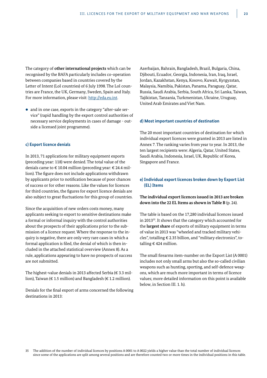The category of **other international projects** which can be recognised by the BAFA particularly includes co-operation between companies based in countries covered by the Letter of Intent (LoI countries) of 6 July 1998. The LoI countries are France, the UK, Germany, Sweden, Spain and Italy. For more information, please visit: http://eda.eu.int.

• and in one case, exports in the category "after-sale service" (rapid handling by the export control authorities of necessary service deployments in cases of damage - outside a licensed joint programme).

#### **c) Export licence denials**

In 2013, 71 applications for military equipment exports (preceding year: 118) were denied. The total value of the denials came to  $\epsilon$  10.04 million (preceding year:  $\epsilon$  24.4 million). The figure does not include applications withdrawn by applicants prior to notification because of poor chances of success or for other reasons. Like the values for licences for third countries, the figures for export licence denials are also subject to great fluctuations for this group of countries.

Since the acquisition of new orders costs money, many applicants seeking to export to sensitive destinations make a formal or informal inquiry with the control authorities about the prospects of their applications prior to the submission of a licence request. Where the response to the inquiry is negative, there are only very rare cases in which a formal application is filed, the denial of which is then included in the attached statistical overview (Annex 8). As a rule, applications appearing to have no prospects of success are not submitted.

The highest-value denials in 2013 affected Serbia ( $\epsilon$  3.3 million), Taiwan ( $\in$  1.5 million) and Bangladesh ( $\in$  1.2 million).

Denials for the final export of arms concerned the following destinations in 2013:

Azerbaijan, Bahrain, Bangladesh, Brazil, Bulgaria, China, Djibouti, Ecuador, Georgia, Indonesia, Iran, Iraq, Israel, Jordan, Kazakhstan, Kenya, Kosovo, Kuwait, Kyrgyzstan, Malaysia, Namibia, Pakistan, Panama, Paraguay, Qatar, Russia, Saudi Arabia, Serbia, South Africa, Sri Lanka, Taiwan, Tajikistan, Tanzania, Turkmenistan, Ukraine, Uruguay, United Arab Emirates and Viet Nam.

#### **d) Most important countries of destination**

The 20 most important countries of destination for which individual export licences were granted in 2013 are listed in Annex 7. The ranking varies from year to year. In 2013, the ten largest recipients were: Algeria, Qatar, United States, Saudi Arabia, Indonesia, Israel, UK, Republic of Korea, Singapore and France.

### **e) Individual export licences broken down by Export List (EL) Items**

**The individual export licences issued in 2013 are broken down into the 22 EL Items as shown in Table B** (p. 24).

The table is based on the 17,280 individual licences issued in 2013<sup>35</sup>. It shows that the category which accounted for the **largest share** of exports of military equipment in terms of value in 2013 was "wheeled and tracked military vehicles", totalling € 2.35 billion, and "military electronics", totalling € 424 million.

The small firearms item-number on the Export List (A 0001) includes not only small arms but also the so-called civilian weapons such as hunting, sporting, and self-defence weapons, which are much more important in terms of licence values; more detailed information on this point is available below, in Section III. 1. h).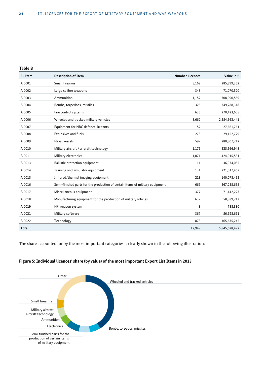#### **Table B**

| <b>EL Item</b> | <b>Description of Item</b>                                                    | <b>Number Licences</b> | Value in €    |
|----------------|-------------------------------------------------------------------------------|------------------------|---------------|
| A 0001         | Small firearms                                                                | 5,169                  | 285,899,352   |
| A 0002         | Large calibre weapons                                                         | 343                    | 71,070,520    |
| A 0003         | Ammunition                                                                    | 1,152                  | 308,990,559   |
| A 0004         | Bombs, torpedoes, missiles                                                    | 325                    | 349,288,318   |
| A 0005         | Fire control systems                                                          | 635                    | 270,423,605   |
| A 0006         | Wheeled and tracked military vehicles                                         | 3,662                  | 2,354,562,441 |
| A 0007         | Equipment for NBC defence, irritants                                          | 152                    | 27,661,761    |
| A 0008         | Explosives and fuels                                                          | 278                    | 29,152,729    |
| A 0009         | Naval vessels                                                                 | 597                    | 280,807,212   |
| A 0010         | Military aircraft / aircraft technology                                       | 1,176                  | 325,566,948   |
| A 0011         | Military electronics                                                          | 1,071                  | 424,015,531   |
| A 0013         | Ballistic protection equipment                                                | 111                    | 36,974,052    |
| A 0014         | Training and simulator equipment                                              | 134                    | 221,017,467   |
| A 0015         | Infrared/thermal imaging equipment                                            | 218                    | 140,078,493   |
| A 0016         | Semi-finished parts for the production of certain items of military equipment | 669                    | 367,235,655   |
| A 0017         | Miscellaneous equipment                                                       | 377                    | 71,142,223    |
| A 0018         | Manufacturing equipment for the production of military articles               | 637                    | 58,389,243    |
| A 0019         | HF weapon system                                                              | 3                      | 788,380       |
| A 0021         | Military software                                                             | 367                    | 56,928,691    |
| A 0022         | Technology                                                                    | 873                    | 165,635,242   |
| <b>Total</b>   |                                                                               | 17,949                 | 5,845,628,422 |

The share accounted for by the most important categories is clearly shown in the following illustration:



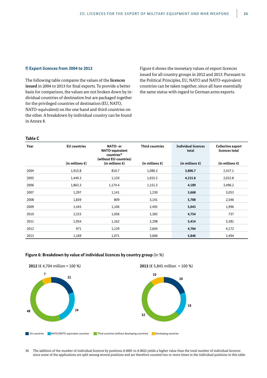#### **f) Export licences from 2004 to 2013**

The following table compares the values of the **licences issued** in 2004 to 2013 for final exports. To provide a better basis for comparison, the values are not broken down by individual countries of destination but are packaged together for the privileged countries of destination (EU, NATO, NATO-equivalent) on the one hand and third countries on the other. A breakdown by individual country can be found in Annex 8.

Figure 6 shows the monetary values of export licences issued for all country groups in 2012 and 2013. Pursuant to the Political Principles, EU, NATO and NATO-equivalent countries can be taken together, since all have essentially the same status with regard to German arms exports.

#### **Table C**

| Year | <b>EU</b> countries       | NATO- or<br>NATO-equivalent<br>countries <sup>36</sup><br>(without EU-countries) | <b>Third countries</b>    | <b>Individual licences</b><br>total | Collective export<br>licences total |
|------|---------------------------|----------------------------------------------------------------------------------|---------------------------|-------------------------------------|-------------------------------------|
|      | (in millions $\epsilon$ ) | (in millions $\epsilon$ )                                                        | (in millions $\epsilon$ ) | (in millions $\epsilon$ )           | (in millions $\epsilon$ )           |
| 2004 | 1,915.8                   | 810.7                                                                            | 1,080.2                   | 3,806.7                             | 2,437.1                             |
| 2005 | 1,440.3                   | 1,120                                                                            | 1,655.5                   | 4,215.8                             | 2,032.8                             |
| 2006 | 1,863.3                   | 1,174.4                                                                          | 1,151.3                   | 4,189                               | 3,496.2                             |
| 2007 | 1,297                     | 1,141                                                                            | 1,230                     | 3,668                               | 5,053                               |
| 2008 | 1,839                     | 809                                                                              | 3,141                     | 5,788                               | 2,546                               |
| 2009 | 1,445                     | 1,106                                                                            | 2,492                     | 5,043                               | 1,996                               |
| 2010 | 2,315                     | 1,056                                                                            | 1,383                     | 4,754                               | 737                                 |
| 2011 | 1,954                     | 1,162                                                                            | 2,298                     | 5,414                               | 5,381                               |
| 2012 | 971                       | 1,129                                                                            | 2,604                     | 4,704                               | 4,172                               |
| 2013 | 1,169                     | 1,071                                                                            | 3,606                     | 5,846                               | 2,494                               |

#### **Figure 6: Breakdown by value of individual licences by country group** (in %)



36 The addition of the number of individual licences by positions A 0001 to A 0022 yields a higher value than the total number of individual licences since some of the applications are split among several positions and are therefore counted two or more times in the individual positions in this table.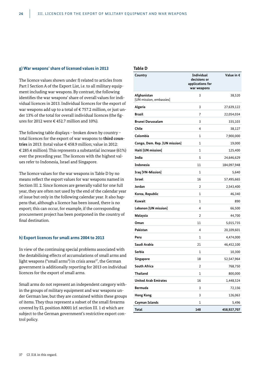### **g) War weapons' share of licensed values in 2013**

The licence values shown under f) related to articles from Part I Section A of the Export List, i.e. to all military equipment including war weapons. By contrast, the following identifies the war weapons' share of overall values for individual licences in 2013. Individual licences for the export of war weapons add up to a total of € 757.2 million, or just under 13% of the total for overall individual licences (the figures for 2012 were  $\epsilon$  452.7 million and 10%).

The following table displays – broken down by country – total licences for the export of war weapons to **third countries** in 2013: (total value € 458.9 million; value in 2012: € 285.4 million). This represents a substantial increase (61%) over the preceding year. The licences with the highest values refer to Indonesia, Israel and Singapore.

The licence values for the war weapons in Table D by no means reflect the export values for war weapons named in Section III. 2. Since licences are generally valid for one full year, they are often not used by the end of the calendar year of issue but only in the following calendar year. It also happens that, although a licence has been issued, there is no export; this can occur, for example, if the corresponding procurement project has been postponed in the country of final destination.

#### **h) Export licences for small arms 2004 to 2013**

In view of the continuing special problems associated with the destabilising effects of accumulations of small arms and light weapons ("small arms") in crisis areas<sup>37</sup>, the German government is additionally reporting for 2013 on individual licences for the export of small arms.

Small arms do not represent an independent category within the groups of military equipment and war weapons under German law, but they are contained within these groups of items. They thus represent a subset of the small firearms covered by EL position A0001 (cf. section III. 1 e) which are subject to the German government's restrictive export control policy.

#### **Table D**

| Country                                | <b>Individual</b><br>decisions or<br>applications for<br>war weapons | Value in $\epsilon$ |
|----------------------------------------|----------------------------------------------------------------------|---------------------|
| Afghanistan<br>[UN mission, embassies] | 3                                                                    | 38,520              |
| Algeria                                | 3                                                                    | 27,639,122          |
| <b>Brazil</b>                          | 7                                                                    | 22,054,034          |
| <b>Brunei Darussalam</b>               | 3                                                                    | 335,103             |
| Chile                                  | 4                                                                    | 38,127              |
| Colombia                               | 1                                                                    | 7,900,000           |
| Congo, Dem. Rep. [UN mission]          | 1                                                                    | 19,000              |
| Haiti [UN mission]                     | 1                                                                    | 125,400             |
| India                                  | 5                                                                    | 24,646,629          |
| <b>Indonesia</b>                       | 11                                                                   | 184,097,948         |
| <b>Iraq [VN-Mission]</b>               | 1                                                                    | 5,640               |
| <b>Israel</b>                          | 16                                                                   | 57,495,665          |
| Jordan                                 | 2                                                                    | 2,543,400           |
| Korea, Republic                        | 1                                                                    | 46,340              |
| Kuwait                                 | 1                                                                    | 890                 |
| Lebanon [UN mission]                   | 4                                                                    | 66,500              |
| Malaysia                               | 2                                                                    | 44,700              |
| Oman                                   | 11                                                                   | 5,015,735           |
| Pakistan                               | 4                                                                    | 20,109,601          |
| Peru                                   | 1                                                                    | 4,474,000           |
| Saudi Arabia                           | 21                                                                   | 46,452,100          |
| Serbia                                 | $\mathbf{1}$                                                         | 10,300              |
| Singapore                              | 18                                                                   | 52,547,964          |
| <b>South Africa</b>                    | 2                                                                    | 768,750             |
| Thailand                               | $\mathbf 1$                                                          | 800,000             |
| <b>United Arab Emirates</b>            | 16                                                                   | 1,448,524           |
| <b>Bermuda</b>                         | 3                                                                    | 72,156              |
| <b>Hong Kong</b>                       | 3                                                                    | 126,063             |
| Cayman Islands                         | 1                                                                    | 5,496               |
| <b>Total</b>                           | 148                                                                  | 458,927,707         |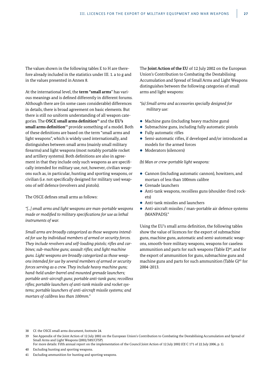The values shown in the following tables E to H are therefore already included in the statistics under III. 1. a to g and in the values presented in Annex 8.

At the international level, the **term "small arms**" has various meanings and is defined differently in different forums. Although there are (in some cases considerable) differences in details, there is broad agreement on basic elements. But there is still no uniform understanding of all weapon categories. The **OSCE small arms definition**38 and the **EU's small arms definition**39 provide something of a model. Both of these definitions are based on the term "small arms and light weapons", which is widely used internationally, and distinguishes between small arms (mainly small military firearms) and light weapons (most notably portable rocket and artillery systems). Both definitions are also in agreement in that they include only such weapons as are specifically intended for military use, not, however, civilian weapons such as, in particular, hunting and sporting weapons, or civilian (i.e. not specifically designed for military use) weapons of self defence (revolvers and pistols).

The OSCE defines small arms as follows:

*"[...] small arms and light weapons are man-portable weapons made or modified to military specifications for use as lethal instruments of war.*

*Small arms are broadly categorized as those weapons intended for use by individual members of armed or security forces. They include revolvers and self-loading pistols; rifles and carbines; sub-machine guns; assault rifles; and light machine guns. Light weapons are broadly categorized as those weapons intended for use by several members of armed or security forces serving as a crew. They include heavy machine guns; hand-held under-barrel and mounted grenade launchers; portable anti-aircraft guns; portable anti-tank guns; recoilless rifles; portable launchers of anti-tank missile and rocket systems; portable launchers of anti-aircraft missile systems; and mortars of calibres less than 100mm."*

The **Joint Action of the EU** of 12 July 2002 on the European Union's Contribution to Combating the Destabilising Accumulation and Spread of Small Arms and Light Weapons distinguishes between the following categories of small arms and light weapons:

*"(a) Small arms and accessories specially designed for military use:*

- $\bullet$  Machine guns (including heavy machine guns)
- $\bullet$  Submachine guns, including fully automatic pistols
- $\bullet$  Fully automatic rifles
- Semi-automatic rifles, if developed and/or introduced as models for the armed forces
- Moderators (silencers)

*(b) Man or crew-portable light weapons:*

- Cannon (including automatic cannon), howitzers, and mortars of less than 100mm calibre
- $\bullet$  Grenade launchers
- Anti-tank weapons, recoilless guns (shoulder-fired rockets)
- $\bullet$  Anti-tank missiles and launchers
- Anti-aircraft missiles / man-portable air defence systems (MANPADS)."

Using the EU's small arms definition, the following tables show the value of licences for the export of submachine guns, machine guns, automatic and semi-automatic weapons, smooth-bore military weapons, weapons for caseless ammunition and parts for such weapons (Table E)<sup>40</sup>, and for the export of ammunition for guns, submachine guns and machine guns and parts for such ammunition (Table  $G$ )<sup>41</sup> for 2004-2013.

38 Cf. the OSCE small arms document, footnote 24.

<sup>39</sup> See Appendix of the Joint Action of 12 July 2002 on the European Union's Contribution to Combating the Destabilising Accumulation and Spread of Small Arms and Light Weapons (2002/589/CFSP).

For more details: Fifth annual report on the implementation of the Council Joint Action of 12 July 2002 (OJ C 171 of 22 July 2006, p. 1).

<sup>40</sup> Excluding hunting and sporting weapons.

<sup>41</sup> Excluding ammunition for hunting and sporting weapons.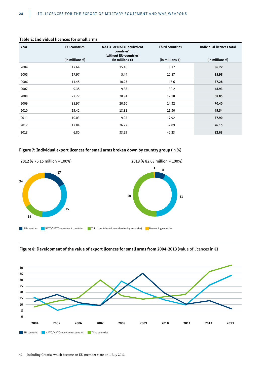| Year | <b>EU</b> countries       | NATO- or NATO-equivalent<br>countries <sup>42</sup><br>(without EU-countries) | <b>Third countries</b>    | Individual licences total |
|------|---------------------------|-------------------------------------------------------------------------------|---------------------------|---------------------------|
|      | (in millions $\epsilon$ ) | (in millions $\epsilon$ )                                                     | (in millions $\epsilon$ ) | (in millions $\epsilon$ ) |
| 2004 | 12.64                     | 15.46                                                                         | 8.17                      | 36.27                     |
| 2005 | 17.97                     | 5.44                                                                          | 12.57                     | 35.98                     |
| 2006 | 11.45                     | 10.23                                                                         | 15.6                      | 37.28                     |
| 2007 | 9.35                      | 9.38                                                                          | 30.2                      | 48.93                     |
| 2008 | 22.72                     | 28.94                                                                         | 17.18                     | 68.85                     |
| 2009 | 35.97                     | 20.10                                                                         | 14.32                     | 70.40                     |
| 2010 | 19.42                     | 13.81                                                                         | 16.30                     | 49.54                     |
| 2011 | 10.03                     | 9.95                                                                          | 17.92                     | 37.90                     |
| 2012 | 12.84                     | 26.22                                                                         | 37.09                     | 76.15                     |
| 2013 | 6.80                      | 33.59                                                                         | 42.23                     | 82.63                     |

#### **Table E: Individual licences for small arms**

# **Figure 7: Individual export licences for small arms broken down by country group** (in %)



**Figure 8: Development of the value of export licences for small arms from 2004-2013** (value of licences in €)

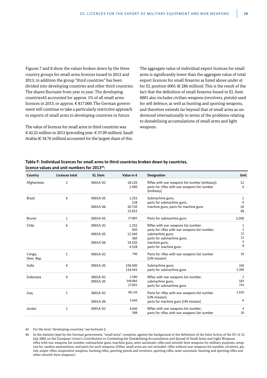Figures 7 and 8 show the values broken down by the three country groups for small arms licences issued in 2012 and 2013; in addition the group "third countries" has been divided into developing countries and other third countries. The shares fluctuate from year to year. The developing countries43 accounted for approx. 1% of all small arms licences in 2013, or approx. € 817,000. The German government will continue to take a particularly restrictive approach to exports of small arms to developing countries in future.

The value of licences for small arms in third countries was € 42.23 million in 2013 (preceding year: € 37.09 million). Saudi Arabia ( $\in$  34.76 million) accounted for the largest share of this. The aggregate value of individual export licences for small arms is significantly lower than the aggregate value of total export licences for small firearms as listed above under e) for EL position 0001 (€ 286 million). This is the result of the fact that the definition of small firearms found in EL Item 0001 also includes civilian weapons (revolvers, pistols) used for self defence, as well as hunting and sporting weapons, and therefore extends far beyond that of small arms as understood internationally in terms of the problems relating to destabilising accumulations of small arms and light weapons.

### **Table F: Individual licences for small arms to third countries broken down by countries, licence values and unit numbers for 201344:**

| Country             | Licences total | <b>EL Item</b>       | Value in $\epsilon$        | <b>Designation</b>                                                                                           | Unit                |
|---------------------|----------------|----------------------|----------------------------|--------------------------------------------------------------------------------------------------------------|---------------------|
| Afghanistan         | 2              | 0001A-02             | 18.120<br>1.400            | Rifles with war weapons list number [embassy];<br>parts for rifles with war weapons list number<br>[embassy] | 12<br>4             |
| <b>Brazil</b>       | 6              | 0001A-05<br>0001A-06 | 1.355<br>128<br>50.730     | Submachine guns;<br>parts for submachine guns;<br>machine guns; parts for machine guns                       | 1<br>4<br>10        |
|                     |                |                      | 15.053                     |                                                                                                              | 58                  |
| <b>Brunei</b>       | 1              | 0001A-05             | 37.865                     | Parts for submachine guns                                                                                    | 5,200               |
| Chile               | 6              | 0001A-02             | 1.355<br>450               | Rifles with war weapons list number;<br>parts for rifles with war weapons list number;                       | 1<br>1              |
|                     |                | 0001A-05             | 12.540<br>360              | submachine guns;<br>parts for submachine guns;                                                               | 12<br>12            |
|                     |                | 0001A-06             | 19.320<br>4.528            | machine guns;<br>parts for machine guns                                                                      | $\overline{4}$<br>8 |
| Congo,<br>Dem. Rep. | $\mathbf{1}$   | 0001A-02             | 790                        | Parts for rifles with war weapons list number<br>[UN mission]                                                | 10                  |
| India               | 4              | 0001A-05             | 226.500<br>134.445         | Submachine guns;<br>parts for submachine guns                                                                | 100<br>2,369        |
| Indonesia           | 9              | 0001A-02<br>0001A-05 | 2.580<br>349.083<br>27.855 | Rifles with war weapons list number;<br>submachine guns;<br>parts for submachine guns                        | 2<br>183<br>754     |
| Iraq                | 1              | 0001A-02             | 48.120                     | Parts for rifles with war weapons list number<br>[UN mission];                                               | 1,020               |
|                     |                | 0001A-06             | 5.640                      | parts for machine guns [UN mission]                                                                          | 6                   |
| Jordan              | 2              | 0001A-02             | 6.600<br>588               | Rifles with war weapons list number;<br>parts for rifles with war weapons list number                        | 4<br>26             |

43 For the term "developing countries," see footnote 2.

44 In the statistics kept by the German government, "small arms" comprise, against the background of the definition of the Joint Action of the EU of 12 July 2002 on the European Union's Contribution to Combating the Destabilising Accumulation and Spread of Small Arms and Light Weapons: rifles with war weapons list number, submachine guns, machine guns, semi-automatic rifles and smooth-bore weapons for military purposes, weapons for caseless ammunition, and parts for such weapons. (Other small arms are not included: rifles without war weapons list number, revolvers, pistols, sniper rifles, inoperative weapons, hunting rifles, sporting pistols and revolvers, sporting rifles, semi-automatic hunting and sporting rifles and other smooth-bore weapons.)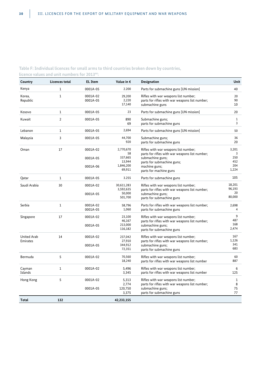# **Table F: Individual licences for small arms to third countries broken down by countries, licence values and unit numbers for 201344:**

| Country                        | <b>Licences total</b> | <b>EL</b> Item       | Value in $\epsilon$            | <b>Designation</b>                                                                                        | Unit                   |
|--------------------------------|-----------------------|----------------------|--------------------------------|-----------------------------------------------------------------------------------------------------------|------------------------|
| Kenya                          | $\mathbf{1}$          | 0001A-05             | 2.200                          | Parts for submachine guns [UN mission]                                                                    | 40                     |
| Korea,<br>Republic             | $\mathbf{1}$          | 0001A-02<br>0001A-05 | 29,200<br>2,220<br>17,140      | Rifles with war weapons list number;<br>parts for rifles with war weapons list number;<br>submachine guns | 20<br>90<br>10         |
| Kosovo                         | $\mathbf{1}$          | 0001A-05             | 23                             | Parts for submachine guns [UN mission]                                                                    | 20                     |
| Kuwait                         | $\overline{2}$        | 0001A-05             | 890<br>69                      | Submachine guns;<br>parts for submachine guns                                                             | $\mathbf{1}$<br>3      |
| Lebanon                        | $\mathbf{1}$          | 0001A-05             | 2,694                          | Parts for submachine guns [UN mission]                                                                    | 50                     |
| Malaysia                       | 3                     | 0001A-05             | 44,700<br>920                  | Submachine guns;<br>parts for submachine guns                                                             | 36<br>20               |
| Oman                           | 17                    | 0001A-02             | 2,770,670<br>58                | Rifles with war weapons list number;<br>parts for rifles with war weapons list number;                    | 3,201<br>3             |
|                                |                       | 0001A-05<br>0001A-06 | 337,665<br>13,944<br>1,846,200 | submachine guns;<br>parts for submachine guns;<br>machine guns;                                           | 250<br>452<br>204      |
|                                |                       |                      | 69,911                         | parts for machine guns                                                                                    | 1,224                  |
| Qatar                          | $\mathbf{1}$          | 0001A-05             | 3.255                          | Parts for submachine guns                                                                                 | 105                    |
| Saudi Arabia                   | 30                    | 0001A-02             | 30,611,283<br>3,592,635        | Rifles with war weapons list number;<br>parts for rifles with war weapons list number;                    | 18,201<br>96,193<br>20 |
|                                |                       | 0001A-05             | 50,000<br>501,700              | submachine guns;<br>parts for submachine guns                                                             | 80,000                 |
| Serbia                         | $\mathbf{1}$          | 0001A-02<br>0001A-05 | 58,796<br>1,060                | Parts for rifles with war weapons list number;<br>parts for submachine guns                               | 2,698<br>4             |
| Singapore                      | 17                    | 0001A-02             | 23,100<br>46,167               | Rifles with war weapons list number;<br>parts for rifles with war weapons list number;                    | 9<br>487               |
|                                |                       | 0001A-05             | 213,000<br>116,182             | submachine guns;<br>parts for submachine guns                                                             | 168<br>2,474           |
| <b>United Arab</b><br>Emirates | 14                    | 0001A-02             | 237,042<br>27,910              | Rifles with war weapons list number;<br>parts for rifles with war weapons list number;                    | 167<br>1,126           |
|                                |                       | 0001A-05             | 344,912<br>72,351              | submachine guns;<br>parts for submachine guns                                                             | 341<br>683             |
| Bermuda                        | 5                     | 0001A-02             | 70,560<br>18,240               | Rifles with war weapons list number;<br>parts for rifles with war weapons list number                     | 60<br>887              |
| Cayman<br>Islands              | $\mathbf{1}$          | 0001A-02             | 5,496<br>3,345                 | Rifles with war weapons list number;<br>parts for rifles with war weapons list number                     | 6<br>125               |
| Hong Kong                      | 5                     | 0001A-02             | 5,313                          | Rifles with war weapons list number;                                                                      | 1                      |
|                                |                       | 0001A-05             | 2,774<br>120,750<br>3,375      | parts for rifles with war weapons list number;<br>submachine guns;<br>parts for submachine guns           | 8<br>75<br>77          |
| <b>Total</b>                   | 132                   |                      | 42,233,155                     |                                                                                                           |                        |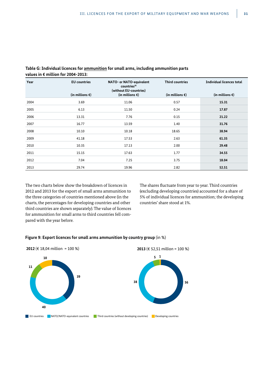| Year | <b>EU</b> countries<br>(in millions $\epsilon$ ) | NATO- or NATO-equivalent<br>countries <sup>36</sup><br>(without EU-countries)<br>(in millions $\epsilon$ ) | <b>Third countries</b><br>(in millions $\epsilon$ ) | <b>Individual licences total</b><br>(in millions $\epsilon$ ) |
|------|--------------------------------------------------|------------------------------------------------------------------------------------------------------------|-----------------------------------------------------|---------------------------------------------------------------|
| 2004 | 3.69                                             | 11.06                                                                                                      | 0.57                                                | 15.31                                                         |
| 2005 | 6.13                                             | 11.50                                                                                                      | 0.24                                                | 17.87                                                         |
| 2006 | 13.31                                            | 7.76                                                                                                       | 0.15                                                | 21.22                                                         |
| 2007 | 16.77                                            | 13.59                                                                                                      | 1.40                                                | 31.76                                                         |
| 2008 | 10.10                                            | 10.18                                                                                                      | 18.65                                               | 38.94                                                         |
| 2009 | 41.18                                            | 17.53                                                                                                      | 2.63                                                | 61.35                                                         |
| 2010 | 10.35                                            | 17.13                                                                                                      | 2.00                                                | 29.48                                                         |
| 2011 | 15.15                                            | 17.63                                                                                                      | 1.77                                                | 34.55                                                         |
| 2012 | 7.04                                             | 7.25                                                                                                       | 3.75                                                | 18.04                                                         |
| 2013 | 29.74                                            | 19.96                                                                                                      | 2.82                                                | 52.51                                                         |

**Table G: Individual licences for ammunition for small arms, including ammunition parts values in € million for 2004-2013:**

The two charts below show the breakdown of licences in 2012 and 2013 for the export of small arms ammunition to the three categories of countries mentioned above (in the charts, the percentages for developing countries and other third countries are shown separately). The value of licences for ammunition for small arms to third countries fell compared with the year before.

The shares fluctuate from year to year. Third countries (excluding developing countries) accounted for a share of 5% of individual licences for ammunition; the developing countries' share stood at 1%.

#### **Figure 9: Export licences for small arms ammunition by country group** (in %)

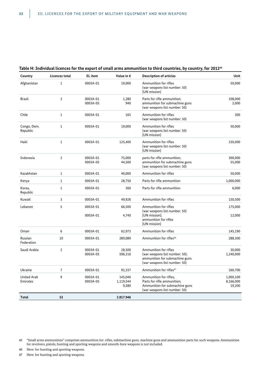| Country                        | <b>Licences total</b> | <b>EL</b> item       | Value in €                    | <b>Description of articles</b>                                                                                             | Unit                             |
|--------------------------------|-----------------------|----------------------|-------------------------------|----------------------------------------------------------------------------------------------------------------------------|----------------------------------|
| Afghanistan                    | $\mathbf{1}$          | 0003A-01             | 19,000                        | Ammunition for rifles<br>(war weapons list number: 50)<br>[UN mission]                                                     | 50,000                           |
| <b>Brazil</b>                  | $\overline{2}$        | 0003A-01<br>0003A-05 | 1,280<br>940                  | Parts for rifle ammunition;<br>ammunition for submachine guns<br>(war weapons list number: 50)                             | 108,000<br>2,000                 |
| Chile                          | $\mathbf{1}$          | 0003A-01             | 165                           | Ammunition for rifles<br>(war weapons list number: 50)                                                                     | 300                              |
| Congo, Dem.<br>Republic        | $\mathbf{1}$          | 0003A-01             | 19,000                        | Ammunition for rifles<br>(war weapons list number: 50)<br>[UN mission]                                                     | 50,000                           |
| Haiti                          | $1\,$                 | 0003A-01             | 125,400                       | Ammunition for rifles<br>(war weapons list number: 50)<br>[UN mission]                                                     | 330,000                          |
| Indonesia                      | $\overline{2}$        | 0003A-01<br>0003A-05 | 75,000<br>44,500              | parts for rifle ammunition;<br>ammunition for submachine guns<br>(war weapons list number: 50)                             | 300,000<br>55,000                |
| Kazakhstan                     | $\mathbf{1}$          | 0003A-01             | 40,000                        | Ammunition for rifles                                                                                                      | 50,000                           |
| Kenya                          | $\mathbf{1}$          | 0003A-01             | 28,750                        | Parts for rifle ammunition                                                                                                 | 1,000,000                        |
| Korea,<br>Republic             | $1\,$                 | 0003A-01             | 360                           | Parts for rifle ammunition                                                                                                 | 6,000                            |
| Kuwait                         | 3                     | 0003A-01             | 49,926                        | Ammunition for rifles                                                                                                      | 150,500                          |
| Lebanon                        | 5                     | 0003A-01<br>0003A-01 | 66,500<br>4,740               | Ammunition for rifles<br>(war weapons list number: 50)<br>[UN mission];<br>ammunition for rifles<br>[UN mission]           | 175,000<br>12,000                |
| Oman                           | 6                     | 0003A-01             | 62,973                        | Ammunition for rifles                                                                                                      | 145,190                          |
| Russian<br>Federation          | 10                    | 0003A-01             | 289,089                       | Ammunition for rifles <sup>46</sup>                                                                                        | 288,300                          |
| Saudi Arabia                   | $\overline{2}$        | 0003A-01<br>0003A-05 | 28,500<br>596,316             | Ammunition for rifles<br>(war weapons list number: 50);<br>ammunition for submachine guns<br>(war weapons list number: 50) | 30,000<br>1,240,000              |
| Ukraine                        | $\overline{7}$        | 0003A-01             | 91,337                        | Ammunition for rifles <sup>47</sup>                                                                                        | 160,700                          |
| <b>United Arab</b><br>Emirates | 9                     | 0003A-01<br>0003A-05 | 145,046<br>1,119,544<br>9,580 | Ammunition for rifles:<br>Parts for rifle ammunition;<br>Ammunition for submachine guns<br>(war weapons list number: 50)   | 1,000,100<br>8,166,000<br>19,200 |
| <b>Total</b>                   | 53                    |                      | 2.817.946                     |                                                                                                                            |                                  |

# **Table H: Individual licences for the export of small arms ammunition to third countries, by country, for 201245**

46 Here: for hunting and sporting weapons.

47 Here: for hunting and sporting weapons.

<sup>45</sup> "Small arms ammunition" comprises ammunition for: rifles, submachine guns, machine guns and ammunition parts for such weapons. Ammunition for revolvers, pistols, hunting and sporting weapons and smooth-bore weapons is not included.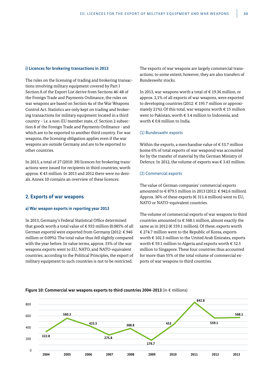#### **i) Licences for brokering transactions in 2013**

The rules on the licensing of trading and brokering transactions involving military equipment covered by Part I Section A of the Export List derive from Sections 46-48 of the Foreign Trade and Payments Ordinance; the rules on war weapons are based on Section 4a of the War Weapons Control Act. Statistics are only kept on trading and brokering transactions for military equipment located in a third country – i.e. a non-EU member state, cf. Section 2 subsection 8 of the Foreign Trade and Payments Ordinance - and which are to be exported to another third country. For war weapons, the licensing obligation applies even if the war weapons are outside Germany and are to be exported to other countries.

In 2013, a total of 27 (2010: 39) licences for brokering transactions were issued for recipients in third countries, worth approx. € 43 million. In 2013 and 2012 there were no denials. Annex 10 contains an overview of these licences.

### **2. Exports of war weapons**

#### **a) War weapon exports in reporting year 2013**

In 2013, Germany's Federal Statistical Office determined that goods worth a total value of € 933 million (0.085% of all German exports) were exported from Germany (2012: € 946 million or 0.09%). The total value thus fell slightly compared with the year before. In value terms, approx. 33% of the war weapons exports went to EU, NATO, and NATO-equivalent countries; according to the Political Principles, the export of military equipment to such countries is not to be restricted.

The exports of war weapons are largely commercial transactions; to some extent, however, they are also transfers of Bundeswehr stocks.

In 2013, war weapons worth a total of € 19.36 million, or approx. 2,1% of all exports of war weapons, were exported to developing countries (2012: € 195.7 million or approximately 21%). Of this total, war weapons worth  $\epsilon$  15 million went to Pakistan, worth € 3.4 million to Indonesia, and worth  $\epsilon$  0.8 million to India.

#### (1) Bundeswehr exports

Within the exports, a merchandise value of  $\epsilon$  53.7 million (some 6% of total exports of war weapons) was accounted for by the transfer of material by the German Ministry of Defence. In 2012, the volume of exports was € 3.43 million.

#### (2) Commercial exports

The value of German companies' commercial exports amounted to € 879.5 million in 2013 (2012: € 942.6 million). Approx. 36% of these exports (€ 311.4 million) went to EU, NATO or NATO-equivalent countries.

The volume of commercial exports of war weapons to third countries amounted to  $\epsilon$  568.1 million, almost exactly the same as in 2012 ( $\epsilon$  559.1 million). Of these, exports worth € 274.7 million went to the Republic of Korea, exports worth € 102.3 million to the United Arab Emirates, exports worth € 59.1 million to Algeria and exports worth € 52.5 million to Singapore. These four countries thus accounted for more than 55% of the total volume of commercial exports of war weapons to third countries.



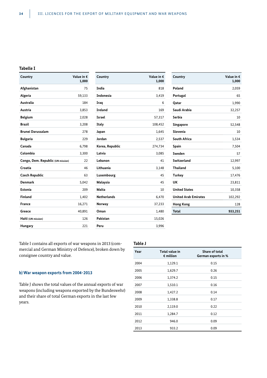#### **Tabelle I**

| Country                           | Value in $\epsilon$<br>1,000 |
|-----------------------------------|------------------------------|
| Afghanistan                       | 75                           |
| Algeria                           | 59,133                       |
| <b>Australia</b>                  | 184                          |
| Austria                           | 3,853                        |
| <b>Belgium</b>                    | 2,028                        |
| <b>Brazil</b>                     | 3,208                        |
| <b>Brunei Darussalam</b>          | 278                          |
| <b>Bulgaria</b>                   | 229                          |
| Canada                            | 6,798                        |
| Colombia                          | 3,300                        |
| Congo, Dem. Republic (UN mission) | 22                           |
| Croatia                           | 46                           |
| <b>Czech Republic</b>             | 63                           |
| <b>Denmark</b>                    | 5,042                        |
| Estonia                           | 209                          |
| Finland                           | 1,402                        |
| <b>France</b>                     | 16,271                       |
| Greece                            | 40,891                       |
| Haiti (UN mission)                | 126                          |
| Hungary                           | 221                          |

| Country            | Value in $\epsilon$<br>1,000 |
|--------------------|------------------------------|
| India              | 818                          |
| <b>Indonesia</b>   | 3,419                        |
| Iraq               | 6                            |
| <b>Ireland</b>     | 169                          |
| <b>Israel</b>      | 57,317                       |
| Italy              | 108,452                      |
| Japan              | 1,645                        |
| Jordan             | 2,537                        |
| Korea, Republic    | 274,734                      |
| Latvia             | 3,085                        |
| Lebanon            | 41                           |
| Lithuania          | 3,148                        |
| Luxembourg         | 45                           |
| Malaysia           | 45                           |
| Malta              | 10                           |
| <b>Netherlands</b> | 6,470                        |
| Norway             | 37,233                       |
| Oman               | 1,480                        |
| Pakistan           | 15,026                       |
| Peru               | 3,996                        |

| Country                     | Value in €<br>1,000 |
|-----------------------------|---------------------|
| Poland                      | 2,059               |
| Portugal                    | 65                  |
| Qatar                       | 1,990               |
| Saudi Arabia                | 32,257              |
| Serbia                      | 10                  |
| Singapore                   | 52,548              |
| Slovenia                    | 10                  |
| <b>South Africa</b>         | 1,534               |
| Spain                       | 7,504               |
| Sweden                      | 57                  |
| Switzerland                 | 12,997              |
| <b>Thailand</b>             | 5,100               |
| Turkey                      | 17,476              |
| UK                          | 23,811              |
| <b>United States</b>        | 10,358              |
| <b>United Arab Emirates</b> | 102,292             |
| <b>Hong Kong</b>            | 128                 |
| <b>Total</b>                | 933,251             |
|                             |                     |

Table I contains all exports of war weapons in 2013 (commercial and German Ministry of Defence), broken down by consignee country and value.

#### **b) War weapon exports from 2004-2013**

Table J shows the total values of the annual exports of war weapons (including weapons exported by the Bundeswehr) and their share of total German exports in the last few years.

| Table J |                                             |                                              |
|---------|---------------------------------------------|----------------------------------------------|
| Year    | <b>Total value in</b><br>$\epsilon$ million | <b>Share of total</b><br>German exports in % |
| 2004    | 1,129.1                                     | 0.15                                         |
| 2005    | 1,629.7                                     | 0.26                                         |
| 2006    | 1,374.2                                     | 0.15                                         |
| 2007    | 1,510.1                                     | 0.16                                         |
| 2008    | 1,427.2                                     | 0.14                                         |
| 2009    | 1,338.8                                     | 0.17                                         |
| 2010    | 2,119.0                                     | 0.22                                         |
| 2011    | 1,284.7                                     | 0.12                                         |
| 2012    | 946.0                                       | 0.09                                         |
| 2013    | 933.2                                       | 0.09                                         |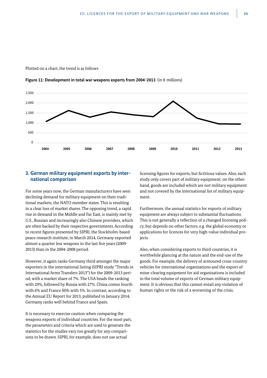

2,000

1,500

2,500

**Figure 11: Development in total war weapons exports from 2004-2013** (in € millions)



# **3. German military equipment exports by international comparison**

For some years now, the German manufacturers have seen declining demand for military equipment on their traditional markets, the NATO member states. This is resulting in a clear loss of market shares. The opposing trend, a rapid rise in demand in the Middle and Far East, is mainly met by U.S., Russian and increasingly also Chinese providers, which are often backed by their respective governments. According to recent figures presented by SIPRI, the Stockholm-based peace research institute, in March 2014, Germany exported almost a quarter less weapons in the last five years (2009- 2013) than in the 2004-2008 period.

However, it again ranks Germany third amongst the major exporters in the international listing (SIPRI study "Trends in International Arms Transfers 2013") for the 2009-2013 period, with a market share of 7%. The USA heads the ranking with 29%, followed by Russia with 27%. China comes fourth with 6% and France fifth with 5%. In contrast, according to the Annual EU Report for 2013, published in January 2014, Germany ranks well behind France and Spain.

It is necessary to exercise caution when comparing the weapons exports of individual countries. For the most part, the parameters and criteria which are used to generate the statistics for the studies vary too greatly for any comparisons to be drawn. SIPRI, for example, does not use actual

licensing figures for exports, but fictitious values. Also, each study only covers part of military equipment; on the other hand, goods are included which are not military equipment and not covered by the international list of military equipment.

Furthermore, the annual statistics for exports of military equipment are always subject to substantial fluctuations. This is not generally a reflection of a changed licensing policy, but depends on other factors, e.g. the global economy or applications for licences for very high-value individual projects.

Also, when considering exports to third countries, it is worthwhile glancing at the nature and the end-use of the goods. For example, the delivery of armoured cross-country vehicles for international organisations and the export of mine-clearing equipment for aid organisations is included in the total volume of exports of German military equipment. It is obvious that this cannot entail any violation of human rights or the risk of a worsening of the crisis.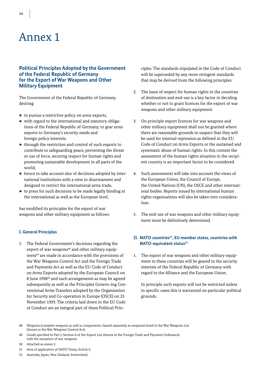# **Political Principles Adopted by the Government of the Federal Republic of Germany for the Export of War Weapons and Other Military Equipment**

The Government of the Federal Republic of Germany, desiring

- $\bullet$  to pursue a restrictive policy on arms exports,
- $\bullet$  with regard to the international and statutory obligations of the Federal Republic of Germany, to gear arms exports to Germany's security needs and foreign policy interests,
- through the restriction and control of such exports to contribute to safeguarding peace, preventing the threat or use of force, securing respect for human rights and promoting sustainable development in all parts of the world,
- hence to take account also of decisions adopted by international institutions with a view to disarmament and designed to restrict the international arms trade,
- $\bullet$  to press for such decisions to be made legally binding at the international as well as the European level,

has modified its principles for the export of war weapons and other military equipment as follows:

# **I. General Principles**

1. The Federal Government's decisions regarding the export of war weapons<sup>48</sup> and other military equipment<sup>49</sup> are made in accordance with the provisions of the War Weapons Control Act and the Foreign Trade and Payments Act as well as the EU Code of Conduct on Arms Exports adopted by the European Council on 8 June 1998<sup>50</sup> and such arrangements as may be agreed subsequently as well as the Principles Govern¬ing Conventional Arms Transfers adopted by the Organisation for Security and Co-operation in Europe (OSCE) on 25 November 1993. The criteria laid down in the EU Code of Conduct are an integral part of these Political Principles. The standards stipulated in the Code of Conduct will be superseded by any more stringent standards that may be derived from the following principles:

- 2. The issue of respect for human rights in the countries of destination and end-use is a key factor in deciding whether or not to grant licences for the export of war weapons and other military equipment.
- 3. On principle export licences for war weapons and other military equipment shall not be granted where there are reasonable grounds to suspect that they will be used for internal repression as defined in the EU Code of Conduct on Arms Exports or the sustained and systematic abuse of human rights. In this context the assessment of the human rights situation in the recipient country is an important factor to be considered.
- 4. Such assessments will take into account the views of the European Union, the Council of Europe, the United Nations (UN), the OSCE and other international bodies. Reports issued by international human rights organisations will also be taken into consideration.
- 5. The end-use of war weapons and other military equipment must be definitively determined.

# II. NATO countries<sup>51</sup>, EU member states, countries with **NATO-equivalent status<sup>52</sup>**

1. The export of war weapons and other military equipment to these countries will be geared to the security interests of the Federal Republic of Germany with regard to the Alliance and the European Union.

 In principle such exports will not be restricted unless in specific cases this is warranted on particular political grounds.

52 Australia, Japan, New Zealand, Switzerland.

<sup>48</sup> Weapons (complete weapons as well as components classed separately as weapons) listed in the War Weapons List (Annex to the War Weapons Control Act).

<sup>49</sup> Goods specified in Part I, Section A of the Export List (Annex to the Foreign Trade and Payment Ordinance) with the exception of war weapons.

<sup>50</sup> Attached as annex 2.

<sup>51</sup> Area of application of NATO Treaty, Article 6.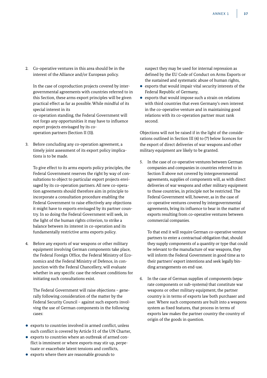2. Co-operative ventures in this area should be in the interest of the Alliance and/or European policy.

 In the case of coproduction projects covered by intergovernmental agreements with countries referred to in this Section, these arms export principles will be given practical effect as far as possible. While mindful of its special interest in its co-operation standing, the Federal Government will not forgo any opportunities it may have to influence export projects envisaged by its cooperation partners (Section II (3)).

3. Before concluding any co-operation agreement, a timely joint assessment of its export policy implications is to be made.

 To give effect to its arms exports policy principles, the Federal Government reserves the right by way of consultations to object to particular export projects envisaged by its co-operation partners. All new co-operation agreements should therefore aim in principle to incorporate a consultation procedure enabling the Federal Government to raise effectively any objections it might have to exports envisaged by its partner country. In so doing the Federal Government will seek, in the light of the human rights criterion, to strike a balance between its interest in co-operation and its fundamentally restrictive arms exports policy.

4. Before any exports of war weapons or other military equipment involving German components take place, the Federal Foreign Office, the Federal Ministry of Economics and the Federal Ministry of Defence, in conjunction with the Federal Chancellery, will evaluate whether in any specific case the relevant conditions for initiating such consultations exist.

 The Federal Government will raise objections – generally following consideration of the matter by the Federal Security Council – against such exports involving the use of German components in the following cases:

- $\bullet$  exports to countries involved in armed conflict, unless such conflict is covered by Article 51 of the UN Charter,
- exports to countries where an outbreak of armed conflict is imminent or where exports may stir up, perpetuate or exacerbate latent tensions and conflicts,
- exports where there are reasonable grounds to

suspect they may be used for internal repression as defined by the EU Code of Conduct on Arms Exports or the sustained and systematic abuse of human rights,

- $\bullet~$  exports that would impair vital security interests of the Federal Republic of Germany,
- $\bullet$  exports that would impose such a strain on relations with third countries that even Germany's own interest in the co-operative venture and in maintaining good relations with its co-operation partner must rank second.

Objections will not be raised if in the light of the considerations outlined in Section III (4) to (7) below licences for the export of direct deliveries of war weapons and other military equipment are likely to be granted.

5. In the case of co-operative ventures between German companies and companies in countries referred to in Section II above not covered by intergovernmental agreements, supplies of components will, as with direct deliveries of war weapons and other military equipment to those countries, in principle not be restricted. The Federal Government will, however, as in the case of co-operative ventures covered by intergovernmental agreements, bring its influence to bear in the matter of exports resulting from co-operative ventures between commercial companies.

 To that end it will require German co-operative venture partners to enter a contractual obligation that, should they supply components of a quantity or type that could be relevant to the manufacture of war weapons, they will inform the Federal Government in good time as to their partners' export intentions and seek legally binding arrangements on end-use.

6. In the case of German supplies of components (separate components or sub-systems) that constitute war weapons or other military equipment, the partner country is in terms of exports law both purchaser and user. Where such components are built into a weapons system as fixed features, that process in terms of exports law makes the partner country the country of origin of the goods in question.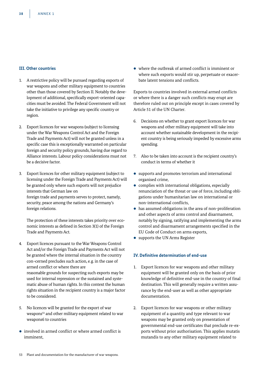# **III. Other countries**

- 1. A restrictive policy will be pursued regarding exports of war weapons and other military equipment to countries other than those covered by Section II. Notably the development of additional, specifically export-oriented capacities must be avoided. The Federal Government will not take the initiative to privilege any specific country or region.
- 2. Export licences for war weapons (subject to licensing under the War Weapons Control Act and the Foreign Trade and Payments Act) will not be granted unless in a specific case this is exceptionally warranted on particular foreign and security policy grounds, having due regard to Alliance interests. Labour policy considerations must not be a decisive factor.
- 3. Export licences for other military equipment (subject to licensing under the Foreign Trade and Payments Act) will be granted only where such exports will not prejudice interests that German law on foreign trade and payments serves to protect, namely, security, peace among the nations and Germany's foreign relations.

 The protection of these interests takes priority over economic interests as defined in Section 3(1) of the Foreign Trade and Payments Act.

- 4. Export licences pursuant to the War Weapons Control Act and/or the Foreign Trade and Payments Act will not be granted where the internal situation in the country con¬cerned precludes such action, e.g. in the case of armed conflict or where there are reasonable grounds for suspecting such exports may be used for internal repression or the sustained and systematic abuse of human rights. In this context the human rights situation in the recipient country is a major factor to be considered.
- 5. No licences will be granted for the export of war weapons<sup>53</sup> and other military equipment related to war weapons6 to countries
- involved in armed conflict or where armed conflict is imminent,

 $\bullet$  where the outbreak of armed conflict is imminent or where such exports would stir up, perpetuate or exacerbate latent tensions and conflicts.

Exports to countries involved in external armed conflicts or where there is a danger such conflicts may erupt are therefore ruled out on principle except in cases covered by Article 51 of the UN Charter.

- 6. Decisions on whether to grant export licences for war weapons and other military equipment will take into account whether sustainable development in the recipient country is being seriously impeded by excessive arms spending.
- 7. Also to be taken into account is the recipient country's conduct in terms of whether it
- $\bullet$  supports and promotes terrorism and international organised crime,
- $\bullet$  complies with international obligations, especially renunciation of the threat or use of force, including obligations under humanitarian law on international or non-international conflicts,
- $\bullet$  has assumed obligations in the area of non-proliferation and other aspects of arms control and disarmament, notably by signing, ratifying and implementing the arms control and disarmament arrangements specified in the EU Code of Conduct on arms exports,
- supports the UN Arms Register

# **IV. Definitive determination of end-use**

- 1. Export licences for war weapons and other military equipment will be granted only on the basis of prior knowledge of definitive end-use in the country of final destination. This will generally require a written assurance by the end-user as well as other appropriate documentation.
- 2. Export licences for war weapons or other military equipment of a quantity and type relevant to war weapons may be granted only on presentation of governmental end-use certificates that preclude re-exports without prior authorisation. This applies mutatis mutandis to any other military equipment related to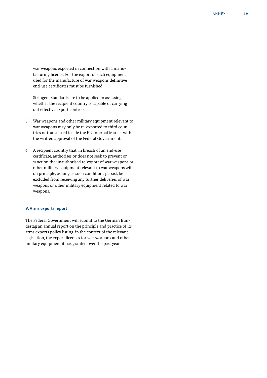war weapons exported in connection with a manufacturing licence. For the export of such equipment used for the manufacture of war weapons definitive end-use certificates must be furnished.

 Stringent standards are to be applied in assessing whether the recipient country is capable of carrying out effective export controls.

- 3. War weapons and other military equipment relevant to war weapons may only be re-exported to third countries or transferred inside the EU Internal Market with the written approval of the Federal Government.
- 4. A recipient country that, in breach of an end-use certificate, authorises or does not seek to prevent or sanction the unauthorised re-export of war weapons or other military equipment relevant to war weapons will on principle, as long as such conditions persist, be excluded from receiving any further deliveries of war weapons or other military equipment related to war weapons.

# **V. Arms exports report**

The Federal Government will submit to the German Bundestag an annual report on the principle and practice of its arms exports policy listing, in the context of the relevant legislation, the export licences for war weapons and other military equipment it has granted over the past year.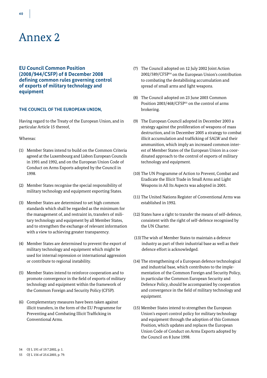**EU Council Common Position (2008/944/CSFP) of 8 December 2008 defining common rules governing control of exports of military technology and equipment**

### **THE COUNCIL OF THE EUROPEAN UNION,**

Having regard to the Treaty of the European Union, and in particular Article 15 thereof,

### Whereas:

- (1) Member States intend to build on the Common Criteria agreed at the Luxembourg and Lisbon European Councils in 1991 and 1992, and on the European Union Code of Conduct on Arms Exports adopted by the Council in 1998.
- (2) Member States recognise the special responsibility of military technology and equipment exporting States.
- (3) Member States are determined to set high common standards which shall be regarded as the minimum for the management of, and restraint in, transfers of military technology and equipment by all Member States, and to strengthen the exchange of relevant information with a view to achieving greater transparency.
- (4) Member States are determined to prevent the export of military technology and equipment which might be used for internal repression or international aggression or contribute to regional instability.
- (5) Member States intend to reinforce cooperation and to promote convergence in the field of exports of military technology and equipment within the framework of the Common Foreign and Security Policy (CFSP).
- (6) Complementary measures have been taken against illicit transfers, in the form of the EU Programme for Preventing and Combating Illicit Trafficking in Conventional Arms.
- (7) The Council adopted on 12 July 2002 Joint Action 2002/589/CFSP54 on the European Union's contribution to combating the destabilising accumulation and spread of small arms and light weapons.
- (8) The Council adopted on 23 June 2003 Common Position 2003/468/CFSP<sup>55</sup> on the control of arms brokering.
- (9) The European Council adopted in December 2003 a strategy against the proliferation of weapons of mass destruction, and in December 2005 a strategy to combat illicit accumulation and trafficking of SALW and their ammunition, which imply an increased common interest of Member States of the European Union in a coordinated approach to the control of exports of military technology and equipment.
- (10) The UN Programme of Action to Prevent, Combat and Eradicate the Illicit Trade in Small Arms and Light Weapons in All Its Aspects was adopted in 2001.
- (11) The United Nations Register of Conventional Arms was established in 1992.
- (12) States have a right to transfer the means of self-defence, consistent with the right of self-defence recognised by the UN Charter.
- (13) The wish of Member States to maintain a defence industry as part of their industrial base as well as their defence effort is acknowledged.
- (14) The strengthening of a European defence technological and industrial base, which contributes to the implementation of the Common Foreign and Security Policy, in particular the Common European Security and Defence Policy, should be accompanied by cooperation and convergence in the field of military technology and equipment.
- (15) Member States intend to strengthen the European Union's export control policy for military technology and equipment through the adoption of this Common Position, which updates and replaces the European Union Code of Conduct on Arms Exports adopted by the Council on 8 June 1998.

54 OJ L 191 of 19.7.2002, p. 1.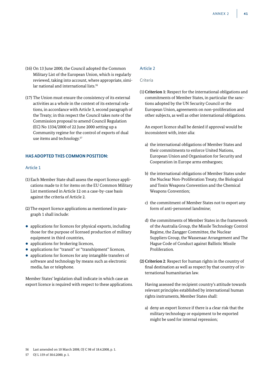- (16) On 13 June 2000, the Council adopted the Common Military List of the European Union, which is regularly reviewed, taking into account, where appropriate, similar national and international lists.<sup>56</sup>
- (17) The Union must ensure the consistency of its external activities as a whole in the context of its external relations, in accordance with Article 3, second paragraph of the Treaty; in this respect the Council takes note of the Commission proposal to amend Council Regulation (EC) No 1334/2000 of 22 June 2000 setting up a Community regime for the control of exports of dual use items and technology.57

# **HAS ADOPTED THIS COMMON POSITION:**

# Article 1

- (1) Each Member State shall assess the export licence applications made to it for items on the EU Common Military List mentioned in Article 12 on a case-by-case basis against the criteria of Article 2.
- (2) The export licence applications as mentioned in paragraph 1 shall include:
- $\bullet$  applications for licences for physical exports, including those for the purpose of licensed production of military equipment in third countries,
- applications for brokering licences,
- applications for "transit" or "transhipment" licences,
- applications for licences for any intangible transfers of software and technology by means such as electronic media, fax or telephone.

Member States' legislation shall indicate in which case an export licence is required with respect to these applications.

# Article 2

### Criteria

(1) **Criterion 1:** Respect for the international obligations and commitments of Member States, in particular the sanctions adopted by the UN Security Council or the European Union, agreements on non-proliferation and other subjects, as well as other international obligations.

 An export licence shall be denied if approval would be inconsistent with, inter alia:

- a) the international obligations of Member States and their commitments to enforce United Nations, European Union and Organisation for Security and Cooperation in Europe arms embargoes;
- b) the international obligations of Member States under the Nuclear Non-Proliferation Treaty, the Biological and Toxin Weapons Convention and the Chemical Weapons Convention;
- c) the commitment of Member States not to export any form of anti-personnel landmine;
- d) the commitments of Member States in the framework of the Australia Group, the Missile Technology Control Regime, the Zangger Committee, the Nuclear Suppliers Group, the Wassenaar Arrangement and The Hague Code of Conduct against Ballistic Missile Proliferation.
- **(2) Criterion 2**: Respect for human rights in the country of final destination as well as respect by that country of international humanitarian law.

 Having assessed the recipient country's attitude towards relevant principles established by international human rights instruments, Member States shall:

a) deny an export licence if there is a clear risk that the military technology or equipment to be exported might be used for internal repression;

56 Last amended on 10 March 2008, OJ C 98 of 18.4.2008, p. 1.

57 OJ L 159 of 30.6.2000, p. 1.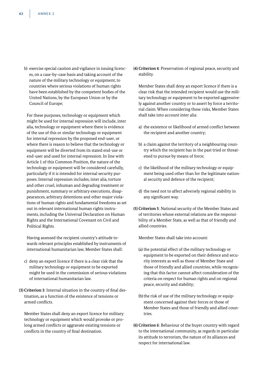b) exercise special caution and vigilance in issuing licences, on a case-by-case basis and taking account of the nature of the military technology or equipment, to countries where serious violations of human rights have been established by the competent bodies of the United Nations, by the European Union or by the Council of Europe;

 For these purposes, technology or equipment which might be used for internal repression will include, inter alia, technology or equipment where there is evidence of the use of this or similar technology or equipment for internal repression by the proposed end-user, or where there is reason to believe that the technology or equipment will be diverted from its stated end-use or end-user and used for internal repression. In line with Article 1 of this Common Position, the nature of the technology or equipment will be considered carefully, particularly if it is intended for internal security purposes. Internal repression includes, inter alia, torture and other cruel, inhuman and degrading treatment or punishment, summary or arbitrary executions, disappearances, arbitrary detentions and other major violations of human rights and fundamental freedoms as set out in relevant international human rights instruments, including the Universal Declaration on Human Rights and the International Covenant on Civil and Political Rights.

 Having assessed the recipient country's attitude towards relevant principles established by instruments of international humanitarian law, Member States shall:

- c) deny an export licence if there is a clear risk that the military technology or equipment to be exported might be used in the commission of serious violations of international humanitarian law.
- **(3) Criterion 3**: Internal situation in the country of final destination, as a function of the existence of tensions or armed conflicts.

 Member States shall deny an export licence for military technology or equipment which would provoke or prolong armed conflicts or aggravate existing tensions or conflicts in the country of final destination.

**(4) Criterion 4**: Preservation of regional peace, security and stability.

 Member States shall deny an export licence if there is a clear risk that the intended recipient would use the military technology or equipment to be exported aggressively against another country or to assert by force a territorial claim. When considering these risks, Member States shall take into account inter alia:

- a) the existence or likelihood of armed conflict between the recipient and another country;
- b) a claim against the territory of a neighbouring country which the recipient has in the past tried or threatened to pursue by means of force;
- c) the likelihood of the military technology or equipment being used other than for the legitimate national security and defence of the recipient;
- d) the need not to affect adversely regional stability in any significant way.
- **(5) Criterion 5**: National security of the Member States and of territories whose external relations are the responsibility of a Member State, as well as that of friendly and allied countries.

Member States shall take into account:

- (a) the potential effect of the military technology or equipment to be exported on their defence and security interests as well as those of Member State and those of friendly and allied countries, while recognising that this factor cannot affect consideration of the criteria on respect for human rights and on regional peace, security and stability;
- (b) the risk of use of the military technology or equipment concerned against their forces or those of Member States and those of friendly and allied countries.

**(6) Criterion 6**: Behaviour of the buyer country with regard to the international community, as regards in particular its attitude to terrorism, the nature of its alliances and respect for international law.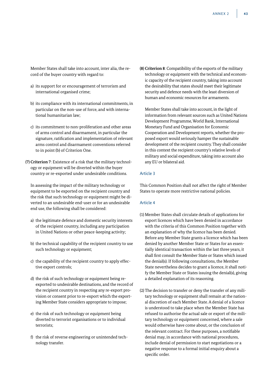Member States shall take into account, inter alia, the record of the buyer country with regard to:

- a) its support for or encouragement of terrorism and international organised crime;
- b) its compliance with its international commitments, in particular on the non-use of force, and with international humanitarian law;
- c) its commitment to non-proliferation and other areas of arms control and disarmament, in particular the signature, ratification and implementation of relevant arms control and disarmament conventions referred to in point (b) of Criterion One.
- **(7) Criterion 7**: Existence of a risk that the military technology or equipment will be diverted within the buyer country or re-exported under undesirable conditions.

 In assessing the impact of the military technology or equipment to be exported on the recipient country and the risk that such technology or equipment might be diverted to an undesirable end-user or for an undesirable end use, the following shall be considered:

- a) the legitimate defence and domestic security interests of the recipient country, including any participation in United Nations or other peace-keeping activity;
- b) the technical capability of the recipient country to use such technology or equipment;
- c) the capability of the recipient country to apply effective export controls;
- d) the risk of such technology or equipment being reexported to undesirable destinations, and the record of the recipient country in respecting any re-export provision or consent prior to re-export which the exporting Member State considers appropriate to impose;
- e) the risk of such technology or equipment being diverted to terrorist organisations or to individual terrorists;
- f) the risk of reverse engineering or unintended technology transfer.

**(8) Criterion 8**: Compatibility of the exports of the military technology or equipment with the technical and economic capacity of the recipient country, taking into account the desirability that states should meet their legitimate security and defence needs with the least diversion of human and economic resources for armaments.

 Member States shall take into account, in the light of information from relevant sources such as United Nations Development Programme, World Bank, International Monetary Fund and Organisation for Economic Cooperation and Development reports, whether the proposed export would seriously hamper the sustainable development of the recipient country. They shall consider in this context the recipient country's relative levels of military and social expenditure, taking into account also any EU or bilateral aid.

# Article 3

This Common Position shall not affect the right of Member States to operate more restrictive national policies.

### Article 4

- (1) Member States shall circulate details of applications for export licences which have been denied in accordance with the criteria of this Common Position together with an explanation of why the licence has been denied. Before any Member State grants a licence which has been denied by another Member State or States for an essentially identical transaction within the last three years, it shall first consult the Member State or States which issued the denial(s). If following consultations, the Member State nevertheless decides to grant a licence, it shall notify the Member State or States issuing the denial(s), giving a detailed explanation of its reasoning.
- (2) The decision to transfer or deny the transfer of any military technology or equipment shall remain at the national discretion of each Member State. A denial of a licence is understood to take place when the Member State has refused to authorise the actual sale or export of the military technology or equipment concerned, where a sale would otherwise have come about, or the conclusion of the relevant contract. For these purposes, a notifiable denial may, in accordance with national procedures, include denial of permission to start negotiations or a negative response to a formal initial enquiry about a specific order.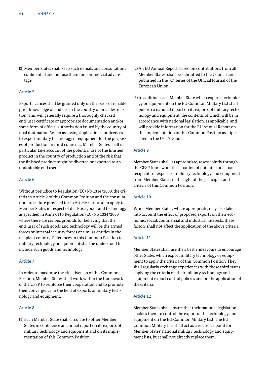(3) Member States shall keep such denials and consultations confidential and not use them for commercial advantage.

# Article 5

Export licences shall be granted only on the basis of reliable prior knowledge of end use in the country of final destination. This will generally require a thoroughly checked end-user certificate or appropriate documentation and/or some form of official authorisation issued by the country of final destination. When assessing applications for licences to export military technology or equipment for the purposes of production in third countries, Member States shall in particular take account of the potential use of the finished product in the country of production and of the risk that the finished product might be diverted or exported to an undesirable end user.

# Article 6

Without prejudice to Regulation (EC) No 1334/2000, the criteria in Article 2 of this Common Position and the consultation procedure provided for in Article 4 are also to apply to Member States in respect of dual-use goods and technology as specified in Annex I to Regulation (EC) No 1334/2000 where there are serious grounds for believing that the end-user of such goods and technology will be the armed forces or internal security forces or similar entities in the recipient country. References in this Common Position to military technology or equipment shall be understood to include such goods and technology.

# Article 7

In order to maximise the effectiveness of this Common Position, Member States shall work within the framework of the CFSP to reinforce their cooperation and to promote their convergence in the field of exports of military technology and equipment.

# Article 8

(1) Each Member State shall circulate to other Member States in confidence an annual report on its exports of military technology and equipment and on its implementation of this Common Position.

- (2) An EU Annual Report, based on contributions from all Member States, shall be submitted to the Council and published in the "C" series of the Official Journal of the European Union.
- (3) In addition, each Member State which exports technology or equipment on the EU Common Military List shall publish a national report on its exports of military technology and equipment, the contents of which will be in accordance with national legislation, as applicable, and will provide information for the EU Annual Report on the implementation of this Common Position as stipulated in the User's Guide.

# Article 9

Member States shall, as appropriate, assess jointly through the CFSP framework the situation of potential or actual recipients of exports of military technology and equipment from Member States, in the light of the principles and criteria of this Common Position.

# Article 10

While Member States, where appropriate, may also take into account the effect of proposed exports on their economic, social, commercial and industrial interests, these factors shall not affect the application of the above criteria.

# Article 11

Member States shall use their best endeavours to encourage other States which export military technology or equipment to apply the criteria of this Common Position. They shall regularly exchange experiences with those third states applying the criteria on their military technology and equipment export control policies and on the application of the criteria.

# Article 12

Member States shall ensure that their national legislation enables them to control the export of the technology and equipment on the EU Common Military List. The EU Common Military List shall act as a reference point for Member States' national military technology and equipment lists, but shall not directly replace them.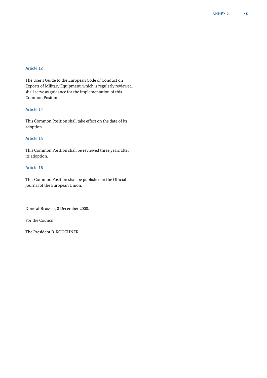# Article 13

The User's Guide to the European Code of Conduct on Exports of Military Equipment, which is regularly reviewed, shall serve as guidance for the implementation of this Common Position.

# Article 14

This Common Position shall take effect on the date of its adoption.

# Article 15

This Common Position shall be reviewed three years after its adoption.

# Article 16

This Common Position shall be published in the Official Journal of the European Union.

Done at Brussels, 8 December 2008.

For the Council

The President B. KOUCHNER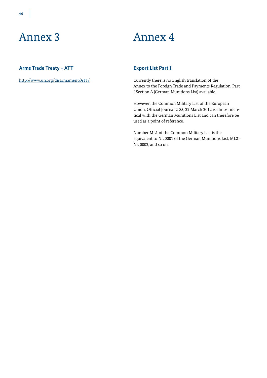# Annex 3 Annex 4

# **Arms Trade Treaty – ATT**

http://www.un.org/disarmament/ATT/

# **Export List Part I**

Currently there is no English translation of the Annex to the Foreign Trade and Payments Regulation, Part I Section A (German Munitions List) available.

However, the Common Military List of the European Union, Official Journal C 85, 22 March 2012 is almost identical with the German Munitions List and can therefore be used as a point of reference.

Number ML1 of the Common Military List is the equivalent to Nr. 0001 of the German Munitions List, ML2 = Nr. 0002, and so on.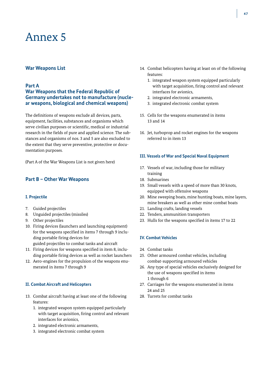# **War Weapons List**

# **Part A**

# **War Weapons that the Federal Republic of Germany undertakes not to manufacture (nuclear weapons, biological and chemical weapons)**

The definitions of weapons exclude all devices, parts, equipment, facilities, substances and organisms which serve civilian purposes or scientific, medical or industrial research in the fields of pure and applied science. The substances and organisms of nos. 3 and 5 are also excluded to the extent that they serve preventive, protective or documentation purposes.

(Part A of the War Weapons List is not given here)

# **Part B – Other War Weapons**

# **I. Projectile**

- 7. Guided projectiles
- 8. Unguided projectiles (missiles)
- 9. Other projectiles
- 10. Firing devices (launchers and launching equipment) for the weapons specified in items 7 through 9 including portable firing devices for guided projectiles to combat tanks and aircraft
- 11. Firing devices for weapons specified in item 8, including portable firing devices as well as rocket launchers
- 12. Aero-engines for the propulsion of the weapons enumerated in items 7 through 9

# **II. Combat Aircraft and Helicopters**

- 13. Combat aircraft having at least one of the following features:
	- 1. integrated weapon system equipped particularly with target acquisition, firing control and relevant interfaces for avionics,
	- 2. integrated electronic armaments,
	- 3. integrated electronic combat system
- 14. Combat helicopters having at least on of the following features:
	- 1. integrated weapon system equipped particularly with target acquisition, firing control and relevant interfaces for avionics,
	- 2. integrated electronic armaments,
	- 3. integrated electronic combat system
- 15. Cells for the weapons enumerated in items 13 and 14
- 16. Jet, turboprop and rocket engines for the weapons referred to in item 13

### **III. Vessels of War and Special Naval Equipment**

- 17. Vessels of war, including those for military training
- 18. Submarines
- 19. Small vessels with a speed of more than 30 knots, equipped with offensive weapons
- 20. Mine sweeping boats, mine hunting boats, mine layers, mine breakers as well as other mine combat boats
- 21. Landing crafts, landing vessels
- 22. Tenders, ammunition transporters
- 23. Hulls for the weapons specified in items 17 to 22

# **IV. Combat Vehicles**

- 24. Combat tanks
- 25. Other armoured combat vehicles, including combat-supporting armoured vehicles
- 26. Any type of special vehicles exclusively designed for the use of weapons specified in items 1 through 6
- 27. Carriages for the weapons enumerated in items 24 and 25
- 28. Turrets for combat tanks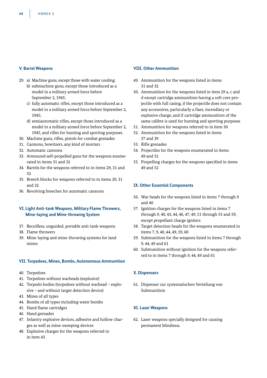# **V. Barrel Weapons**

- 29. a) Machine guns, except those with water cooling;
	- b) submachine guns, except those introduced as a model in a military armed force before September 2, 1945;
	- c) fully automatic rifles, except those introduced as a model in a military armed force before September 2, 1945;
	- d) semiautomatic rifles, except those introduced as a model in a military armed force before September 2, 1945, and rifles for hunting and sporting purposes
- 30. Machine guns, rifles, pistols for combat grenades
- 31. Cannons, howitzers, any kind of mortars
- 32. Automatic cannons
- 33. Armoured self-propelled guns for the weapons enumerated in items 31 and 32
- 34. Barrels for the weapons referred to in items 29, 31 and 32
- 35. Breech blocks for weapons referred to in items 29, 31 and 32
- 36. Revolving breeches for automatic cannons

# **VI. Light Anti-tank Weapons, Military Flame Throwers, Mine-laying and Mine-throwing System**

- 37. Recoilless, unguided, portable anti-tank weapons
- 38. Flame throwers
- 39. Mine-laying and mine-throwing systems for land mines

# **VII. Torpedoes, Mines, Bombs, Autonomous Ammunition**

- 40. Torpedoes
- 41. Torpedoes without warheads (explosive)
- 42. Torpedo bodies (torpedoes without warhead explosive – and without target detection device)
- 43. Mines of all types
- 44. Bombs of all types including water bombs
- 45. Hand flame cartridges
- 46. Hand grenades
- 47. Infantry explosive devices, adhesive and hollow charges as well as mine-sweeping devices
- 48. Explosive charges for the weapons referred to in item 43

# **VIII. Other Ammunition**

- 49. Ammunition for the weapons listed in items 31 and 32
- 50. Ammunition for the weapons listed in item 29 a, c and d except cartridge ammunition having a soft core projectile with full casing, if the projectile does not contain any accessoires, particularly a flare, incendiary or explosive charge, and if cartridge ammunition of the same calibre is used for hunting and sporting purposes
- 51. Ammunition for weapons referred to in item 30
- 52. Ammunition for the weapons listed in items 37 and 39
- 53. Rifle grenades
- 54. Projectiles for the weapons enumerated in items 49 and 52
- 55. Propelling charges for the weapons specified in items 49 and 52

# **IX. Other Essential Components**

- 56. War heads for the weapons listed in items 7 through 9 and 40
- 57. Ignition charges for the weapons listed in items 7 through 9, 40, 43, 44, 46, 47, 49, 51 through 53 and 59, except propellant charge igniters
- 58. Target detection heads for the weapons enumerated in items 7, 9, 40, 44, 49, 59, 60
- 59. Submunition for the weapons listed in items 7 through 9, 44, 49 and 61
- 60. Submunition without ignition for the weapons referred to in items 7 through 9, 44, 49 and 61

# **X. Dispensers**

61. Dispenser zur systematischen Verteilung von Submunition

# **XI. Laser Weapons**

62. Laser weapons specially designed for causing permanent blindness.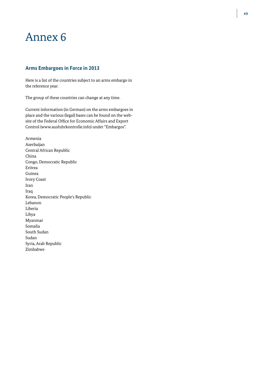# **Arms Embargoes in Force in 2013**

Here is a list of the countries subject to an arms embargo in the reference year.

The group of these countries can change at any time.

Current information (in German) on the arms embargoes in place and the various (legal) bases can be found on the website of the Federal Office for Economic Affairs and Export Control (www.ausfuhrkontrolle.info) under "Embargos".

Armenia Azerbaijan Central African Republic China Congo, Democratic Republic Eritrea Guinea Ivory Coast Iran Iraq Korea, Democratic People's Republic Lebanon Liberia Libya Myanmar Somalia South Sudan Sudan Syria, Arab Republic Zimbabwe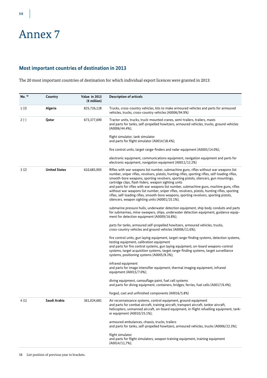# **Most important countries of destination in 2013**

The 20 most important countries of destination for which individual export licences were granted in 2013:

| No. 58 | Country              | Value in 2013<br>$(\epsilon$ million) | <b>Description of articels</b>                                                                                                                                                                                                                                                                                                                                                                                                                                                                                                                                                                                                                                                      |
|--------|----------------------|---------------------------------------|-------------------------------------------------------------------------------------------------------------------------------------------------------------------------------------------------------------------------------------------------------------------------------------------------------------------------------------------------------------------------------------------------------------------------------------------------------------------------------------------------------------------------------------------------------------------------------------------------------------------------------------------------------------------------------------|
| 1(3)   | Algeria              | 825,726,128                           | Trucks, cross-country vehicles, kits to make armoured vehicles and parts for armoured<br>vehicles, trucks, cross-country vehicles (A0006/94.9%)                                                                                                                                                                                                                                                                                                                                                                                                                                                                                                                                     |
| $2(-)$ | Qatar                | 673,377,690                           | Tractor units, trucks, truck-mounted cranes, semi-trailers, trailers, masts<br>and parts for tanks, self-propelled howitzers, armoured vehicles, trucks, ground vehicles<br>$(A0006/44.4\%);$                                                                                                                                                                                                                                                                                                                                                                                                                                                                                       |
|        |                      |                                       | flight simulator, tank simulator<br>and parts for flight simulator (A0014/18.4%);                                                                                                                                                                                                                                                                                                                                                                                                                                                                                                                                                                                                   |
|        |                      |                                       | fire control units, target range-finders and radar equipment (A0005/14.0%);                                                                                                                                                                                                                                                                                                                                                                                                                                                                                                                                                                                                         |
|        |                      |                                       | electronic equipment, communications equipment, navigation equipment and parts for<br>electronic equipment, navigation equipment (A0011/12.2%)                                                                                                                                                                                                                                                                                                                                                                                                                                                                                                                                      |
| 3(2)   | <b>United States</b> | 610,685,905                           | Rifles with war weapons list number, submachine guns, rifles without war weapons list<br>number, sniper rifles, revolvers, pistols, hunting rifles, sporting rifles, self-loading rifles,<br>smooth-bore weapons, sporting revolvers, sporting pistols, silencers, gun mountings,<br>cartridge clips, flash hiders, weapon sighting units<br>and parts for rifles with war weapons list number, submachine guns, machine guns, rifles<br>without war weapons list number, sniper rifles, revolvers, pistols, hunting rifles, sporting<br>rifles, self-loading rifles, smooth-bore weapons, sporting revolvers, sporting pistols,<br>silencers, weapon sighting units (A0001/25.1%); |
|        |                      |                                       | submarine pressure hulls, underwater detection equipment, ship body conduits and parts<br>for submarines, mine-sweepers, ships, underwater detection equipment, guidance equip-<br>ment for detection equipment (A0009/16.8%);                                                                                                                                                                                                                                                                                                                                                                                                                                                      |
|        |                      |                                       | parts for tanks, armoured self-propelled howitzers, armoured vehicles, trucks,<br>cross-country vehicles and ground vehicles (A0006/11.6%);                                                                                                                                                                                                                                                                                                                                                                                                                                                                                                                                         |
|        |                      |                                       | fire control units, gun laying equipment, target range-finding systems, detection systems,<br>testing equipment, calibration equipment                                                                                                                                                                                                                                                                                                                                                                                                                                                                                                                                              |
|        |                      |                                       | and parts for fire control systems, gun laying equipment, on-board weapons-control<br>systems, target acquisition systems, target range-finding systems, target surveillance<br>systems, positioning systems (A0005/8.3%);                                                                                                                                                                                                                                                                                                                                                                                                                                                          |
|        |                      |                                       | infrared equipment<br>and parts for image intensifier equipment, thermal imaging equipment, infrared<br>equipment (A0015/7.0%);                                                                                                                                                                                                                                                                                                                                                                                                                                                                                                                                                     |
|        |                      |                                       | diving equipment, camouflage paint, fuel cell systems<br>and parts for diving equipment, containers, bridges, ferries, fuel cells (A0017/6.4%);                                                                                                                                                                                                                                                                                                                                                                                                                                                                                                                                     |
|        |                      |                                       | forged, cast and unfinished components (A0016/5.8%)                                                                                                                                                                                                                                                                                                                                                                                                                                                                                                                                                                                                                                 |
| 4(1)   | Saudi Arabia         | 361,024,681                           | Air reconnaissance systems, control equipment, ground equipment<br>and parts for combat aircraft, training aircraft, transport aircraft, tanker aircraft,<br>helicopters, unmanned aircraft, on-board equipment, in-flight refuelling equipment, tank-<br>er equipment (A0010/25.1%);                                                                                                                                                                                                                                                                                                                                                                                               |
|        |                      |                                       | armoured ambulances, chassis, trucks, trailers<br>and parts for tanks, self-propelled howitzers, armoured vehicles, trucks (A0006/22.3%);                                                                                                                                                                                                                                                                                                                                                                                                                                                                                                                                           |
|        |                      |                                       | flight simulator<br>and parts for flight simulators, weapon training equipment, training equipment<br>$(A0014/11,7\%)$ ;                                                                                                                                                                                                                                                                                                                                                                                                                                                                                                                                                            |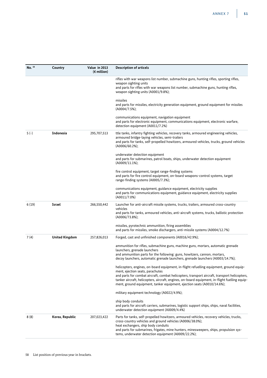| Country               | Value in 2013<br>$(\epsilon$ million) | <b>Description of articels</b>                                                                                                                                                                                                                                                                                                                                                                            |
|-----------------------|---------------------------------------|-----------------------------------------------------------------------------------------------------------------------------------------------------------------------------------------------------------------------------------------------------------------------------------------------------------------------------------------------------------------------------------------------------------|
|                       |                                       | rifles with war weapons list number, submachine guns, hunting rifles, sporting rifles,<br>weapon sighting units<br>and parts for rifles with war weapons list number, submachine guns, hunting rifles,<br>weapon sighting units (A0001/9.8%);                                                                                                                                                             |
|                       |                                       | missiles<br>and parts for missiles, electricity generation equipment, ground equipment for missiles<br>$(A0004/7.5\%);$                                                                                                                                                                                                                                                                                   |
|                       |                                       | communications equipment, navigation equipment<br>and parts for electronic equipment, communications equipment, electronic warfare,<br>detection equipment (A0011/7.2%)                                                                                                                                                                                                                                   |
| Indonesia             | 295,707,513                           | ttle tanks, infantry fighting vehicles, recovery tanks, armoured engineering vehicles,<br>armoured bridge-laying vehicles, semi-trailers<br>and parts for tanks, self-propelled howitzers, armoured vehicles, trucks, ground vehicles<br>(A0006/60.2%);                                                                                                                                                   |
|                       |                                       | underwater detection equipment<br>and parts for submarines, patrol boats, ships, underwater detection equipment<br>$(A0009/11.1\%)$                                                                                                                                                                                                                                                                       |
|                       |                                       | fire control equipment, target range-finding systems<br>and parts for fire control equipment, on-board weapons-control systems, target<br>range-finding systems (A0005/7.3%);                                                                                                                                                                                                                             |
|                       |                                       | communications equipment, guidance equipment, electricity supplies<br>and parts for communications equipment, guidance equipment, electricity supplies<br>(A0011/7.0%)                                                                                                                                                                                                                                    |
| Israel                | 266,550,442                           | Launcher for anti-aircraft missile systems, trucks, trailers, armoured cross-country<br>vehicles<br>and parts for tanks, armoured vehicles, anti-aircraft systems, trucks, ballistic protection<br>$(A0006/73.8\%);$                                                                                                                                                                                      |
|                       |                                       | missiles, pyrotechnic ammunition, firing assemblies<br>and parts for missiles, smoke dischargers, anti-missile systems (A0004/12.7%)                                                                                                                                                                                                                                                                      |
| <b>United Kingdom</b> | 257,826,013                           | Forged, cast and unfinished components (A0016/42.9%);                                                                                                                                                                                                                                                                                                                                                     |
|                       |                                       | ammunition for rifles, submachine guns, machine guns, mortars, automatic grenade<br>launchers, grenade launchers<br>and ammunition parts for the following: guns, howitzers, cannon, mortars,<br>decoy launchers, automatic grenade launchers, grenade launchers (A0003/14.7%);                                                                                                                           |
|                       |                                       | helicopters, engines, on-board equipment, in-flight refuelling equipment, ground equip-<br>ment, ejection seats, parachutes<br>and parts for combat aircraft, combat helicopters, transport aircraft, transport helicopters,<br>tanker aircraft, helicopters, aircraft, engines, on-board equipment, in-flight fuelling equip-<br>ment, ground equipment, tanker equipment, ejection seats (A0010/14.6%); |
|                       |                                       | military equipment technology (A0022/4.9%);                                                                                                                                                                                                                                                                                                                                                               |
|                       |                                       | ship body conduits<br>and parts for aircraft carriers, submarines, logistic support ships, ships, naval facilities,<br>underwater detection equipment (A0009/4.4%)                                                                                                                                                                                                                                        |
| Korea, Republic       | 207,023,422                           | Parts for tanks, self-propelled howitzers, armoured vehicles, recovery vehicles, trucks,<br>cross-country vehicles and ground vehicles (A0006/38.0%);<br>heat exchangers, ship body conduits<br>and parts for submarines, frigates, mine hunters, minesweepers, ships, propulsion sys-<br>tems, underwater detection equipment (A0009/22.2%);                                                             |
|                       |                                       |                                                                                                                                                                                                                                                                                                                                                                                                           |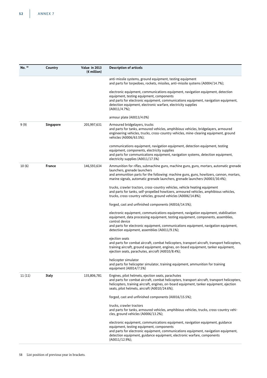| No. 58 | Country          | Value in 2013<br>$(\epsilon$ million) | <b>Description of articels</b>                                                                                                                                                                                                                                                                                 |
|--------|------------------|---------------------------------------|----------------------------------------------------------------------------------------------------------------------------------------------------------------------------------------------------------------------------------------------------------------------------------------------------------------|
|        |                  |                                       | anti-missile systems, ground equipment, testing equipment<br>and parts for torpedoes, rockets, missiles, anti-missile systems (A0004/14.7%);                                                                                                                                                                   |
|        |                  |                                       | electronic equipment, communications equipment, navigation equipment, detection<br>equipment, testing equipment, components<br>and parts for electronic equipment, communications equipment, navigation equipment,<br>detection equipment, electronic warfare, electricity supplies<br>$(A0011/4.7\%);$        |
|        |                  |                                       | armour plate (A0013/4.0%)                                                                                                                                                                                                                                                                                      |
| 9(9)   | <b>Singapore</b> | 205,997,631                           | Armoured bridgelayers, trucks<br>and parts for tanks, armoured vehicles, amphibious vehicles, bridgelayers, armoured<br>engineering vehicles, trucks, cross-country vehicles, mine-clearing equipment, ground<br>vehicles (A0006/63.5%);                                                                       |
|        |                  |                                       | communications equipment, navigation equipment, detection equipment, testing<br>equipment, components, electricity supplies<br>and parts for communications equipment, navigation systems, detection equipment,<br>electricity supplies (A0011/17.5%)                                                          |
| 10(6)  | France           | 146,593,634                           | Ammunition for rifles, submachine guns, machine guns, guns, mortars, automatic grenade<br>launchers, grenade launchers<br>and ammunition parts for the following: machine guns, guns, howitzers, cannon, mortars,<br>marine signals, automatic grenade launchers, grenade launchers (A0003/30.4%);             |
|        |                  |                                       | trucks, crawler tractors, cross-country vehicles, vehicle heating equipment<br>and parts for tanks, self-propelled howitzers, armoured vehicles, amphibious vehicles,<br>trucks, cross-country vehicles, ground vehicles (A0006/14.8%);                                                                        |
|        |                  |                                       | forged, cast and unfinished components (A0016/14.5%);                                                                                                                                                                                                                                                          |
|        |                  |                                       | electronic equipment, communications equipment, navigation equipment, stabilisation<br>equipment, data processing equipment, testing equipment, components, assemblies,<br>control device<br>and parts for electronic equipment, communications equipment, navigation equipment,                               |
|        |                  |                                       | detection equipment, assemblies (A0011/9.1%);                                                                                                                                                                                                                                                                  |
|        |                  |                                       | ejection seats<br>and parts for combat aircraft, combat helicopters, transport aircraft, transport helicopters,<br>training aircraft, ground equipment, engines, on-board equipment, tanker equipment,<br>ejection seats, parachutes, aircraft (A0010/8.4%);                                                   |
|        |                  |                                       | helicopter simulator<br>and parts for helicopter simulator, training equipment, ammunition for training<br>equipment (A0014/7.5%)                                                                                                                                                                              |
| 11(11) | <b>Italy</b>     | 135,806,781                           | Engines, pilot helmets, ejection seats, parachutes<br>and parts for combat aircraft, combat helicopters, transport aircraft, transport helicopters,<br>helicopters, training aircraft, engines, on-board equipment, tanker equipment, ejection<br>seats, pilot helmets, aircraft (A0010/24.6%);                |
|        |                  |                                       | forged, cast and unfinished components (A0016/15.5%);                                                                                                                                                                                                                                                          |
|        |                  |                                       | trucks, crawler tractors<br>and parts for tanks, armoured vehicles, amphibious vehicles, trucks, cross-country vehi-<br>cles, ground vehicles (A0006/13.2%);                                                                                                                                                   |
|        |                  |                                       | electronic equipment, communications equipment, navigation equipment, guidance<br>equipment, testing equipment, components<br>and parts for electronic equipment, communications equipment, navigation equipment,<br>detection equipment, guidance equipment, electronic warfare, components<br>(A0011/12.9%); |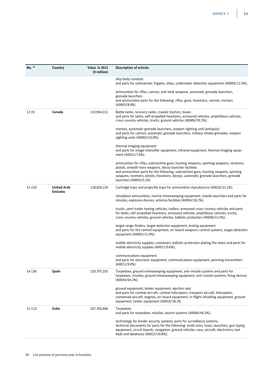| No. 58 | Country                               | Value in 2013<br>$(\epsilon$ million) | <b>Description of articels</b>                                                                                                                                                                                                                                                                                                                           |
|--------|---------------------------------------|---------------------------------------|----------------------------------------------------------------------------------------------------------------------------------------------------------------------------------------------------------------------------------------------------------------------------------------------------------------------------------------------------------|
|        |                                       |                                       | ship body conduits<br>and parts for submarines, frigates, ships, underwater detection equipment (A0009/12.5%);                                                                                                                                                                                                                                           |
|        |                                       |                                       | ammunition for rifles, cannon, anti-tank weapons, automatic grenade launchers,<br>grenade launchers<br>and ammunition parts for the following: rifles, guns, howitzers, cannon, mortars<br>(A0003/8.0%)                                                                                                                                                  |
| 12(5)  | Canada                                | 133,944,212                           | Battle tanks, recovery tanks, crawler tractors, buses<br>and parts for tanks, self-propelled howitzers, armoured vehicles, amphibious vehicles,<br>cross-country vehicles, trucks, ground vehicles (A0006/59.3%);                                                                                                                                        |
|        |                                       |                                       | mortars, automatic grenade launchers, weapon sighting unit (antiquity)<br>and parts for cannon, automatic grenade launchers, military smoke grenades, weapon<br>sighting units (A0002/10.0%);                                                                                                                                                            |
|        |                                       |                                       | thermal imaging equipment<br>and parts for image intensifier equipment, infrared equipment, thermal imaging equip-<br>ment (A0015/7.6%);                                                                                                                                                                                                                 |
|        |                                       |                                       | ammunition for rifles, submachine guns, hunting weapons, sporting weapons, revolvers,<br>pistols, smooth-bore weapons, decoy launcher facilities<br>and ammunition parts for the following: submachine guns, hunting weapons, sporting<br>weapons, revolvers, pistols, howitzers, decoys, automatic grenade launchers, grenade<br>launchers (A0003/5.1%) |
| 13(10) | <b>United Arab</b><br><b>Emirates</b> | 128,650,220                           | Cartridge trays and projectile trays for ammunition manufacture (A0016/23.2%);                                                                                                                                                                                                                                                                           |
|        |                                       |                                       | simulation ammunition, marine minesweeping equipment, missile launchers and parts for<br>missiles, explosive devices, antenna facilities (A0004/18.2%);                                                                                                                                                                                                  |
|        |                                       |                                       | trucks, semi-trailer towing vehicles, trailers, armoured cross-country vehicles and parts<br>for tanks, self-propelled howitzers, armoured vehicles, amphibious vehicles, trucks,<br>cross-country vehicles, ground vehicles, ballistic protection (A0006/12.4%);                                                                                        |
|        |                                       |                                       | target range-finders, target detection equipment, testing equipment<br>and parts for fire control equipment, on-board weapons-control systems, target detection<br>equipment (A0005/11.0%);                                                                                                                                                              |
|        |                                       |                                       | mobile electricity supplies, containers, ballistic protection plating (for tests) and parts for<br>mobile electricity supplies (A0017/9.6%);                                                                                                                                                                                                             |
|        |                                       |                                       | communications equipment<br>and parts for electronic equipment, communications equipment, jamming transmitters<br>(A0011/9.0%)                                                                                                                                                                                                                           |
| 14(18) | Spain                                 | 120,707,255                           | Torpedoes, ground minesweeping equipment, anti-missile systems and parts for<br>torpedoes, missiles, ground minesweeping equipment, anti-missile systems, firing devices<br>$(A0004/64.2\%)$                                                                                                                                                             |
|        |                                       |                                       | ground equipment, tanker equipment, ejection seat<br>and parts for combat aircraft, combat helicopters, transport aircraft, helicopters,<br>unmanned aircraft, engines, on-board equipment, in-flight refuelling equipment, ground<br>equipment, tanker equipment (A0010/18.2%                                                                           |
| 15(13) | India                                 | 107,765,686                           | Torpedoes<br>and parts for torpedoes, missiles, launch systems (A0004/46.3%);                                                                                                                                                                                                                                                                            |
|        |                                       |                                       | technology for border security systems, parts for surveillance systems,<br>technical documents for parts for the following: small arms, fuses, launchers, gun laying<br>equipment, circuit boards, navigation, ground vehicles, navy, aircraft, electronics, test<br>beds and databases (A0022/20.8%);                                                   |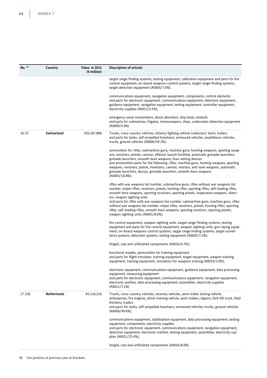| No. 58 | Country            | Value in 2013<br>$(\epsilon$ million) | <b>Description of articels</b>                                                                                                                                                                                                                                                                                                                                                                                                                                                                                                                                                                                                                   |
|--------|--------------------|---------------------------------------|--------------------------------------------------------------------------------------------------------------------------------------------------------------------------------------------------------------------------------------------------------------------------------------------------------------------------------------------------------------------------------------------------------------------------------------------------------------------------------------------------------------------------------------------------------------------------------------------------------------------------------------------------|
|        |                    |                                       | target range-finding systems, testing equipment, calibration equipment and parts for fire<br>control equipment, on-board weapons-control systems, target range-finding systems,<br>target detection equipment (A0005/7.0%);                                                                                                                                                                                                                                                                                                                                                                                                                      |
|        |                    |                                       | communications equipment, navigation equipment, components, control elements<br>and parts for electronic equipment, communications equipment, detection equipment,<br>guidance equipment, navigation equipment, testing equipment, controller equipment,<br>electricity supplies (A0011/5.5%);                                                                                                                                                                                                                                                                                                                                                   |
|        |                    |                                       | emergency sonar transmitters, shock absorbers, ship body conduits<br>and parts for submarines, frigates, minesweepers, ships, underwater detection equipment<br>(A0009/5.0%)                                                                                                                                                                                                                                                                                                                                                                                                                                                                     |
| 16(7)  | Switzerland        | 105,167,896                           | Trucks, cross-country vehicles, infantry fighting vehicle (collectors' item), trailers<br>and parts for tanks, self-propelled howitzers, armoured vehicles, amphibious vehicles,<br>trucks, ground vehicles (A0006/39.2%);                                                                                                                                                                                                                                                                                                                                                                                                                       |
|        |                    |                                       | ammunition for rifles, submachine guns, machine guns, hunting weapons, sporting weap-<br>ons, revolvers, pistols, cannon, effector launch facilities, automatic grenade launchers,<br>grenade launchers, smooth-bore weapons, fuse-setting devices<br>and ammunition parts for the following: rifles, machine guns, hunting weapons, sporting<br>weapons, revolvers, pistols, howitzers, cannon, mortars, anti-tank weapons, automatic<br>grenade launchers, decoys, grenade launchers, smooth-bore weapons<br>$(A0003/16.8\%);$                                                                                                                 |
|        |                    |                                       | rifles with war weapons list number, submachine guns, rifles without war weapons list<br>number, sniper rifles, revolvers, pistols, hunting rifles, sporting rifles, self-loading rifles,<br>smooth-bore weapons, sporting revolvers, sporting pistols, inoperative weapons, silenc-<br>ers, weapon sighting units<br>and parts for rifles with war weapons list number, submachine guns, machine guns, rifles<br>without war weapons list number, sniper rifles, revolvers, pistols, hunting rifles, sporting<br>rifles, self-loading rifles, smooth-bore weapons, sporting revolvers, sporting pistols,<br>weapon sighting units (A0001/8.0%); |
|        |                    |                                       | fire control equipment, weapon sighting units, target range-finding systems, testing<br>equipment and parts for fire control equipment, weapon sighting units, gun-laying equip-<br>ment, on-board weapons-control systems, target range finding systems, target surveil-<br>lance systems, detection systems, testing equipment (A0005/7.3%);                                                                                                                                                                                                                                                                                                   |
|        |                    |                                       | forged, cast and unfinished components (A0016/4.7%);                                                                                                                                                                                                                                                                                                                                                                                                                                                                                                                                                                                             |
|        |                    |                                       | functional models, ammunition for training equipment<br>and parts for flight simulator, training equipment, target equipment, weapon training<br>equipment, training equipment, simulators for weapons training (A0014/3.9%);                                                                                                                                                                                                                                                                                                                                                                                                                    |
|        |                    |                                       | electronic equipment, communications equipment, guidance equipment, data processing<br>equipment, measuring equipment<br>and parts for electronic equipment, communications equipment, navigation equipment,<br>electronic warfare, data-processing equipment, assemblies, electricity supplies<br>(A0011/3.1%)                                                                                                                                                                                                                                                                                                                                  |
| 17(16) | <b>Netherlands</b> | 95,116,216                            | Trucks, cross-country vehicles, recovery vehicles, semi-trailer towing vehicle,<br>ambulances, fire engines, driver training vehicle, semi-trailers, tippers, fork-lift truck, field<br>kitchens, trailers<br>and parts for tanks, self-propelled howitzers, armoured vehicles, trucks, ground vehicles<br>$(A0006/49.6\%);$                                                                                                                                                                                                                                                                                                                     |
|        |                    |                                       | communications equipment, stabilisation equipment, data processing equipment, testing<br>equipment, components, electricity supplies<br>and parts for electronic equipment, communications equipment, navigation equipment,<br>detection equipment, electronic warfare, testing equipment, assemblies, electricity sup-<br>plies (A0011/23.4%);                                                                                                                                                                                                                                                                                                  |
|        |                    |                                       | forged, cast and unfinished components (A0016/8.0%)                                                                                                                                                                                                                                                                                                                                                                                                                                                                                                                                                                                              |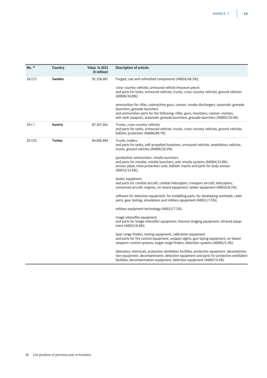| No. 58  | Country | Value in 2013<br>$(\epsilon$ million) | <b>Description of articels</b>                                                                                                                                                                                                                                                               |
|---------|---------|---------------------------------------|----------------------------------------------------------------------------------------------------------------------------------------------------------------------------------------------------------------------------------------------------------------------------------------------|
| 18(17)  | Sweden  | 91,336,087                            | Forged, cast and unfinished components (A0016/46.3%);                                                                                                                                                                                                                                        |
|         |         |                                       | cross-country vehicles, armoured vehicle (museum piece)<br>and parts for tanks, armoured vehicles, trucks, cross-country vehicles, ground vehicles<br>$(A0006/30.8\%);$                                                                                                                      |
|         |         |                                       | ammunition for rifles, submachine guns, cannon, smoke dischargers, automatic grenade<br>launchers, grenade launchers<br>and ammunition parts for the following: rifles, guns, howitzers, cannon, mortars,<br>anti-tank weapons, automatic grenade launchers, grenade launchers (A0003/10.0%) |
| $19(-)$ | Austria | 87,167,261                            | Trucks, cross-country vehicles<br>and parts for tanks, armoured vehicles, trucks, cross-country vehicles, ground vehicles,<br>ballistic protection (A0006/80.7%)                                                                                                                             |
| 20(15)  | Turkey  | 84,095,484                            | Trucks, trailers<br>and parts for tanks, self-propelled howitzers, armoured vehicles, amphibious vehicles,<br>trucks, ground vehicles (A0006/16.3%);                                                                                                                                         |
|         |         |                                       | pyrotechnic ammunition, missile launchers<br>and parts for missiles, missile launchers, anti-missile systems (A0004/15.8%);<br>armour plate, mine protection suits, ballistic inserts and parts for body armour<br>$(A0013/12.6\%);$                                                         |
|         |         |                                       | tanker equipment<br>and parts for combat aircraft, combat helicopters, transport aircraft, helicopters,<br>unmanned aircraft, engines, on-board equipment, tanker equipment (A0010/8.1%);                                                                                                    |
|         |         |                                       | software for detection equipment, for modelling parts, for developing warheads, radar<br>parts, gear testing, simulations and military equipment (A0021/7.5%);                                                                                                                               |
|         |         |                                       | military equipment technology (A0022/7.1%);                                                                                                                                                                                                                                                  |
|         |         |                                       | image intensifier equipment<br>and parts for image intensifier equipment, thermal imaging equipment, infrared equip-<br>ment (A0015/6.6%);                                                                                                                                                   |
|         |         |                                       | laser range finders, testing equipment, calibration equipment<br>and parts for fire control equipment, weapon sights, gun-laying equipment, on-board<br>weapons-control systems, target range finders, detection systems (A0005/5.2%);                                                       |
|         |         |                                       | laboratory chemicals, protective ventilation facilities, protective equipment, decontamina-<br>tion equipment, decontaminants, detection equipment and parts for protective ventilation<br>facilities, decontamination equipment, detection equipment (A0007/4.4%)                           |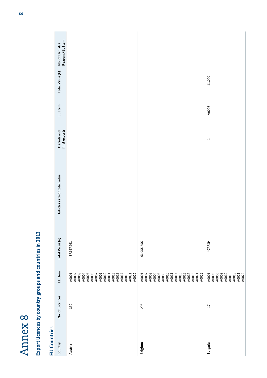| $\alpha$                     |
|------------------------------|
| P<br>$\overline{\textbf{C}}$ |
| D<br>C                       |
| $\Box$                       |
|                              |
| ะ                            |
|                              |

# Export licences by country groups and countries in 2013 **Export licences by country groups and countries in 2013**

| <b>ED Conuncies</b> |                 |                                                                                                                                     |                 |                              |                                     |         |                 |                                    |
|---------------------|-----------------|-------------------------------------------------------------------------------------------------------------------------------------|-----------------|------------------------------|-------------------------------------|---------|-----------------|------------------------------------|
| Country             | No. of Licences | EL Item                                                                                                                             | Total Value (€) | Articles as % of total value | <b>Denials and</b><br>final exports | EL Item | Total Value (€) | No. of Denials/<br>Reasons/EL Item |
| Austria             | 339             | A0005<br>A0007<br>A0009<br>A0011<br>A0011<br>A0015<br>A0017<br>A0018<br>A0021<br>A0021<br>A0001<br>A0002<br>A0003<br>A0004          | 87,167,261      |                              |                                     |         |                 |                                    |
| Belgium             | 295             | A0003<br>A0004<br>A0005<br>A0006<br>A0010<br>A0011<br>A0014<br>A0015<br>A0016<br>A0017<br>A0018<br>A0021<br>A0021<br>A0001<br>A0002 | 63,055,756      |                              |                                     |         |                 |                                    |
| <b>Bulgaria</b>     | $\overline{17}$ | A0001<br>A0003<br>A0006<br>A0009<br>A0010<br>A0015<br>A0018<br>A0021<br>A0022                                                       | 407,739         |                              | $\overline{ }$                      | A0006   | 11,000          |                                    |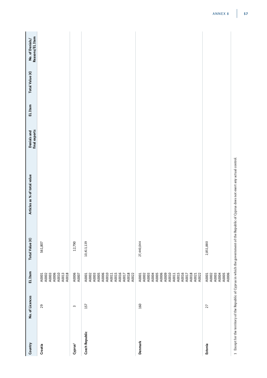| Country               | No. of Licences | EL Item                                                                                                                                                                                                                                                                                                                     | Total Value (€) | Articles as % of total value | <b>Denials and</b><br>final exports | EL Item | Total Value (€) | No. of Denials/<br>Reasons/EL Item |
|-----------------------|-----------------|-----------------------------------------------------------------------------------------------------------------------------------------------------------------------------------------------------------------------------------------------------------------------------------------------------------------------------|-----------------|------------------------------|-------------------------------------|---------|-----------------|------------------------------------|
| Croatia               | 29              | A0001<br>A0003<br>A0003<br>A0006<br>A0010<br>A0013<br>A0018                                                                                                                                                                                                                                                                 | 561,807         |                              |                                     |         |                 |                                    |
| Cyprus <sup>1</sup>   | $\sim$          | A0006<br>A0007                                                                                                                                                                                                                                                                                                              | 12,790          |                              |                                     |         |                 |                                    |
| <b>Czech Republic</b> | 157             | A0001<br>A0003<br>A0006<br>A0006<br>A0011<br>A0011<br>A0015<br>A0017<br>A0018<br>A0022                                                                                                                                                                                                                                      | 10,413,139      |                              |                                     |         |                 |                                    |
| Denmark               | 160             | $\begin{array}{l} \textbf{A0001} \\ \textbf{A0002} \\ \textbf{A0003} \\ \textbf{A0004} \\ \textbf{A0006} \\ \textbf{A0008} \\ \textbf{A0009} \\ \textbf{A0001} \\ \textbf{A0011} \\ \textbf{A0011} \\ \textbf{A0012} \\ \textbf{A0013} \\ \textbf{A0021} \\ \textbf{A0021} \\ \textbf{A0022} \\ \textbf{A0022} \end{array}$ | 27,440,044      |                              |                                     |         |                 |                                    |
| Estonia               | 27              | $\begin{array}{l} \text{A0001} \\ \text{A0002} \\ \text{A0003} \\ \text{A0004} \\ \text{A0005} \\ \text{A0006} \\ \text{A0006} \end{array}$                                                                                                                                                                                 | 2,851,880       |                              |                                     |         |                 |                                    |

1 Except for the territory of the Republic of Cyprus in which the government of the Republic of Cyprus does not exert any actual control. 1 Except for the territory of the Republic of Cyprus in which the government of the Republic of Cyprus does not exert any actual control.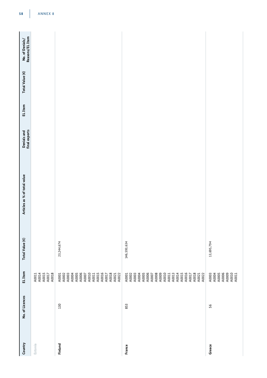| Country | No. of Licences | EL Item                                                                                                                                                                                                                                                                                                                                                                           | Total Value (€) | Articles as % of total value | final exports<br>Denials and | EL Item | Total Value (€) | Reasons/EL Item<br>No. of Denials/ |
|---------|-----------------|-----------------------------------------------------------------------------------------------------------------------------------------------------------------------------------------------------------------------------------------------------------------------------------------------------------------------------------------------------------------------------------|-----------------|------------------------------|------------------------------|---------|-----------------|------------------------------------|
| Estonia |                 | A0011<br>A0014<br>A0015<br>A0017<br>A0018                                                                                                                                                                                                                                                                                                                                         |                 |                              |                              |         |                 |                                    |
| Finland | 130             | $\begin{array}{l} \textbf{A0001} \\ \textbf{A0002} \\ \textbf{A0003} \\ \textbf{A0004} \\ \textbf{A0006} \\ \textbf{A0007} \\ \textbf{A0008} \\ \textbf{A0007} \\ \textbf{A0011} \\ \textbf{A0013} \\ \textbf{A0017} \\ \textbf{A0018} \\ \textbf{A0021} \\ \textbf{A0021} \\ \textbf{A0022} \\ \textbf{A0022} \\ \textbf{A0023} \\ \textbf{A0024} \\ \textbf{A0022} \\ \textbf{$ | 23,244,674      |                              |                              |         |                 |                                    |
| France  | 853             |                                                                                                                                                                                                                                                                                                                                                                                   | 146,593,634     |                              |                              |         |                 |                                    |
| Greece  | 95              | A0003<br>A0004<br>A0005<br>A0009<br>A0010<br>A0010                                                                                                                                                                                                                                                                                                                                | 13,695,794      |                              |                              |         |                 |                                    |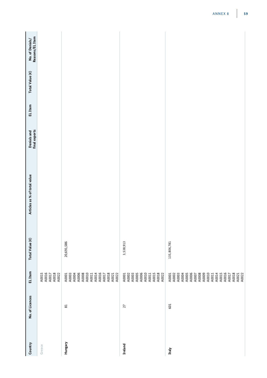| Country        | No. of Licences | EL Item                                                                                                                                                        | Total Value (€) | Articles as % of total value | <b>Denials and</b><br>final exports | EL Item | Total Value (€) | No. of Denials/<br>Reasons/EL Item |
|----------------|-----------------|----------------------------------------------------------------------------------------------------------------------------------------------------------------|-----------------|------------------------------|-------------------------------------|---------|-----------------|------------------------------------|
| Greece         |                 | A0015<br>A0016<br>A0017<br>A0018<br>A0022                                                                                                                      |                 |                              |                                     |         |                 |                                    |
| Hungary        | 81              | A0006<br>A0008<br>A0010<br>A0011<br>A0014<br>A0016<br>A0018<br>A0021<br>A0001<br>A0003<br>A0004<br>A0022<br>A0017                                              | 20,691,586      |                              |                                     |         |                 |                                    |
| <b>Ireland</b> | 27              | A0003<br>A0005<br>A0006<br>A0010<br>A0015<br>A0018<br>A0022<br>A0001<br>A0002<br>A0011                                                                         | 3,538,913       |                              |                                     |         |                 |                                    |
| Italy          | 601             | A0002<br>A0003<br>A0004<br>A0005<br>A0006<br>A0008<br>A0009<br>A0010<br>A0015<br>A0016<br>A0018<br>A0007<br>A0014<br>A0021<br>A0022<br>A0001<br>A0011<br>A0017 | 135,806,781     |                              |                                     |         |                 |                                    |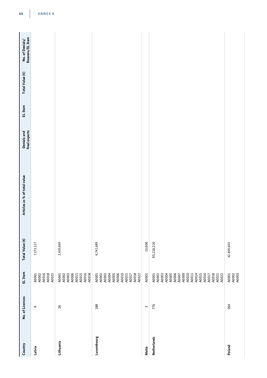| Country            | No. of Licences | EL Item                                                                                                                                               | Total Value (€) | Articles as % of total value | <b>Denials and</b><br>final exports | EL Item | Total Value (€) | No. of Denials/<br>Reasons/EL Item |
|--------------------|-----------------|-------------------------------------------------------------------------------------------------------------------------------------------------------|-----------------|------------------------------|-------------------------------------|---------|-----------------|------------------------------------|
| Latvia             | $\sigma$        | A0001<br>A0002<br>A0016<br>A0018<br>A0022                                                                                                             | 7,173,127       |                              |                                     |         |                 |                                    |
| Lithuania          | 26              | A0006<br>A0011<br>A0015<br>A0016<br>A0018<br>A0001<br>A0002<br>A0003                                                                                  | 2,439,669       |                              |                                     |         |                 |                                    |
| Luxembourg         | 188             | A0003<br>A0004<br>A0005<br>A0006<br>A0010<br>A0018<br>A0002<br>A0017<br>A0022<br>A0001<br>A0011                                                       | 6,742,689       |                              |                                     |         |                 |                                    |
| Malta              | $\sim$          | A0001                                                                                                                                                 | 15,606          |                              |                                     |         |                 |                                    |
| <b>Netherlands</b> | 776             | A0005<br>A0006<br>A0007<br>A0009<br>A0015<br>A0016<br>A0017<br>A0018<br>A0004<br>A0010<br>A0014<br>A0002<br>A0003<br>A0011<br>A0021<br>A0022<br>A0001 | 95,116,216      |                              |                                     |         |                 |                                    |
| Poland             | 264             | A0001<br>A0002<br>A0003                                                                                                                               | 42,800,602      |                              |                                     |         |                 |                                    |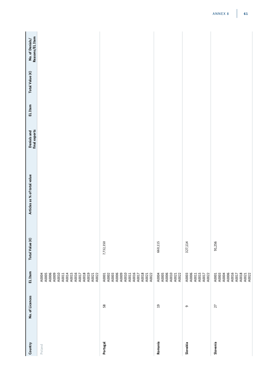| Country<br>Poland | No. of Licences | EL Item<br>A0004<br>A0005                                                                                | Total Value (€) | Articles as % of total value | <b>Denials and<br/>final exports</b> | EL Item | Total Value (€) | No. of Denials/<br>Reasons/EL Item |
|-------------------|-----------------|----------------------------------------------------------------------------------------------------------|-----------------|------------------------------|--------------------------------------|---------|-----------------|------------------------------------|
|                   |                 | A0006<br>A0009<br>A0010<br>A0014<br>A0015<br>A0016<br>A0018<br>A0019<br>A0011<br>A0017<br>A0021<br>A0022 |                 |                              |                                      |         |                 |                                    |
| Portugal          | $58$            | A0010<br>A0011<br>A0018<br>A0006<br>A0009<br>A0016<br>A0001<br>A0002<br>A0003<br>A0017<br>A0021<br>A0022 | 7,732,350       |                              |                                      |         |                 |                                    |
| Romania           | $\overline{1}$  | A0006<br>A0010<br>A0021<br>A0004<br>A0005<br>A0022                                                       | 660,115         |                              |                                      |         |                 |                                    |
| Slovakia          | $\sigma$        | A0006<br>A0011<br>A0015<br>A0003<br>A0022<br>A0017                                                       | 327,114         |                              |                                      |         |                 |                                    |
| Slovenia          | 27              | A0016<br>A0017<br>A0018<br>A0021<br>A0021<br>A0001<br>A0003<br>A0004<br>A0006                            | 91,256          |                              |                                      |         |                 |                                    |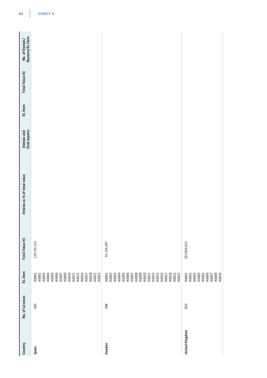| Country               | No. of Licences | EL Item                                                       | Total Value (€) | Articles as % of total value | final exports<br>Denials and | EL Item | Total Value (€) | Reasons/EL Item<br>No. of Denials/ |
|-----------------------|-----------------|---------------------------------------------------------------|-----------------|------------------------------|------------------------------|---------|-----------------|------------------------------------|
| Spain                 | 409             |                                                               | 120,707,255     |                              |                              |         |                 |                                    |
| Sweden                | 398             |                                                               | 91,336,087      |                              |                              |         |                 |                                    |
| <b>United Kingdom</b> | 810             | 40001<br>40003<br>40003<br>40006<br>400006<br>400000<br>40010 | 257,826,013     |                              |                              |         |                 |                                    |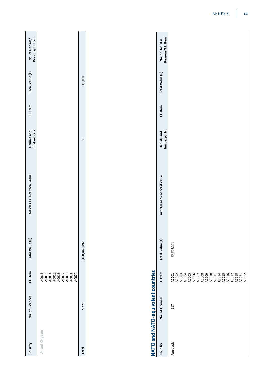| Country        | No. of Licences | EL Item                                                     | Total Value (€) | Articles as % of total value | final exports<br>Denials and | <b>EL</b> Item | Total Value (€) | Reasons/EL Item<br>No. of Denials/ |
|----------------|-----------------|-------------------------------------------------------------|-----------------|------------------------------|------------------------------|----------------|-----------------|------------------------------------|
| United Kingdom |                 | A0011<br>A0013<br>A0014<br>A0015<br>A0017<br>A0021<br>A0022 |                 |                              |                              |                |                 |                                    |
| <b>Total</b>   | 5,771           |                                                             | 1,168,449,897   |                              | ᆏ                            |                | 11,000          |                                    |
|                |                 |                                                             |                 |                              |                              |                |                 |                                    |

# NATO and NATO-equivalent countries **NATO and NATO-equivalent countries**

|           | chininal libraryhy - Alternation - Alternation - Alternation - Alternation - Alternation - Alternation - Alter |         |                 |                              |                              |         |                 |                                    |
|-----------|----------------------------------------------------------------------------------------------------------------|---------|-----------------|------------------------------|------------------------------|---------|-----------------|------------------------------------|
| Country   | No. of Licences                                                                                                | EL Item | Total Value (€) | Articles as % of total value | final exports<br>Denials and | EL Item | Total Value (€) | Reasons/EL Item<br>No. of Denials/ |
| Australia | 517                                                                                                            |         | 35, 328, 161    |                              |                              |         |                 |                                    |
|           |                                                                                                                |         |                 |                              |                              |         |                 |                                    |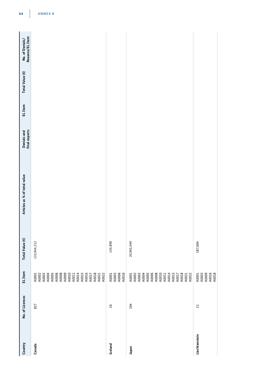| Country        | No. of Licences | EL Item                                                                                                                                                                                                                                                                                                  | Total Value (€) | Articles as % of total value | <b>Denials and<br/>final exports</b> | EL Item | Total Value (€) | No. of Denials/<br>Reasons/EL Item |
|----------------|-----------------|----------------------------------------------------------------------------------------------------------------------------------------------------------------------------------------------------------------------------------------------------------------------------------------------------------|-----------------|------------------------------|--------------------------------------|---------|-----------------|------------------------------------|
| Canada         | 827             | A0001<br>A0002<br>A0003<br>A0004<br>A0005<br>$\begin{array}{l} \text{A0006} \\ \text{A0008} \\ \text{A0009} \\ \text{A0011} \\ \text{A0011} \\ \text{A0011} \\ \text{A0011} \\ \text{A0011} \\ \text{A0012} \\ \text{A0013} \\ \text{A0021} \\ \text{A0021} \\ \text{A0022} \\ \text{A0022} \end{array}$ | 133,944,212     |                              |                                      |         |                 |                                    |
| <b>Iceland</b> | 26              | A0001<br>A0003<br>A0006<br>A0016                                                                                                                                                                                                                                                                         | 130,898         |                              |                                      |         |                 |                                    |
| naqal          | 194             | 40001<br>40003<br>40003<br>40008<br>400011<br>40011<br>40011<br>40021<br>40021<br>40022                                                                                                                                                                                                                  | 20,965,049      |                              |                                      |         |                 |                                    |
| Liechtenstein  | $\overline{31}$ | A0001<br>A0003<br>A0009<br>A0016<br>A0018                                                                                                                                                                                                                                                                | 187,004         |                              |                                      |         |                 |                                    |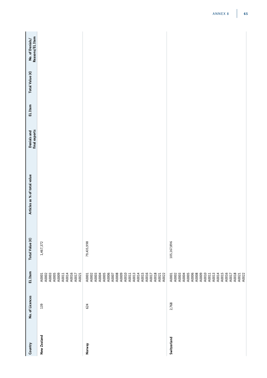| Country     | No. of Licences | EL Item                                                                                                                                                                 | Total Value (€) | Articles as % of total value | <b>Denials and</b><br>final exports | EL Item | Total Value (€) | No. of Denials/<br>Reasons/EL Item |
|-------------|-----------------|-------------------------------------------------------------------------------------------------------------------------------------------------------------------------|-----------------|------------------------------|-------------------------------------|---------|-----------------|------------------------------------|
| New Zealand | 139             | A0003<br>A0005<br>A0009<br>A0014<br>A0016<br>A0002<br>A0017<br>A0021<br>A0001<br>A0011                                                                                  | 1,467,372       |                              |                                     |         |                 |                                    |
| Norway      | 624             | A0016<br>A0004<br>A0005<br>A0006<br>A0008<br>A0009<br>A0010<br>A0013<br>A0014<br>A0015<br>A0017<br>A0018<br>A0001<br>A0002<br>A0003<br>A0007<br>A0011<br>A0021<br>A0022 | 79,435,998      |                              |                                     |         |                 |                                    |
| Switzerland | 2,768           | A0005<br>A0006<br>A0008<br>A0014<br>A0015<br>A0016<br>A0003<br>A0009<br>A0010<br>A0013<br>A0018<br>A0021<br>A0022<br>A0002<br>A0004<br>A0011<br>A0017<br>A0001          | 105,167,896     |                              |                                     |         |                 |                                    |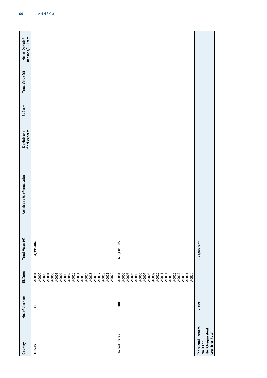| Country                                                               | No. of Licences | EL Item                                                                                                                                                                 | Total Value (€) | Articles as % of total value | <b>Denials and<br/>final exports</b> | EL Item | Total Value (€) | No. of Denials/<br>Reasons/EL Item |  |
|-----------------------------------------------------------------------|-----------------|-------------------------------------------------------------------------------------------------------------------------------------------------------------------------|-----------------|------------------------------|--------------------------------------|---------|-----------------|------------------------------------|--|
| Turkey                                                                | 395             | A0004<br>A0005<br>A0006<br>A0007<br>A0008<br>A0009<br>A0010<br>A0011<br>A0013<br>A0014<br>A0015<br>A0016<br>A0017<br>A0018<br>A0001<br>A0002<br>A0003<br>A0021<br>A0022 | 84,095,484      |                              |                                      |         |                 |                                    |  |
| <b>United States</b>                                                  | 1,788           | A0003<br>A0004<br>A0005<br>A0006<br>A0007<br>A0008<br>A0009<br>A0010<br>A0014<br>A0015<br>A0016<br>A0018<br>A0021<br>A0022<br>A0002<br>A0017<br>A0001<br>A0011          | 610,685,905     |                              |                                      |         |                 |                                    |  |
| Individual licences<br>NATO-equivalent<br>countries, total<br>NATO or | 7,309           |                                                                                                                                                                         | 1,071,407,979   |                              |                                      |         |                 |                                    |  |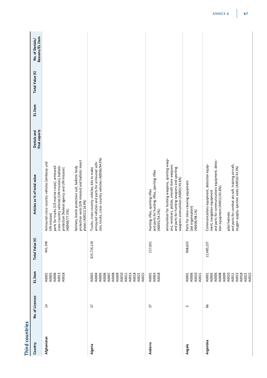| Third countries |                 |                                                                                                                   |                 |                                                                                                                                                                                                                                                                                                                                                              |                              |         |                 |                                    |
|-----------------|-----------------|-------------------------------------------------------------------------------------------------------------------|-----------------|--------------------------------------------------------------------------------------------------------------------------------------------------------------------------------------------------------------------------------------------------------------------------------------------------------------------------------------------------------------|------------------------------|---------|-----------------|------------------------------------|
| Country         | No. of Licences | EL Item                                                                                                           | Total Value (€) | Articles as % of total value                                                                                                                                                                                                                                                                                                                                 | final exports<br>Denials and | EL Item | Total Value (€) | Reasons/EL Item<br>No. of Denials/ |
| Afghanistan     | 14              | A0006<br>A0018<br>A0003<br>A0013<br>A0001                                                                         | 965,398         | protection vests [UN mission] and ballistic insert<br>Armoured cross-country vehicles [embassy und<br>cross-country vehicles [UN mission], ballistic<br>helmets, bomb protection suit, ballistic body<br>parts for trucks [US marine corps], armoured<br>protection [federal agency and UN mission]<br>plates (A0013/16.9%)<br>(A0006/77.3%);<br>UN mission] |                              |         |                 |                                    |
| Algeria         | 37              | A0005<br>A0006<br>A0009<br>A0003<br>A0008<br>A0010<br>A0015<br>A0018<br>A0004<br>A0011<br>A0022<br>A0007<br>A0021 | 825,726,128     | cles, trucks, cross-country vehicles (A0006/94.9%)<br>armoured vehicles and parts for armoured vehi-<br>Trucks, cross-country vehicles, kits to make                                                                                                                                                                                                         |                              |         |                 |                                    |
| Andorra         | 27              | A0001<br>A0003<br>A0018                                                                                           | 217,651         | ammunition for hunting weapons, sporting weap-<br>ons, revolvers, pistols, smooth-bore weapons<br>and parts for hunting weapons and sporting<br>and parts for hunting rifles, sporting rifles<br>weapons ammunition (A0003/45.6%)<br>Hunting rifles, sporting rifles<br>(A0001/54.3%);                                                                       |                              |         |                 |                                    |
| Angola          | 5               | A0010<br>A0006<br>A0011<br>A0001                                                                                  | 968,633         | Parts für mine-clearing equipment<br>[aid organisation]<br>(A0006/98.1%)                                                                                                                                                                                                                                                                                     |                              |         |                 |                                    |
| Argentina       | 99              | A0008<br>A0009<br>A0015<br>A0018<br>A0001<br>A0005<br>A0006<br>A0010<br>A0021<br>A0022<br>A0011                   | 11,485,237      | and parts for communications equipment, detec-<br>Communications equipment, detection equip-<br>and parts for combat aircraft, training aircraft,<br>oxygen supply, ejection seats (A0010/43.3%)<br>tion equipment (A0011/43.8%);<br>ment, navigation equipment<br>pilot helmets                                                                             |                              |         |                 |                                    |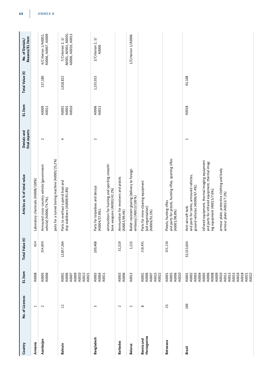| Country                   | No. of Licences          | EL Item                                                                                                                                      | Total Value (€) | Articles as % of total value                                                                                                                                                                                                                                                                                  | final exports<br>Denials and | EL Item                 | Total Value (€) | Reasons/EL Item<br>No. of Denials/                                  |
|---------------------------|--------------------------|----------------------------------------------------------------------------------------------------------------------------------------------|-----------------|---------------------------------------------------------------------------------------------------------------------------------------------------------------------------------------------------------------------------------------------------------------------------------------------------------------|------------------------------|-------------------------|-----------------|---------------------------------------------------------------------|
| Armenia                   | $\mathbf{\overline{u}}$  | A0008                                                                                                                                        | 654             | Laboratory chemicals (A0008/100%)                                                                                                                                                                                                                                                                             |                              |                         |                 |                                                                     |
| Azerbaijan                | $\sim$                   | A0005<br>A0006                                                                                                                               | 354,800         | parts for a tunnel boring machine (A0005/25,3%)<br>Armoured cross-country vehicle [government<br>vehicle] (A0006/74.7%);                                                                                                                                                                                      | $\sim$                       | A0009<br>A0011          | 137,180         | A0006, A0007, A0009<br>4/Criterion 1/A0002,                         |
| Bahrain                   | ੜ                        | A0006<br>A0009<br>A0010<br>A0013<br>A0021<br>A0001<br>A0007                                                                                  | 12,857,264      | Parts to overhaul a patrol boat and<br>ship stabilisers (A0009/81.8%)                                                                                                                                                                                                                                         | 4                            | A0010<br>A0003<br>A0001 | 1,018,822       | A0001, A0003, A0005,<br>A0006, A0010, A0013<br>$7/C$ riterion 2, 3/ |
| Bangladesh                | S                        | A0003<br>A0004<br>A0011                                                                                                                      | 100,468         | ammunition for hunting and sporting smooth-<br>Parts for torpedoes and decoys<br>bore weapons (A0003/42.2%)<br>(A0004/57.8%);                                                                                                                                                                                 | $\sim$                       | A0006<br>A0013          | 1,233,015       | $2$ /Criterion 2, 3/<br>A0006                                       |
| <b>Barbados</b>           | $\sim$                   | A0003<br>A0006                                                                                                                               | 51,519          | Ammunition for revolvers and pistols<br>(A0003/99.4%)                                                                                                                                                                                                                                                         |                              |                         |                 |                                                                     |
| <b>Belarus</b>            | $\overline{\phantom{0}}$ | A0013                                                                                                                                        | 1,115           | Bullet-resistant glazing [delivery to foreign<br>embassy] (A0013/100 %)                                                                                                                                                                                                                                       |                              |                         |                 | 1/Criterion 1/A0006                                                 |
| Bosnia and<br>Herzegovina | $\infty$                 | A0006<br>A0015<br>A0022<br>A0001<br>A0007                                                                                                    | 218,491         | Parts für mine-clearing equipment<br>[aid organisation]<br>(A0006/91.5%)                                                                                                                                                                                                                                      |                              |                         |                 |                                                                     |
| Botswana                  | 25                       | A0003<br>A0006<br>A0010<br>A0001                                                                                                             | 315,136         | and parts for pistols, hunting rifles, sporting rifles<br>Pistols, hunting rifles<br>(A0001/96.8%)                                                                                                                                                                                                            |                              |                         |                 |                                                                     |
| Brazil                    | 169                      | A0016<br>A0003<br>A0004<br>A0005<br>A0006<br>A0008<br>A0009<br>A0010<br>A0013<br>A0015<br>A0018<br>A0002<br>A0011<br>A0021<br>A0022<br>A0001 | 53,333,654      | infrared equipment, thermal imaging equipment<br>and parts for infrared equipment, thermal imag-<br>armour plate, protective clothing and body<br>and parts for tanks, armoured vehicles,<br>ground vehicles (A0006/67.4%);<br>ing equipment (A0015/7.6%);<br>armour plate (A0013/7.2%)<br>Anti-aircraft tank | $\overline{ }$               | A0018                   | 63,168          |                                                                     |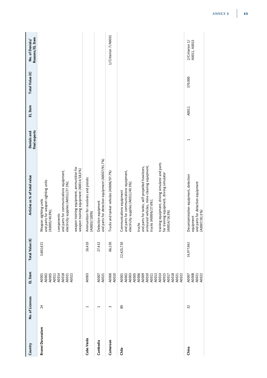| Country           | No. of Licences          | EL Item                                                                                                                                                                                        | Total Value (€) | Articles as % of total value                                                                                                                                                                                                                                                                                                                                    | final exports<br>Denials and | EL Item | Total Value (€) | Reasons/EL Item<br>No. of Denials/ |
|-------------------|--------------------------|------------------------------------------------------------------------------------------------------------------------------------------------------------------------------------------------|-----------------|-----------------------------------------------------------------------------------------------------------------------------------------------------------------------------------------------------------------------------------------------------------------------------------------------------------------------------------------------------------------|------------------------------|---------|-----------------|------------------------------------|
| Brunei Darussalam | 24                       | A0002<br>A0005<br>A0011<br>A0014<br>A0001                                                                                                                                                      | 3,663,621       | and parts for weapon sighting units<br>Weapon sighting units<br>(A0005/40.9%);                                                                                                                                                                                                                                                                                  |                              |         |                 |                                    |
|                   |                          | A0018<br>A0021<br>A0022                                                                                                                                                                        |                 | and parts for communications equipment,<br>electricity supplies (A0011/27.5%);<br>components                                                                                                                                                                                                                                                                    |                              |         |                 |                                    |
|                   |                          |                                                                                                                                                                                                |                 | weapon training equipment, ammunition for<br>weapon training equipment (A0014/18,0%)                                                                                                                                                                                                                                                                            |                              |         |                 |                                    |
| Cabo Verde        | $\overline{\phantom{0}}$ | A0003                                                                                                                                                                                          | 16,410          | Ammunition for revolvers and pistols<br>(A0003/100%)                                                                                                                                                                                                                                                                                                            |                              |         |                 |                                    |
| Cambodia          |                          | A0007<br>A0021                                                                                                                                                                                 | 27,432          | and parts for detection equipment (A0007/91.7%)<br>Detection equipment                                                                                                                                                                                                                                                                                          |                              |         |                 |                                    |
| Cameroon          | 3                        | A0006<br>A0010                                                                                                                                                                                 | 66,150          | Trucks and tanker vehicles (A0006/97.7%)                                                                                                                                                                                                                                                                                                                        |                              |         |                 | 1/Criterion 7/A0001                |
| <b>Chile</b>      | 89                       | A0003<br>A0005<br>A0006<br>A0009<br>$\begin{array}{c} \text{A0010} \\ \text{A0011} \\ \text{A0013} \\ \text{A0014} \end{array}$<br>A0015<br>A0017<br>A0018<br>A0021<br>A0001<br>A0002<br>A0022 | 22,425,730      | training equipment, driving simulator and parts<br>armoured vehicles, mine-clearing equipment,<br>and parts for tanks, self-propelled howitzers,<br>and parts for communications equipment,<br>for training equipment, driving simulator<br>electricity supplies (A0011/40.5%);<br>Communications equipment<br>trucks (A0006/27.6%);<br>(A0014/16.5%)<br>trucks |                              |         |                 |                                    |
| China             | 32                       | A0008<br>A0007<br>A0021<br>A0022                                                                                                                                                               | 16,977,662      | Decontamination equipment, detection<br>and parts for detection equipment<br>(A0007/81.0%<br>equipment                                                                                                                                                                                                                                                          | 1                            | A0011   | 370.000         | A0011, A0015<br>2/Criterion 1/     |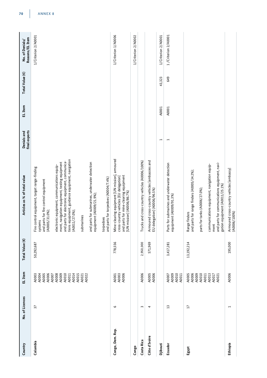| Country          | No. of Licences         | EL Item                                                              | Total Value (€) | Articles as % of total value                                                                                                                                                                                      | final exports<br>Denials and | EL Item | Total Value (€) | Reasons/EL Item<br>No. of Denials/ |
|------------------|-------------------------|----------------------------------------------------------------------|-----------------|-------------------------------------------------------------------------------------------------------------------------------------------------------------------------------------------------------------------|------------------------------|---------|-----------------|------------------------------------|
| Colombia         | 57                      | A0005<br>A0006<br>A0008<br>A0009<br>A0010<br>A0003<br>A0004<br>A0007 | 50,292,687      | ment, navigation equipment, testing equipment<br>electronic equipment, communications equip-<br>Fire control equipment, target range-finding<br>and parts for fire control equipment<br>(A0005/31.0%);<br>systems |                              |         |                 | 1/Criterion 2/A0001                |
|                  |                         | A0014<br>A0015<br>A0021<br>A0022<br>A0011                            |                 | tions equipment, guidance equipment, navigation<br>and parts for electronic equipment, communica-<br>and parts for submarines, underwater detection<br>(A0011/27.0%);<br>submarines                               |                              |         |                 |                                    |
|                  |                         |                                                                      |                 | and parts for torpedoes (A0004/7.4%)<br>equipment (A0009/21.9%);<br>torpedoes                                                                                                                                     |                              |         |                 |                                    |
| Congo, Dem. Rep. | $\circ$                 | A0003<br>A0006<br>A0001                                              | 778,556         | Mine-clearing equipment [UN mission], armoured<br>and parts for mine-clearing equipment<br>cross-country vehicles [EU delegation]<br>[UN mission] (A0006/86.7%)                                                   |                              |         |                 | 1/Criterion 1/A0006                |
| Congo            |                         |                                                                      |                 |                                                                                                                                                                                                                   |                              |         |                 | 1/Criterion 2/A0002                |
| Costa Rica       | $\infty$                | A0006                                                                | 2,950,000       | Trucks and cross-country vehicles (A0006/100%)                                                                                                                                                                    |                              |         |                 |                                    |
| Côte d'Ivoire    | 4                       | A0005<br>A0006                                                       | 571,969         | Armoured cross-country vehicles [embassies and<br>EU delegation] (A0006/96.5%)                                                                                                                                    |                              |         |                 |                                    |
| Djibouti         |                         |                                                                      |                 |                                                                                                                                                                                                                   | $\overline{ }$               | A0001   | 43,323          | 1/Criterion 2/A0001                |
| Ecuador          | $\overline{13}$         | A0010<br>A0009<br>A0011<br>A0007                                     | 3,417,281       | Parts for submarines and underwater detection<br>equipment (A0009/91.3%)                                                                                                                                          | $\overline{\phantom{0}}$     | A0001   | 649             | 1/Criterion 2/A0001                |
| Egypt            | $\overline{17}$         | A0009<br>A0005<br>A0006<br>A0010                                     | 13,192,214      | and parts for range finders (A0005/34.2%);<br>parts for tanks (A0006/27.0%);<br>Range finders                                                                                                                     |                              |         |                 |                                    |
|                  |                         | A0013<br>A0017<br>A0011<br>A0021                                     |                 | and parts for communications equipment, navi-<br>communications equipment, navigation equip-<br>gation equipment (A0011/25.1%)<br>ment                                                                            |                              |         |                 |                                    |
| Ethiopia         | $\mathbf{\overline{u}}$ | A0006                                                                | 195,000         | Armoured cross-country vehicles [embassy]<br>(A0006/100%)                                                                                                                                                         |                              |         |                 |                                    |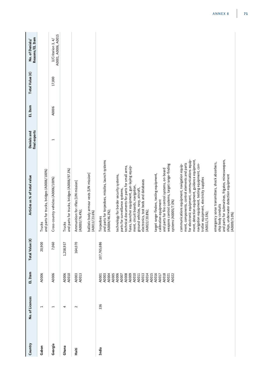| Country | No. of Licences          | EL Item                                                                                                                                       | Total Value (€) | Articles as % of total value                                                                                                                                                                                                                                                                                                                                                                                                                                                                                                                                                                                                                                                                                                                                                                                                                                                                                                                                                                                                                                                                                     | final exports<br>Denials and | EL Item | Total Value (€) | Reasons/EL Item<br>No. of Denials/          |
|---------|--------------------------|-----------------------------------------------------------------------------------------------------------------------------------------------|-----------------|------------------------------------------------------------------------------------------------------------------------------------------------------------------------------------------------------------------------------------------------------------------------------------------------------------------------------------------------------------------------------------------------------------------------------------------------------------------------------------------------------------------------------------------------------------------------------------------------------------------------------------------------------------------------------------------------------------------------------------------------------------------------------------------------------------------------------------------------------------------------------------------------------------------------------------------------------------------------------------------------------------------------------------------------------------------------------------------------------------------|------------------------------|---------|-----------------|---------------------------------------------|
| Gabon   | $\overline{\phantom{0}}$ | A0006                                                                                                                                         | 20,900          | and parts for trucks, bridges (A0006/100%)<br>Trucks                                                                                                                                                                                                                                                                                                                                                                                                                                                                                                                                                                                                                                                                                                                                                                                                                                                                                                                                                                                                                                                             |                              |         |                 |                                             |
| Georgia | $\overline{ }$           | A0006                                                                                                                                         | 7,060           | Cross-country vehicles (A0006/100%)                                                                                                                                                                                                                                                                                                                                                                                                                                                                                                                                                                                                                                                                                                                                                                                                                                                                                                                                                                                                                                                                              | $\overline{\phantom{0}}$     | A0006   | 17,000          | A0001, A0006, A0015<br>$3$ /Criterion 3, 4/ |
| Ghana   | 4                        | A0006<br>A0010                                                                                                                                | 1,258,937       | and parts for trucks, bridges (A0006/97.3%)<br>Trucks                                                                                                                                                                                                                                                                                                                                                                                                                                                                                                                                                                                                                                                                                                                                                                                                                                                                                                                                                                                                                                                            |                              |         |                 |                                             |
| Haiti   | $\sim$                   | A0003<br>A0013                                                                                                                                | 164,070         | ballistic body armour vests [UN mission]<br>Ammunition for rifles [UN mission]<br>(A0003/76.4%);<br>(A0013/23.6%)                                                                                                                                                                                                                                                                                                                                                                                                                                                                                                                                                                                                                                                                                                                                                                                                                                                                                                                                                                                                |                              |         |                 |                                             |
| India   | 336                      | A0004<br>A0005<br>A0006<br>A0003<br>A00011<br>A0011<br>A0011<br>A0011<br>A0015<br>A0016<br>A0018<br>A0021<br>A0022<br>A0001<br>A0003<br>A0017 | 107,765,686     | for electronic equipment, communications equip-<br>ment, detection equipment, guidance equipment,<br>and parts for submarines, frigates, minesweepers,<br>and parts for torpedoes, missiles, launch systems<br>emergency sonar transmitters, shock absorbers,<br>ment, components, control elements and parts<br>navigation equipment, testing equipment, con-<br>weapons control systems, target range-finding<br>communications equipment, navigation equip-<br>technical documents for parts for small arms,<br>fuses, launcher equipment, gun-laying equip-<br>and parts for fire control systems, on-board<br>target range-finders, testing equipment,<br>technology for border security systems,<br>ships, underwater detection equipment<br>troller equipment, electricity supplies<br>electronics, test beds and databases<br>ment, circuit boards, navigation,<br>ground vehicles, navy, aircraft,<br>parts for surveillance systems,<br>calibration equipment<br>systems (A0005/7.0%)<br>ship body conduits<br>$(A0022/20.8\%);$<br>$(A0004/46.3\%);$<br>$(A0011/5.5\%);$<br>(A0009/5.0%)<br>Torpedoes |                              |         |                 |                                             |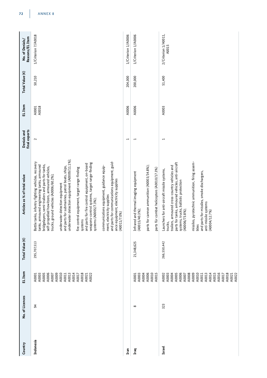| Country       | No. of Licences | EL Item                                                                                                                                                        | Total Value (€) | Articles as % of total value                                                                                                                                                                                                                                                                                                                                                                                                                                                                                                                                                                                                                                                                                                                                    | final exports<br>Denials and | EL Item        | Total Value (€) | Reasons/EL Item<br>No. of Denials/ |
|---------------|-----------------|----------------------------------------------------------------------------------------------------------------------------------------------------------------|-----------------|-----------------------------------------------------------------------------------------------------------------------------------------------------------------------------------------------------------------------------------------------------------------------------------------------------------------------------------------------------------------------------------------------------------------------------------------------------------------------------------------------------------------------------------------------------------------------------------------------------------------------------------------------------------------------------------------------------------------------------------------------------------------|------------------------------|----------------|-----------------|------------------------------------|
| Indonesia     | 54              | A0006<br>A0009<br>A0010<br>A0013<br>A0014<br>A0018<br>A0003<br>A0005<br>A0022<br>A0011<br>A0017<br>A0021<br>A0007<br>A0001                                     | 295,707,513     | underwater detection equipment (A0009/11.1%);<br>Battle tanks, infantry fighting vehicles, recovery<br>and parts for communications equipment, guid-<br>weapons-control systems, target range-finding<br>and parts for fire control equipment, on-board<br>bridgelayers, semi-trailers and parts for tanks,<br>tanks, armoured engineering tanks, armoured<br>communications equipment, guidance equip-<br>and parts for submarines, patrol boats, ships,<br>self-propelled howitzers, armoured vehicles,<br>fire control equipment, target range-finding<br>trucks, ground vehicles (A0006/60.2%);<br>ance equipment, electricity supplies<br>underwater detection equipment<br>ment, electricity supplies<br>systems (A0005/7.3%);<br>(A0011/7.0%)<br>systems | $\sim$                       | A0018<br>A0001 | 50,210          | 1/Criterion 7/A0018                |
| Iran          |                 |                                                                                                                                                                |                 |                                                                                                                                                                                                                                                                                                                                                                                                                                                                                                                                                                                                                                                                                                                                                                 | $\overline{ }$               | A0006          | 204,000         | 1/Criterion 1/A0006                |
| Iraq          | $\infty$        | A0006<br>A0010<br>A0015<br>A0003<br>A0004<br>A0001                                                                                                             | 21,348,625      | parts for cannon ammunition (A0003/34.8%);<br>parts für combat helicopters (A0010/17.3%)<br>Infrared and thermal imaging equipment<br>(A0015/40.3%);                                                                                                                                                                                                                                                                                                                                                                                                                                                                                                                                                                                                            | Ţ                            | A0006          | 200,000         | 1/Criterion 1/A0006                |
| <b>Israel</b> | 323             | A0006<br>A0008<br>A0009<br>A0010<br>A0013<br>A0014<br>A0015<br>A0016<br>A0018<br>A0003<br>A0004<br>A0005<br>A0017<br>A0021<br>A0022<br>A0002<br>A0007<br>A0011 | 266,550,442     | missiles, pyrotechnic ammunition, firing assem-<br>parts for tanks, armoured vehicles, anti-aircraft<br>trailers, armoured cross-country vehicles and<br>Launchers for anti-aircraft missile systems,<br>and parts for missiles, smoke dischargers,<br>systems, trucks, ballistic protection<br>anti-missile systems<br>(A0006/73.8%);<br>(A0004/12.7%)<br>trucks,<br>blies                                                                                                                                                                                                                                                                                                                                                                                     | $\overline{\phantom{0}}$     | A0003          | 51,400          | 2/Criterion 1/A0011,<br>A0015      |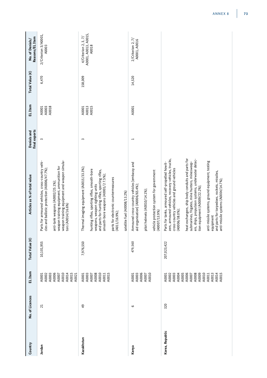| Country         | No. of Licences | EL Item                                                                                                                    | Total Value (€) | Articles as % of total value                                                                                                                                                                                                                                                                                                                                                                                                                                                                                              | final exports<br>Denials and | EL Item                 | Total Value (€) | Reasons/EL Item<br>No. of Denials/                    |
|-----------------|-----------------|----------------------------------------------------------------------------------------------------------------------------|-----------------|---------------------------------------------------------------------------------------------------------------------------------------------------------------------------------------------------------------------------------------------------------------------------------------------------------------------------------------------------------------------------------------------------------------------------------------------------------------------------------------------------------------------------|------------------------------|-------------------------|-----------------|-------------------------------------------------------|
| Jordan          | $\overline{21}$ | A0006<br>A0010<br>A0014<br>A0015<br>A0002<br>A0003<br>A0021<br>A0001<br>A0007                                              | 10,101,955      | weapon training equipment and weapon simula-<br>Parts for armoured vehicles, cross-country vehi-<br>weapon training equipment, ammunition for<br>cles and ballistic protection (A0006/47.7%);<br>anti-tank weapons (A0002/25.1%);<br>tors (A0014/16.6%)                                                                                                                                                                                                                                                                   | 3                            | A0018<br>A0003<br>A0001 | 6,470           | 2/Criterion 3/A0001,<br>A0003                         |
| Kazakhstan      | $\overline{6}$  | A0008<br>A0010<br>A0015<br>A0003<br>A0001<br>A0007<br>A0011                                                                | 7,976,550       | Thermal imaging equipment (A0015/33.3%);<br>hunting rifles, sporting rifles, smooth-bore<br>and parts for hunting rifles, sporting rifles,<br>smooth-bore weapons (A0001/2 7.5%);<br>parts for electronic countermeasures<br>weapons, weapon sighting units<br>satellite fuel (A0008/13.2%)<br>$(A011/16.9\%);$                                                                                                                                                                                                           | ω                            | A0015<br>A0013<br>A0001 | 158,009         | A0001, A0013, A0015,<br>4/Criterion 2, 3, 7/<br>A0018 |
| Kenya           | G               | A0006<br>A0003<br>A0010<br>A0007<br>A0001                                                                                  | 479,560         | Armoured cross-country vehicles [embassy and<br>vehicle protection system for government<br>aid organisation] (A0006/65.4%);<br>pilot helmets (A0010/14.1%);<br>(A0007/13.9%)                                                                                                                                                                                                                                                                                                                                             | $\mathbf{\overline{u}}$      | A0001                   | 14,520          | $2$ /Criterion 2, 7/<br>A0001, A0016                  |
| Korea, Republic | 320             | A0005<br>A0006<br>A0008<br>A0009<br>A0010<br>A0014<br>A0003<br>A0004<br>A0013<br>A0015<br>A0002<br>A0007<br>A0001<br>A0011 | 207,023,422     | heat exchangers, ship body conduits and parts for<br>zers, armoured vehicles, recovery vehicles, trucks,<br>ers, ships, propulsion systems, underwater detec-<br>anti-missile systems, ground equipment, testing<br>submarines, frigates, mine hunters, minesweep-<br>Parts for tanks, armoured self-propelled howit-<br>cross-country vehicles and ground vehicles<br>and parts for torpedoes, rockets, missiles,<br>anti-missile systems (A0004/14.7%);<br>tion equipment (A0009/22.2%);<br>(A0006/38.0%);<br>equipment |                              |                         |                 |                                                       |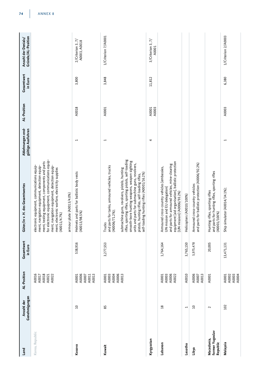| Land                                      | Genehmigungen<br>Anzahl der | AL-Position                               | Gesamtwert<br>in Euro | Güter/in v. H. des Gesamtwertes                                                                                                                                                                                                                                                                                                                                                        | Ablehnungen end-<br>gültige Ausfuhren | AL-Position    | Gesamtwert<br>in Euro | Gründe/AL-Position<br>Anzahl der Denials/ |
|-------------------------------------------|-----------------------------|-------------------------------------------|-----------------------|----------------------------------------------------------------------------------------------------------------------------------------------------------------------------------------------------------------------------------------------------------------------------------------------------------------------------------------------------------------------------------------|---------------------------------------|----------------|-----------------------|-------------------------------------------|
| Korea, Republic                           |                             | A0018<br>A0016<br>A0022<br>A0017<br>A0021 |                       | for electronic equipment, communications equip-<br>ment, testing equipment, components and parts<br>ment, navigation equipment, detection equip-<br>electronic equipment, communications equip-<br>ment, navigation equipment, detection equip-<br>ment, electronic warfare, electricity supplies<br>armour plate (A0013/4.0%)<br>(A0011/4.7%)                                         |                                       |                |                       |                                           |
| Kosovo                                    | $\overline{a}$              | A0006<br>A0013<br>A0001<br>A0007<br>A0011 | 538,916               | Helmets and parts for ballistic body vests<br>(A0013/98.5%)                                                                                                                                                                                                                                                                                                                            | Ţ                                     | A0018          | 3,800                 | $2$ /Criterion 3, 7/<br>A0003, A0018      |
| Kuwait                                    | 85                          | A0003<br>A0004<br>A0006<br>A0013<br>A0001 | 3,277,553             | rifles, sporting rifles, sporting pistols, self-loading<br>smooth-bore hunting weapons, weapon sighting<br>units and parts for submachine guns, revolvers,<br>and parts for tanks, armoured vehicles, trucks<br>submachine guns, revolvers, pistols, hunting<br>pistols, hunting rifles, self-loading rifles,<br>self-loading hunting rifles (A0001/16.2%)<br>(A0006/71.2%);<br>Trucks | $\overline{ }$                        | A0001          | 3,848                 | 1/Criterion 7/A0001                       |
| Kyrgyzstan                                |                             |                                           |                       |                                                                                                                                                                                                                                                                                                                                                                                        | 4                                     | A0003<br>A0001 | 11,812                | 3/Criterion 3, 7/<br>A0001                |
| Lebanon                                   | $\frac{8}{18}$              | A0006<br>A0003<br>A0022<br>A0001          | 1,764,164             | equipment [aid organisation], ballistic protection<br>and parts for armoured vehicles, mine-clearing<br>Armoured cross-country vehicles [embassies,<br>UN mission and EU delegation]<br>[UN mission] (A0006/93.2%)                                                                                                                                                                     |                                       |                |                       |                                           |
| Lesotho                                   | $\overline{\phantom{0}}$    | A0010                                     | 3,765,150             | Helicopters (A0010/100%)                                                                                                                                                                                                                                                                                                                                                               |                                       |                |                       |                                           |
| Libya                                     | $\overline{a}$              | A0006<br>A0013<br>A0007                   | 5,975,478             | and parts for ballistic protection (A0006/92.2%)<br>Armoured cross-country vehicles                                                                                                                                                                                                                                                                                                    |                                       |                |                       |                                           |
| former Yugoslav<br>Macedonia,<br>Republic | $\sim$                      | A0001                                     | 20,005                | and parts for hunting rifles, sporting rifles<br>Hunting rifles, sporting rifles<br>(A0001/100%)                                                                                                                                                                                                                                                                                       |                                       |                |                       |                                           |
| Malaysia                                  | 102                         | A0002<br>A0003<br>A0004<br>A0001          | 13,471,131            | Ship simulator (A0014/34.1%);                                                                                                                                                                                                                                                                                                                                                          | $\overline{ }$                        | A0003          | 6,380                 | 1/Criterion 2/A0003                       |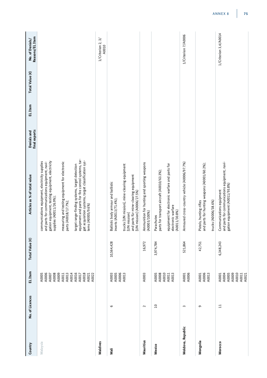| Country           | No. of Licences | EL Item                                                     | Total Value (€) | Articles as % of total value                                                                                                                                                   | final exports<br>Denials and | EL Item | Total Value (€) | Reasons/EL Item<br>No. of Denials/     |
|-------------------|-----------------|-------------------------------------------------------------|-----------------|--------------------------------------------------------------------------------------------------------------------------------------------------------------------------------|------------------------------|---------|-----------------|----------------------------------------|
| Malaysia          |                 | A0006<br>A0005<br>A0008<br>A0009<br>A0007                   |                 | gation equipment, testing equipment, electricity<br>communications equipment, electricity supplies<br>and parts for communications equipment, navi-<br>supplies (A0011/26.9%); |                              |         |                 |                                        |
|                   |                 | A0014<br>A0013<br>A0011                                     |                 | measuring and testing equipment for electronic<br>parts (A0018/17.7%);                                                                                                         |                              |         |                 |                                        |
|                   |                 | A0016<br>A0017                                              |                 | equipment and parts for fire control systems, tar-<br>target range-finding systems, target detection                                                                           |                              |         |                 |                                        |
|                   |                 | A0018<br>A0021<br>A0022                                     |                 | get acquisition systems, target classification sys-<br>tems (A0005/9.6%)                                                                                                       |                              |         |                 |                                        |
| Maldives          |                 |                                                             |                 |                                                                                                                                                                                |                              |         |                 | $\geqslant$<br>1/Criterion 2,<br>A0010 |
| Nali              | $\circ$         | A0005<br>A0006<br>A0003                                     | 10,564,428      | Ballistic body armour and ballistic<br>inserts (A0013/71.4%);                                                                                                                  |                              |         |                 |                                        |
|                   |                 | A0013                                                       |                 | trucks [UN mission], mine-clearing equipment<br>and parts für mine-clearing equipment<br>[UN mission] (A0006/27.5%)<br>[UN mission]                                            |                              |         |                 |                                        |
| Mauritius         | $\sim$          | A0003                                                       | 16,972          | Ammunition for hunting and sporting weapons<br>(A0003/100%)                                                                                                                    |                              |         |                 |                                        |
| Mexico            | $\Omega$        | A0008<br>A0010<br>A0005                                     | 3,974,784       | parts for transport aircraft (A0010/63.3%);<br>Parachutes                                                                                                                      |                              |         |                 |                                        |
|                   |                 | A0013<br>A0011                                              |                 | equipment for electronic warfare and parts for<br>electronic warfare<br>$(A0011/30.8\%)$                                                                                       |                              |         |                 |                                        |
| Moldova, Republic | $\sim$          | A0006<br>A0001                                              | 521,864         | Armoured cross-country vehicle (A0006/97.7%)                                                                                                                                   |                              |         |                 | 1/Criterion 7/A0006                    |
| Mongolia          | G               | A0006<br>A0001<br>A0013                                     | 42,751          | and parts for hunting weapons (A0001/60.2%);<br>Pistols, hunting rifles<br>trucks (A0006/38.6%)                                                                                |                              |         |                 |                                        |
| Morocco           | ᄇ               | A0010<br>A0009<br>A0011<br>A0021<br>A0004<br>A0005<br>A0001 | 6,348,243       | and parts for communications equipment, navi-<br>gation equipment (A0011/93.8%)<br>Communications equipment                                                                    |                              |         |                 | 1/Criterion 3,4/A0014                  |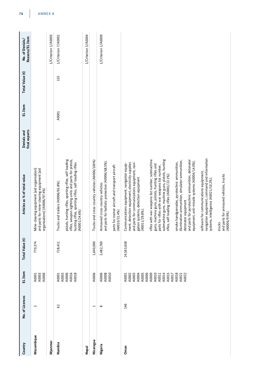| Country    | No. of Licences       | EL Item                                                                                                                             | Total Value (€) | Articles as % of total value                                                                                                                                                                                                                                                                                                                                                                                                                                                                                                                                                                                                                                                                                                                                                                                                     | final exports<br>Denials and | EL Item | Total Value (€) | Reasons/EL Item<br>No. of Denials/ |
|------------|-----------------------|-------------------------------------------------------------------------------------------------------------------------------------|-----------------|----------------------------------------------------------------------------------------------------------------------------------------------------------------------------------------------------------------------------------------------------------------------------------------------------------------------------------------------------------------------------------------------------------------------------------------------------------------------------------------------------------------------------------------------------------------------------------------------------------------------------------------------------------------------------------------------------------------------------------------------------------------------------------------------------------------------------------|------------------------------|---------|-----------------|------------------------------------|
| Mozambique | $\sim$                | A0003<br>A0006<br>A0001                                                                                                             | 770,374         | Mine-clearing equipment [aid organisation]<br>and parts for mine-clearing equipment [aid<br>organisations] (A0006/97.4%)                                                                                                                                                                                                                                                                                                                                                                                                                                                                                                                                                                                                                                                                                                         |                              |         |                 |                                    |
| Myanmar    |                       |                                                                                                                                     |                 |                                                                                                                                                                                                                                                                                                                                                                                                                                                                                                                                                                                                                                                                                                                                                                                                                                  |                              |         |                 | 1/Criterion 1/A0005                |
| Namibia    | 62                    | A0003<br>A0006<br>A0016<br>A0018<br>A0001                                                                                           | 728,411         | pistols, hunting rifles, sporting rifles, self-loading<br>rifles, weapon sighting units and parts for pistols,<br>hunting rifles, sporting rifles, self-loading rifles<br>(A0001/24.6%)<br>Trucks and trailers (A0006/65.8%);                                                                                                                                                                                                                                                                                                                                                                                                                                                                                                                                                                                                    | Ţ                            | A0001   | 155             | 1/Criterion 7/A0001                |
| Nepal      |                       |                                                                                                                                     |                 |                                                                                                                                                                                                                                                                                                                                                                                                                                                                                                                                                                                                                                                                                                                                                                                                                                  |                              |         |                 | 1/Criterion 3/A0004                |
| Nicaragua  | $\mathord{\text{--}}$ | A0006                                                                                                                               | 1,640,000       | Trucks and cross-country vehicles (A0006/100%)                                                                                                                                                                                                                                                                                                                                                                                                                                                                                                                                                                                                                                                                                                                                                                                   |                              |         |                 |                                    |
| Nigeria    | $\infty$              | A0006<br>A0008<br>A0010                                                                                                             | 2,482,769       | Armoured cross-country vehicles<br>and parts for ballistic protection (A0006/68.5%);<br>parts for trainer aircraft and transport aircraft<br>(A0010/31.4%)                                                                                                                                                                                                                                                                                                                                                                                                                                                                                                                                                                                                                                                                       |                              |         |                 | 1/Criterion 1/A0009                |
|            |                       |                                                                                                                                     |                 |                                                                                                                                                                                                                                                                                                                                                                                                                                                                                                                                                                                                                                                                                                                                                                                                                                  |                              |         |                 |                                    |
| Oman       | 146                   | A0005<br>A0006<br>A0009<br>A0010<br>A0003<br>A0004<br>A0014<br>A0015<br>A0018<br>A0002<br>A0011<br>A0022<br>A0001<br>A0017<br>A0021 | 24,563,658      | software for communications equipment,<br>navigation equipment, command and information<br>rifles with war weapons list number, submachine<br>guns, machine guns, pistols, hunting rifles and<br>parts for rifles with war weapons list number,<br>submachine guns, machine guns, pistols, hunting<br>rifles, self-loading rifles (A0<br>detonator equipment<br>and parts for pyrotechnic ammunition, detonator<br>equipment, anti-missile systems (A0004/14.0%);<br>smoke handgrenades, pyrotechnic ammunition,<br>illumination ammunition, simulator ammunition,<br>ment, detection equipment, electricity supplies<br>and parts for communications equipment, navi-<br>gation systems, detection equipment<br>(A0011/29.8%);<br>Communications equipment, navigation equip-<br>systems, intelligence (A0021/10.2%);<br>trucks |                              |         |                 |                                    |
|            |                       |                                                                                                                                     |                 | and parts for armoured vehicles, trucks<br>(A0006/9.9%)                                                                                                                                                                                                                                                                                                                                                                                                                                                                                                                                                                                                                                                                                                                                                                          |                              |         |                 |                                    |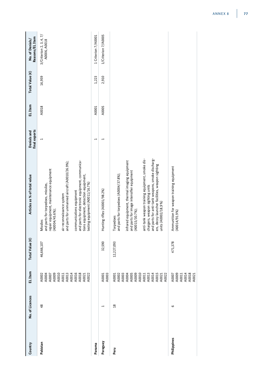| Country     | No. of Licences | EL Item                                                                                                  | Total Value (€) | Articles as % of total value                                                                                                                                                                                                                                                                                                                                                            | final exports<br>Denials and | EL Item | Total Value (€) | Reasons/EL Item<br>No. of Denials/      |
|-------------|-----------------|----------------------------------------------------------------------------------------------------------|-----------------|-----------------------------------------------------------------------------------------------------------------------------------------------------------------------------------------------------------------------------------------------------------------------------------------------------------------------------------------------------------------------------------------|------------------------------|---------|-----------------|-----------------------------------------|
| Pakistan    | 48              | A0009<br>A0010<br>A0011<br>A0014<br>A0014<br>A0016<br>A0018<br>A0021<br>A0002<br>A0004<br>A0007<br>A0022 | 46,666,107      | and parts for electronic equipment, communica-<br>and parts for unmanned aircraft (A0010/26.9%);<br>repair equipment, maintenance equipment<br>tions equipment, detection equipment,<br>testing equipment (A0011/16.7%)<br>and parts for torpedoes, missiles,<br>communications equipment<br>air reconnaissance system<br>(A0004/45.6%);<br>Missiles                                    | $\overline{ }$               | A0018   | 16,959          | 3/Criterion 2, 3, 4, 7/<br>A0006, A0018 |
| Panama      |                 |                                                                                                          |                 |                                                                                                                                                                                                                                                                                                                                                                                         | $\mathbf{\overline{a}}$      | A0001   | 1,223           | 1 Criterion 7/A0001                     |
| Paraguay    | 1               | A0003<br>A0001                                                                                           | 32,590          | Hunting rifles (A0001/98.2%)                                                                                                                                                                                                                                                                                                                                                            | $\overline{ }$               | A0005   | 2,910           | 1/Criterion 7/A0005                     |
| Peru        | $^{28}$         | 40001<br>40003<br>40003<br>40003<br>400011<br>40021<br>40021<br>40021<br>40021                           | 12,227,093      | and parts for anti-tank weapons, smoke discharg-<br>anti-tank weapon training equipment, smoke dis-<br>infrared equipment, thermal imaging equipment<br>ers, decoy launcher facilities, weapon sighting<br>and parts for image intensifier equipment<br>and parts for torpedoes (A0004/37.8%);<br>chargers, weapon sighting units<br>units (A0002/18,9%)<br>(A0015/30.7%);<br>Torpedoes |                              |         |                 |                                         |
| Philippines | G               | A0009<br>A0011<br>A0014<br>A0007<br>A0018<br>A0021                                                       | 471,378         | Ammunition for weapon training equipment<br>A0014/91.9%)                                                                                                                                                                                                                                                                                                                                |                              |         |                 |                                         |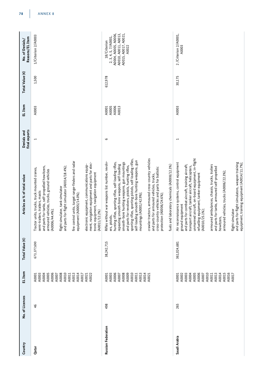| Country                   | No. of Licences | EL Item                                                                                                                    | Total Value (€) | Articles as % of total value                                                                                                                                                                                                                                                                                                                                                                                                                                                                                                                                                                                                                        | final exports<br>Denials and | EL Item                          | Total Value (€) | Reasons/EL Item<br>No. of Denials/                                                                                    |
|---------------------------|-----------------|----------------------------------------------------------------------------------------------------------------------------|-----------------|-----------------------------------------------------------------------------------------------------------------------------------------------------------------------------------------------------------------------------------------------------------------------------------------------------------------------------------------------------------------------------------------------------------------------------------------------------------------------------------------------------------------------------------------------------------------------------------------------------------------------------------------------------|------------------------------|----------------------------------|-----------------|-----------------------------------------------------------------------------------------------------------------------|
| Qatar                     | 46              | A0006<br>A0008<br>A0010<br>A0003<br>A0005<br>A0007<br>A0013<br>A0014<br>A0022<br>A0004<br>A0017<br>A0011<br>A0021<br>A0001 | 673,377,690     | fire control units, target range-finders and radar<br>ment, navigation equipment and parts for elec-<br>electronic equipment, communications equip-<br>and parts for tanks, self-propelled howitzers,<br>and parts for flight simulator (A0014/18.4%);<br>Tractor units, trucks, truck mounted cranes,<br>armoured vehicles, trucks, ground vehicles<br>flight simulator, tank simulator<br>semi-trailers, trailers, masts<br>equipment (A0005/14.0%);<br>(A0006/44.4%);                                                                                                                                                                            | 1                            | A0003                            | 1,500           | 1/Criterion 2/A0003                                                                                                   |
|                           |                 |                                                                                                                            |                 | tronic equipment, navigation equipment<br>(A0011/12.2%)                                                                                                                                                                                                                                                                                                                                                                                                                                                                                                                                                                                             |                              |                                  |                 |                                                                                                                       |
| <b>Russian Federation</b> | 498             | A0006<br>A0009<br>A0010<br>A0013<br>A0003<br>A0008<br>A0014<br>A0007<br>A0011<br>A0001<br>A0021                            | 38,242,715      | crawler tractors, armoured cross-country vehicles<br>sporting rifles, sporting pistols, self-loading rifles,<br>self-loading smooth-bore hunting weapons, gun<br>Rifles without war weapons list number, revolv-<br>smooth-bore hunting weapons, gun mountings<br>hunting rifles, sporting rifles, self-loading rifles,<br>repeating smooth-bore weapons, self-loading<br>fuels and laboratory chemicals (A0008/12.3%)<br>and parts for revolvers, pistols, hunting rifles,<br>cross-country vehicles and parts for ballistic<br>and parts for armoured vehicles, trucks,<br>mountings (A0001/42.9%);<br>protection (A0006/24.6%);<br>ers, pistols, | G                            | A0006<br>A0005<br>A0013<br>A0001 | 612,978         | A0015, A0017, A0021,<br>A0004, A0005, A0006,<br>A0010, A0011, A0013,<br>2, 3, 4, 5, 7/A0001,<br>18/Criterion<br>A0022 |
| Saudi Arabia              | 265             | A0005<br>A0006<br>A0010<br>A0013<br>A0015<br>A0016<br>A0003<br>A0004<br>A0014<br>A0001<br>A0002<br>A0007<br>A0017<br>A0011 | 361,024,681     | unmanned aircraft, on-board equipment, in-flight<br>Air reconnaissance systems, control equipment<br>and parts for flight simulators, weapon training<br>equipment, training equipment (A0014/11.7%);<br>armoured ambulances, chassis, trucks, trailers<br>and parts for combat aircraft, training aircraft,<br>transport aircraft, tanker aircraft, helicopters,<br>and parts for tanks, armoured self-propelled<br>armoured vehicles, trucks (A0006/22.3%);<br>refuelling equipment, tanker equipment<br>ground equipment<br>(A0010/25.1%);<br>flight simulator<br>howitzers,                                                                     | $\mathbf{\overline{u}}$      | A0003                            | 30,175          | 2 /Criterion 2/A0001,<br>A0003                                                                                        |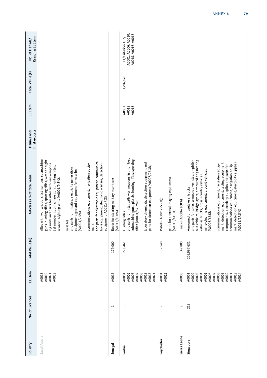| Country      | No. of Licences          | EL Item                                                     | Total Value (€) | Articles as % of total value                                                                                                                                                                                                                                     | final exports<br>Denials and | EL Item                 | Total Value (€) | Reasons/EL Item<br>No. of Denials/                                |
|--------------|--------------------------|-------------------------------------------------------------|-----------------|------------------------------------------------------------------------------------------------------------------------------------------------------------------------------------------------------------------------------------------------------------------|------------------------------|-------------------------|-----------------|-------------------------------------------------------------------|
| Saudi Arabia |                          | A0018<br>A0019<br>A0021<br>A0022                            |                 | guns, hunting rifles, sporting rifles, weapon sight-<br>rifles with war weapons list number, submachine<br>ing units and parts for rifles with war weapons<br>list number, submachine guns, hunting rifles,<br>weapon sighting units (A0001/9.8%);               |                              |                         |                 |                                                                   |
|              |                          |                                                             |                 | and parts for missiles, electricity generation<br>equipment, ground equipment for missiles<br>(A0004/7.5%);<br>missiles                                                                                                                                          |                              |                         |                 |                                                                   |
|              |                          |                                                             |                 | and parts for electronic equipment, communica-<br>tions equipment, electronic warfare, detection<br>communications equipment, navigation equip-<br>equipment (A0011/7.2%)<br>ment                                                                                |                              |                         |                 |                                                                   |
| Senegal      | $\overline{\phantom{0}}$ | A0013                                                       | 179,000         | Boots for clearing military munitions<br>(A0013/100%)                                                                                                                                                                                                            |                              |                         |                 |                                                                   |
| Serbia       | ౢ                        | A0008<br>A0002<br>A0003<br>A0001<br>A0007                   | 228,461         | and parts for rifles with war weapons list number,<br>submachine guns, pistols, hunting rifles, sporting<br>rifles (A0001/57.7%);<br>Hunting rifles                                                                                                              | 4                            | A0015<br>A0018<br>A0001 | 3,296,870       | A0001, A0006, A0010,<br>A0015, A0016, A0018<br>11/Criterion 4, 7/ |
|              |                          | A0013<br>A0018<br>A0021                                     |                 | laboratory chemicals, detection equipment and<br>parts for detection equipment (A0007/25.3%)                                                                                                                                                                     |                              |                         |                 |                                                                   |
| Seychelles   | $\sim$                   | A0001<br>A0015                                              | 37,540          | Pistols (A0001/55.9%);                                                                                                                                                                                                                                           |                              |                         |                 |                                                                   |
|              |                          |                                                             |                 | parts for thermal imaging equipment<br>(A0015/44.1%)                                                                                                                                                                                                             |                              |                         |                 |                                                                   |
| Sierra Leone | $\mathbf 2$              | A0006                                                       | 47,800          | Trucks (A0006/100%)                                                                                                                                                                                                                                              |                              |                         |                 |                                                                   |
| Singapore    | 218                      | A0006<br>A0003<br>A0004<br>A0005<br>A0001<br>A0002<br>A0007 | 205,997,631     | ous vehicles, bridgelayers, armoured engineering<br>and parts for tanks, armoured vehicles, amphibi-<br>mine-clearing equipment, ground vehicles<br>vehicles, trucks, cross-country vehicles,<br>Armoured bridgelayers, trucks<br>(A0006/63.5%);                 |                              |                         |                 |                                                                   |
|              |                          | A0008<br>A0009<br>A0010<br>A0013<br>A0014<br>A0011          |                 | ment, detection equipment, testing equipment,<br>ment, detection equipment, electricity supplies<br>communications equipment, navigation equip-<br>communications equipment, navigation equip-<br>components, electricity supplies and parts for<br>(A0011/17,5% |                              |                         |                 |                                                                   |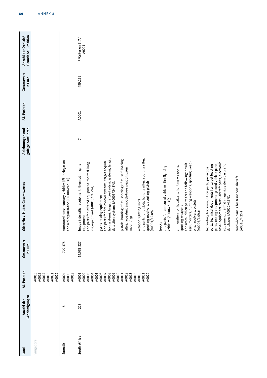| Land         | Genehmigungen<br>Anzahl der | AL-Position                                                                                                                                           | Gesamtwert<br>in Euro | Güter/in v, H, des Gesamtwertes                                                                                                                                                                                                                                                                                                                                                                                                                                                                                                                                                                                                                                                                                                                                                                                                                                                                                                                                                                                                                                                                                                                                                         | Ablehnungen end-<br>gültige Ausfuhren | AL-Position | Gesamtwert<br>in Euro | Gründe/AL-Position<br>Anzahl der Denials/ |
|--------------|-----------------------------|-------------------------------------------------------------------------------------------------------------------------------------------------------|-----------------------|-----------------------------------------------------------------------------------------------------------------------------------------------------------------------------------------------------------------------------------------------------------------------------------------------------------------------------------------------------------------------------------------------------------------------------------------------------------------------------------------------------------------------------------------------------------------------------------------------------------------------------------------------------------------------------------------------------------------------------------------------------------------------------------------------------------------------------------------------------------------------------------------------------------------------------------------------------------------------------------------------------------------------------------------------------------------------------------------------------------------------------------------------------------------------------------------|---------------------------------------|-------------|-----------------------|-------------------------------------------|
| Singapore    |                             | A0016<br>A0018<br>A0015<br>A0022<br>A0017<br>A0021                                                                                                    |                       |                                                                                                                                                                                                                                                                                                                                                                                                                                                                                                                                                                                                                                                                                                                                                                                                                                                                                                                                                                                                                                                                                                                                                                                         |                                       |             |                       |                                           |
| Somalia      | $\infty$                    | A0006<br>A0004<br>A0013                                                                                                                               | 722,478               | Armoured cross-country vehicles [EU delegation<br>and aid organisation] (A0006/92.6%)                                                                                                                                                                                                                                                                                                                                                                                                                                                                                                                                                                                                                                                                                                                                                                                                                                                                                                                                                                                                                                                                                                   |                                       |             |                       |                                           |
| South Africa | 228                         | A0010<br>A0003<br>A0005<br>A0006<br>A0008<br>A0009<br>A0013<br>A0015<br>A0016<br>A0004<br>A0007<br>A0011<br>A0018<br>A0001<br>A0002<br>A0022<br>A0021 | 14,088,327            | and parts for pistols, hunting rifles, sporting rifles,<br>tion systems, target range-finding systems, target<br>pistols, hunting rifles, sporting rifles, self-loading<br>gyros, testing equipment<br>and parts for fire control systems, target acquisi-<br>and parts for infrared equipment, thermal imag-<br>zers, mortars, hunting weapons, sporting weap-<br>ons, revolvers, pistols<br>naval equipment parts, aircraft parts, electronic<br>and ammunition parts for the following: howit-<br>parts, testing equipment, ground vehicle parts,<br>Image intensifier equipment, thermal imaging<br>equipment, thermal imaging system parts and<br>parts, technical documents for target locating<br>ammunition for howitzers, hunting weapons,<br>and parts for armoured vehicles, fire fighting<br>technology for ammunition parts, periscope<br>rifles, repeating smooth-bore weapons, gun<br>sporting revolvers, sporting pistols<br>detection systems (A0005/24.3%);<br>ing equipment (A0015/24.7%),<br>databases (A0022/4.5%);<br>vehicles (A0006/7.1%);<br>weapon sighting units<br>sporting weapons<br>(A0001/12.8%);<br>(A0003/6.0%);<br>mountings,<br>equipment<br>trucks | $\overline{ }$                        | A0001       | 499,151               | $7/C$ riterion 3, $7/$<br>A0001           |
|              |                             |                                                                                                                                                       |                       | sandwich panels for transport aircraft<br>(A0016/4.2%)                                                                                                                                                                                                                                                                                                                                                                                                                                                                                                                                                                                                                                                                                                                                                                                                                                                                                                                                                                                                                                                                                                                                  |                                       |             |                       |                                           |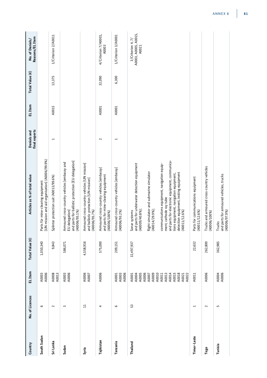| Country     | No. of Licences          | EL Item                                                     | Total Value (€) | Articles as % of total value                                                                                                                                                                                                 | final exports<br>Denials and | EL Item | Total Value (€) | Reasons/EL Item<br>No. of Denials/                 |
|-------------|--------------------------|-------------------------------------------------------------|-----------------|------------------------------------------------------------------------------------------------------------------------------------------------------------------------------------------------------------------------------|------------------------------|---------|-----------------|----------------------------------------------------|
| South Sudan | G                        | A0006<br>A0003                                              | 1,050,340       | [UN mission and aid organisation] (A0006/99.9%)<br>Parts für mine-clearing equipment                                                                                                                                         |                              |         |                 |                                                    |
| Sri Lanka   | $\sim$                   | A0008<br>A0013                                              | 9,843           | Splinter protection suit (A0013/99.6%)                                                                                                                                                                                       | H                            | A0015   | 13,375          | 1/Criterion 2/A0011                                |
| Sudan       | 3                        | A0003<br>A0006                                              | 586,071         | and parts for ballistic protection [EU delegation]<br>Armoured cross-country vehicles [embassy and<br>EU delegation]<br>(A0006/95.1%)                                                                                        |                              |         |                 |                                                    |
| Syria       | $\overline{1}$           | A0006<br>A0007                                              | 4,558,916       | Armoured cross-country vehicles [UN mission]<br>and ballistic protection [UN mission]<br>(A0006/95.7%)                                                                                                                       |                              |         |                 |                                                    |
| Tajikistan  | 4                        | A0006                                                       | 575,000         | Armoured cross-country vehicles [embassy]<br>and parts for mine-clearing equipment<br>(A0006/100%)                                                                                                                           | $\sim$                       | A0001   | 32,090          | 4/Criterion 7/A0001,<br>A0003                      |
| Tanzania    | O                        | A0006<br>A0003<br>A0001                                     | 209,151         | Armoured cross-country vehicles [embassy]<br>(A0006/93.2%)                                                                                                                                                                   | I                            | A0001   | 6,300           | 1/Criterion 3/A0001                                |
| Thailand    | 53                       | A0005<br>A0006<br>A0004<br>A0001                            | 32,497,937      | and parts for underwater detection equipment<br>(A0009/40.8%);<br>Sonar systems                                                                                                                                              |                              |         |                 | A0003, A0005, A0015,<br>3/Criterion 4, 7/<br>A0021 |
|             |                          | A0009<br>A0010<br>A0007                                     |                 | flight simulator and submarine simulator<br>(A0014/29.9%);                                                                                                                                                                   |                              |         |                 |                                                    |
|             |                          | A0013<br>A0014<br>A0015<br>A0018<br>A0011<br>A0022<br>A0021 |                 | and parts for electronic equipment, communica-<br>communications equipment, navigation equip-<br>detection equipment, testing equipment<br>tions equipment, navigation equipment,<br>ment, cathode ray tube<br>(A0011/12.6%) |                              |         |                 |                                                    |
| Timor-Leste | $\overline{\phantom{0}}$ | A0011                                                       | 22,632          | Parts for communications equipment<br>(A0011/12.6%)                                                                                                                                                                          |                              |         |                 |                                                    |
| Togo        | $\sim$                   | A0006                                                       | 262,800         | Trucks and armoured cross-country vehicles<br>(A0006/100%)                                                                                                                                                                   |                              |         |                 |                                                    |
| Tunisia     | 5                        | A0006<br>A0004                                              | 362,985         | and parts for armoured vehicles, trucks<br>(A0006/97.9%)<br>Trucks                                                                                                                                                           |                              |         |                 |                                                    |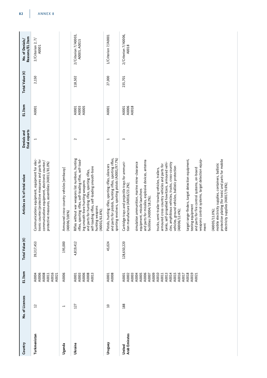| Country                        | No. of Licences          | EL Item                                                                                                                                                        | Total Value (€) | Articles as % of total value                                                                                                                                                                                                                                                                                                                                                                                                                                                                                                                                                                                                                                                                                                                                                                                                                                                                        | final exports<br>Denials and | EL Item                 | Total Value (€) | Reasons/EL Item<br>No. of Denials/   |
|--------------------------------|--------------------------|----------------------------------------------------------------------------------------------------------------------------------------------------------------|-----------------|-----------------------------------------------------------------------------------------------------------------------------------------------------------------------------------------------------------------------------------------------------------------------------------------------------------------------------------------------------------------------------------------------------------------------------------------------------------------------------------------------------------------------------------------------------------------------------------------------------------------------------------------------------------------------------------------------------------------------------------------------------------------------------------------------------------------------------------------------------------------------------------------------------|------------------------------|-------------------------|-----------------|--------------------------------------|
| Turkmenistan                   | $\overline{12}$          | A0016<br>A0006<br>A0008<br>A0004<br>A0011<br>A0021                                                                                                             | 39,317,453      | Communications equipment, equipment for elec-<br>tronic counter/protective measures and parts for<br>communications equipment, electronic counter/<br>protective measures, assemblies (A0011/81.0%)                                                                                                                                                                                                                                                                                                                                                                                                                                                                                                                                                                                                                                                                                                 | $\overline{ }$               | A0001                   | 2,150           | $2$ /Criterion 2, 7/<br>A0001        |
| Uganda                         | $\overline{\phantom{0}}$ | A0006                                                                                                                                                          | 195,000         | Armoured cross-country vehicles [embassy]<br>(A0006/100%)                                                                                                                                                                                                                                                                                                                                                                                                                                                                                                                                                                                                                                                                                                                                                                                                                                           |                              |                         |                 |                                      |
| Ukraine                        | 127                      | A0006<br>A0003<br>A0008<br>A0013<br>A0001                                                                                                                      | 4,819,412       | Rifles without war weapons list numbers, hunting<br>rifles, sporting rifles, self-loading rifles, self-load-<br>self-loading rifles, self-loading smooth-bore<br>and parts for hunting rifles, sporting rifles,<br>ing smooth-bore hunting weapons<br>hunting weapons<br>(A0001/61.8%);                                                                                                                                                                                                                                                                                                                                                                                                                                                                                                                                                                                                             | $\sim$                       | A0003<br>A0005<br>A0001 | 118,502         | 2/Criterion 7/A0003,<br>A0005, A0015 |
| Venstnu                        | $\Omega$                 | A0008<br>A0001                                                                                                                                                 | 45,024          | and parts for pistols, hunting rifles, sporting rifles,<br>sporting revolvers, sporting pistols (A0001/97.7%)<br>Pistols, hunting rifles, sporting rifles, silencers                                                                                                                                                                                                                                                                                                                                                                                                                                                                                                                                                                                                                                                                                                                                | $\overline{\phantom{0}}$     | A0001                   | 27,000          | 1/Criterion 7/A0001                  |
| <b>Arab Emirates</b><br>United | 188                      | A0010<br>A0003<br>A0005<br>A0006<br>A0009<br>A0013<br>A0014<br>A0015<br>A0016<br>A0018<br>A0019<br>A0002<br>A0004<br>A0007<br>A0001<br>A0011<br>A0017<br>A0021 | 128,650,220     | protection plating (for tests) and parts for mobile<br>target range-finders, target detection equipment,<br>weapons control systems, target detection equip-<br>and parts for missiles, explosive devices, antenna<br>Cartridge trays and projectile trays for ammuni-<br>simulation ammunition, marine mine-clearance<br>tanks, self-propelled howitzers, armoured vehi-<br>cles, amphibious vehicles, trucks, cross-country<br>mobile electricity supplies, containers, ballistic<br>armoured cross-country vehicles and parts for<br>vehicles, ground vehicles, ballistic protection<br>and parts for fire control systems, on-board<br>trucks, semi-trailer towing vehicles, trailers,<br>electricity supplies (A0017/9.6%);<br>tion manufacture (A0016/23.2%);<br>equipment, missile launchers<br>facilities (A0004/18.2%);<br>testing equipment<br>(A0006/12.4%);<br>$(A0005/11.0\%)$<br>ment | 3                            | A0018<br>A0006<br>A0001 | 235,701         | 2/Criterion 7/A0006,<br>A0018        |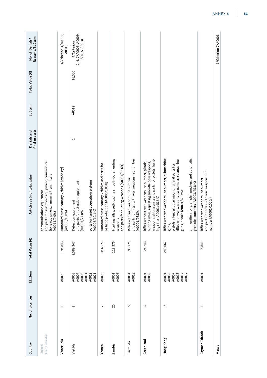| Country                 | No. of Licences | EL Item                                            | Total Value (€) | Articles as % of total value                                                                                                                                                                                                                                                        | final exports<br>Denials and | EL Item | Total Value (€) | Reasons/EL Item<br>No. of Denials/                   |
|-------------------------|-----------------|----------------------------------------------------|-----------------|-------------------------------------------------------------------------------------------------------------------------------------------------------------------------------------------------------------------------------------------------------------------------------------|------------------------------|---------|-----------------|------------------------------------------------------|
| Arab Emirates<br>United |                 |                                                    |                 | and parts for electronic equipment, communica-<br>tions equipment, jamming transmitters<br>communications equipment<br>(A0011/9.0%)                                                                                                                                                 |                              |         |                 |                                                      |
| Venezuela               | $\overline{ }$  | A0006                                              | 194,846         | Armoured cross-country vehicles [embassy]<br>(A0006/100%)                                                                                                                                                                                                                           |                              |         |                 | 3/Criterion 4/A0002,<br>A0015                        |
| Viet Nam                | $\infty$        | A0008<br>A0005<br>A0013<br>A0011<br>A0007<br>A0021 | 2,589,347       | parts for target acquisition systems<br>and parts for detection equipment<br>Detection equipment<br>(A0007/77.8%);<br>(A0005/10, 1%                                                                                                                                                 | H                            | A0018   | 36,000          | 2, 4, 7/A0005, A0009,<br>A0015, A0018<br>4/Criterion |
| Yemen                   | $\sim$          | A0006                                              | 446,077         | Armoured cross-country vehicles and parts for<br>ballistic protection (A0006/100%)                                                                                                                                                                                                  |                              |         |                 |                                                      |
| Zambia                  | 20              | A0003<br>A0001                                     | 118,376         | Hunting rifles, self-loading smooth-bore hunting<br>and parts for hunting weapons (A0001/82.6%)<br>weapons                                                                                                                                                                          |                              |         |                 |                                                      |
| Bermuda                 | $\circ$         | A0018<br>A0001                                     | 90,125          | and parts for rifles with war weapons list number<br>Rifles with war weapons list number<br>(A0001/98.5%)                                                                                                                                                                           |                              |         |                 |                                                      |
| Greenland               | $\circ$         | A0003<br>A0001                                     | 24,246          | weapon sighting units and parts for pistols, hunt-<br>Rifles without war weapons list number, pistols,<br>hunting rifles, repeating smooth-bore weapons,<br>ing rifles (A0001/95.6%)                                                                                                |                              |         |                 |                                                      |
| Hong Kong               | 15              | A0003<br>A0013<br>A0007<br>A0001<br>A0017<br>A0022 | 249,067         | Rifles with war weapons list number, submachine<br>ammunition for grenade launchers and automatic<br>rifles with war weapons list number, submachine<br>pistols, silencers, gun mountings and parts for<br>grenade launchers (A0003/25,8%)<br>guns, pistols (A0001/63.3%);<br>guns, |                              |         |                 |                                                      |
| Cayman Islands          | H               | A0001                                              | 8,841           | and parts for rifles with war weapons list<br>Rifles with war weapons list number<br>number (A0001/100%)                                                                                                                                                                            |                              |         |                 |                                                      |
| Масао                   |                 |                                                    |                 |                                                                                                                                                                                                                                                                                     |                              |         |                 | 1/Criterion 7/A0001                                  |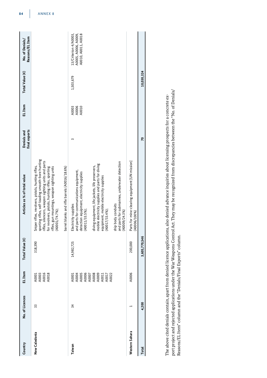| A0006<br>A0010<br>A0003<br>20<br>sporting rifles, self-loading smooth-bore hunting<br>Parts for mine-clearing equipment [UN mission]<br>ifles, silencers, weapon sighting units and parts<br>and parts for submarines, underwater detection<br>mobile electricity supplies and parts for diving<br>Sniper rifles, revolvers, pistols, hunting rifles,<br>diving equipment, life jackets, life preservers,<br>parrel blanks and rifle barrels (A0016/18.6%)<br>ifles, gun mountings, weapon sighting units<br>or revolvers, pistols, hunting rifles, sporting<br>and parts for communications equipment,<br>detection equipment, electricity supplies<br>equipment, mobile electricity supplies<br>ship body conduits<br>Electricity supplies<br>A0017/33.4%);<br>A0001/74.7%);<br>A0011/33.5%);<br>A0009/24.3%)<br>A0006/100%)<br>3,605,770,546<br>200,000<br>14,982,725<br>318,390<br>A0006<br>A0001<br>A0003<br>A0016<br>A0018<br>A0001<br>A0005<br>A0005<br>A0007<br>A00011<br>A0011<br>A0021<br>A0022<br>4,200<br>33<br>$\overline{34}$<br>Western Sahara<br>New Caledonia<br>Taiwan<br>Total | Country | No. of Licences | EL Item | Total Value (€) | Articles as % of total value | final exports<br>Denials and | EL Item | Total Value (€) | Reasons/EL Item<br>No. of Denials/                                   |
|---------------------------------------------------------------------------------------------------------------------------------------------------------------------------------------------------------------------------------------------------------------------------------------------------------------------------------------------------------------------------------------------------------------------------------------------------------------------------------------------------------------------------------------------------------------------------------------------------------------------------------------------------------------------------------------------------------------------------------------------------------------------------------------------------------------------------------------------------------------------------------------------------------------------------------------------------------------------------------------------------------------------------------------------------------------------------------------------------|---------|-----------------|---------|-----------------|------------------------------|------------------------------|---------|-----------------|----------------------------------------------------------------------|
|                                                                                                                                                                                                                                                                                                                                                                                                                                                                                                                                                                                                                                                                                                                                                                                                                                                                                                                                                                                                                                                                                                   |         |                 |         |                 |                              |                              |         |                 |                                                                      |
|                                                                                                                                                                                                                                                                                                                                                                                                                                                                                                                                                                                                                                                                                                                                                                                                                                                                                                                                                                                                                                                                                                   |         |                 |         |                 |                              |                              |         |                 |                                                                      |
|                                                                                                                                                                                                                                                                                                                                                                                                                                                                                                                                                                                                                                                                                                                                                                                                                                                                                                                                                                                                                                                                                                   |         |                 |         |                 |                              |                              |         | 1,503,679       | 13/Criterion 4/A0003,<br>A0005, A0006, A0009,<br>A0010, A0011, A0018 |
|                                                                                                                                                                                                                                                                                                                                                                                                                                                                                                                                                                                                                                                                                                                                                                                                                                                                                                                                                                                                                                                                                                   |         |                 |         |                 |                              |                              |         |                 |                                                                      |
|                                                                                                                                                                                                                                                                                                                                                                                                                                                                                                                                                                                                                                                                                                                                                                                                                                                                                                                                                                                                                                                                                                   |         |                 |         |                 |                              |                              |         | 10,030,324      |                                                                      |

port project and rejected applications under the War Weapons Control Act. They may be recognized from discrepancies between the "No. of Denials/<br>Reasons/EL Item" column and the "Denials/Final Exports" column. port project and rejected applications under the War Weapons Control Act. They may be recognized from discrepancies between the "No. of Denials/ The above cited denials contain, apart from denied licence applications, also denied advance inquiries about licensing prospects for a concrete ex-The above cited denials contain, apart from denied licence applications, also denied advance inquiries about licensing prospects for a concrete ex-Reasons/EL Item" column and the "Denials/Final Exports" column.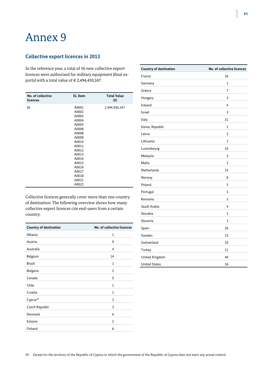# Annex 9

#### **Collective export licences in 2013**

In the reference year, a total of 56 new collective export licences were authorised for military equipment (final exports) with a total value of  $\in$  2,494,450,247.

| No. of collective<br>licences | <b>EL Item</b> | <b>Total Value</b><br>$(\epsilon)$ |
|-------------------------------|----------------|------------------------------------|
| 56                            | A0001          | 2.494.450.247                      |
|                               | A0002          |                                    |
|                               | A0003          |                                    |
|                               | A0004          |                                    |
|                               | A0005          |                                    |
|                               | A0006          |                                    |
|                               | A0008          |                                    |
|                               | A0009          |                                    |
|                               | A0010          |                                    |
|                               | A0011          |                                    |
|                               | A0012          |                                    |
|                               | A0013          |                                    |
|                               | A0014          |                                    |
|                               | A0015          |                                    |
|                               | A0016          |                                    |
|                               | A0017          |                                    |
|                               | A0018          |                                    |
|                               | A0021          |                                    |
|                               | A0022          |                                    |

Collective licences generally cover more than one country of destination. The following overview shows how many collective export licences cite end-users from a certain country.

| <b>Country of destination</b> | No. of collective licences |
|-------------------------------|----------------------------|
| Albania                       | 1                          |
| Austria                       | 9                          |
| Australia                     | 4                          |
| Belgium                       | 14                         |
| <b>Brazil</b>                 | 1                          |
| <b>Bulgaria</b>               | 2                          |
| Canada                        | 5                          |
| Chile                         | 1                          |
| Croatia                       | 1                          |
| Cyprus <sup>59</sup>          | $\overline{2}$             |
| Czech Republic                | 3                          |
| Denmark                       | 6                          |
| Estonia                       | $\overline{2}$             |
| Finland                       | 6                          |

| <b>Country of destination</b> | No. of collective licences |
|-------------------------------|----------------------------|
| France                        | 26                         |
| Germany                       | $\mathbf{1}$               |
| Greece                        | 7                          |
| Hungary                       | 3                          |
| Ireland                       | $\overline{\mathbf{4}}$    |
| Israel                        | 3                          |
| Italy                         | 31                         |
| Korea, Republic               | $\mathbf{1}$               |
| Latvia                        | 2                          |
| Lithuania                     | $\overline{2}$             |
| Luxembourg                    | 10                         |
| Malaysia                      | 5                          |
| Malta                         | $\overline{2}$             |
| <b>Netherlands</b>            | 15                         |
| Norway                        | 6                          |
| Poland                        | 3                          |
| Portugal                      | 5                          |
| Romania                       | 3                          |
| Saudi Arabia                  | 4                          |
| Slovakia                      | $\overline{2}$             |
| Slovenia                      | 3                          |
| Spain                         | 26                         |
| Sweden                        | 15                         |
| Switzerland                   | 10                         |
| Turkey                        | 11                         |
| United Kingdom                | 40                         |
| <b>United States</b>          | 16                         |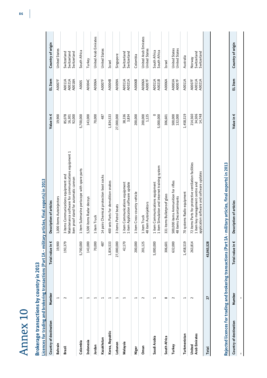| - 1<br>a a shekara |  |
|--------------------|--|
| X<br>ij<br>б<br>I  |  |
| $\Box$             |  |
| C                  |  |

# Brokerage transactions by country in 2013 **Brokerage transactions by country in 2013**

Licences for trading and brokering transactions (Part IA - military articles, final exports) in 2013 **Licences for trading and brokering transactions (Part IA - military articles, final exports) in 2013**

| Country of destination  | Number                                                                     | Total value in $\epsilon$ | Description of articles                                                                                                               | Value in €                  | EL Item                    | Country of origin                         |
|-------------------------|----------------------------------------------------------------------------|---------------------------|---------------------------------------------------------------------------------------------------------------------------------------|-----------------------------|----------------------------|-------------------------------------------|
| Bahrain                 | $\overline{ }$                                                             | 19,900                    | 000 items Autoinjectors<br>Ţ,                                                                                                         | 19,900                      | A0007F                     | <b>United States</b>                      |
| Brazil                  | $\sim$                                                                     | 193,379                   | Maintenance software for communications equipment 1<br>item proof stand for automatic cannon<br>3 items Communications equipment and  | 92,000<br>85,078<br>16,301  | A0021A<br>A0018A<br>A0011A | Switzerland<br>Switzerland<br>Switzerland |
| Colombia                | $\mathbf{\mathbf{\mathbf{\mathbf{\mathbf{\mathbf{\mathbf{\mathbf{H}}}}}}}$ | 5,700,000                 | item Submarine periscope with spare parts<br>$\mathbf{\mathbf{\mathbf{\mathsf{H}}}}$                                                  | 5,700,000                   | A0005                      | South Africa                              |
| Indonesia               | H                                                                          | 143,000                   | 500 items Radar decoys<br>Ln                                                                                                          | 143,000                     | A0004C                     | Turkey                                    |
| Jordan                  | ⊣                                                                          | 70,000                    | item Truck<br>$\overline{ }$                                                                                                          | 70,000                      | A0006A                     | United Arab Emirates                      |
| Kazakhstan              | $\overline{\phantom{0}}$                                                   | 487                       | 14 pairs Chemical protection boot socks                                                                                               | 487                         | A0007F                     | <b>United States</b>                      |
| Korea, Republic         | $\mathord{\text{--}}$                                                      | 1,834,533                 | 400 sets Parts for demolition snakes                                                                                                  | 1,834,533                   | A0004B                     | Israel                                    |
| Lebanon                 | $\mathbf \tau$                                                             | 27,000,000                | items Patrol boats<br>3                                                                                                               | 27,000,000                  | <b>A0009A</b>              | Singapore                                 |
| Malaysia                |                                                                            | 42,170                    | item Communications equipment<br>item Application software update<br>$\mathrel{\blacksquare}$                                         | 38,336<br>3,834             | A0011A<br>A0021A           | Switzerland<br>Switzerland                |
| Niger                   | $\mathrel{\dashv}$                                                         | 200,000                   | item Cross-country vehicle<br>$\overline{\phantom{0}}$                                                                                | 200,000                     | A0006B                     | Colombia                                  |
| Oman                    | $\sim$                                                                     | 201,125                   | 8 item Autoinjektors<br>item Truck<br>$\overline{\phantom{0}}$<br>4                                                                   | 1,125<br>200,000            | A0006A<br>A0007F           | United Arab Emirates<br>United States     |
| Saudi Arabia            | $\mathord{\text{--}}$                                                      | 5,000,000                 | item Simulation and internet training system<br>item Communications equipment                                                         | 0<br>5,000,000              | A0011A<br>A0021B           | South Africa<br>South Africa              |
| South Africa            | $\infty$                                                                   | 306,601                   | 331 items Bulletproof glass                                                                                                           | 306,601                     | A0006A                     | Israel                                    |
| Turkey                  | $\sim$                                                                     | 632,000                   | 500,000 items Ammunition for rifles<br>48 items Decontaminants                                                                        | 132,000<br>500,000          | A0007F<br>A0003A           | United States<br><b>United States</b>     |
| Turkmenistan            | $\overline{\phantom{0}}$                                                   | 1,458,519                 | 70 systems Radio equipment                                                                                                            | 1,458,519                   | A0011A                     | Australia                                 |
| Arab Emirates<br>United | $\sim$                                                                     | 263,814                   | 72 items Parts for protective ventilation facilities<br>application software and software updates<br>1 item key management centre and | 34,506<br>214,560<br>14,748 | A0007F<br>A0011A<br>A0021A | Switzerland<br>Switzerland<br>Norway      |
| Total                   | 27                                                                         | 43,065,528                |                                                                                                                                       |                             |                            |                                           |
|                         |                                                                            |                           |                                                                                                                                       |                             |                            |                                           |

Rejected licences for trading and brokering transactions (Part IA - military articles, final exports) in 2013 **Rejected licences for trading and brokering transactions (Part IA - military articles, final exports) in 2013**

**–**

Country of origin **Country of destination Number Total value in € Description of articles Value in € EL Item Country of origin** EL Item Value in  $\epsilon$ Description of articles Total value in  $\epsilon$ **Number**  $\overline{1}$ Country of destination **–**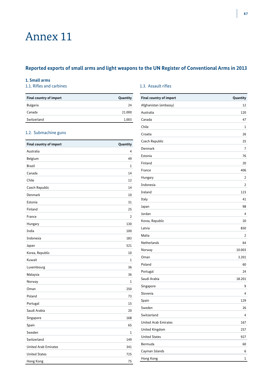# Annex 11

## **Reported exports of small arms and light weapons to the UN Register of Conventional Arms in 2013**

#### **1. Small arms**

#### 1.1. Rifles and carbines 1.3. Assault rifles

| Final country of import | Quantity |
|-------------------------|----------|
| Bulgaria                | 24       |
| Canada                  | 21.000   |
| Switzerland             | 1.003    |

#### 1.2. Submachine guns

| Final country of import     | Quantity       |
|-----------------------------|----------------|
| Australia                   | 4              |
| Belgium                     | 49             |
| <b>Brazil</b>               | $\mathbf{1}$   |
| Canada                      | 14             |
| Chile                       | 12             |
| Czech Republic              | 14             |
| Denmark                     | 10             |
| Estonia                     | 31             |
| Finland                     | 25             |
| France                      | $\overline{a}$ |
| Hungary                     | 130            |
| India                       | 100            |
| Indonesia                   | 183            |
| Japan                       | 521            |
| Korea, Republic             | 10             |
| Kuwait                      | $\mathbf{1}$   |
| Luxembourg                  | 36             |
| Malaysia                    | 36             |
| Norway                      | $\mathbf{1}$   |
| Oman                        | 250            |
| Poland                      | 73             |
| Portugal                    | 15             |
| Saudi Arabia                | 20             |
| Singapore                   | 168            |
| Spain                       | 65             |
| Sweden                      | 1              |
| Switzerland                 | 149            |
| <b>United Arab Emirates</b> | 341            |
| <b>United States</b>        | 725            |
| Hong Kong                   | 75             |

| Final country of import     | Quantity |
|-----------------------------|----------|
| Afghanistan (embassy)       | 12       |
| Australia                   | 120      |
| Canada                      | 47       |
| Chile                       | 1        |
| Croatia                     | 26       |
| Czech Republic              | 25       |
| Denmark                     | 7        |
| Estonia                     | 76       |
| Finland                     | 20       |
| France                      | 406      |
| Hungary                     | 2        |
| Indonesia                   | 2        |
| Ireland                     | 123      |
| Italy                       | 41       |
| Japan                       | 98       |
| Jordan                      | 4        |
| Korea, Republic             | 20       |
| Latvia                      | 850      |
| Malta                       | 2        |
| Netherlands                 | 64       |
| Norway                      | 10.003   |
| Oman                        | 3.201    |
| Poland                      | 60       |
| Portugal                    | 24       |
| Saudi Arabia                | 18.201   |
| Singapore                   | 9        |
| Slovenia                    | 4        |
| Spain                       | 129      |
| Sweden                      | 26       |
| Switzerland                 | 4        |
| <b>United Arab Emirates</b> | 167      |
| United Kingdom              | 257      |
| <b>United States</b>        | 927      |
| Bermuda                     | 60       |
| Cayman Islands              | 6        |
| Hong Kong                   | 1        |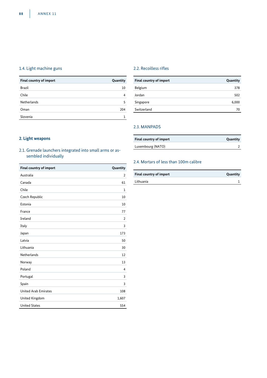#### 1.4. Light machine guns 2.2. Recoilless rifles

| <b>Final country of import</b> | Quantity |
|--------------------------------|----------|
| <b>Brazil</b>                  | 10       |
| Chile                          | 4        |
| <b>Netherlands</b>             |          |
| Oman                           | 204      |
| Slovenia                       |          |

| Final country of import | Quantity |
|-------------------------|----------|
| Belgium                 | 378      |
| Jordan                  | 502      |
| Singapore               | 6,000    |
| Switzerland             | 70       |

### 2.3. MANPADS

| Final country of import | Quantity |
|-------------------------|----------|
| Luxembourg (NATO)       |          |

#### **2. Light weapons**

#### 2.1. Grenade launchers integrated into small arms or assembled individually

| <b>Final country of import</b> | Quantity       |
|--------------------------------|----------------|
| Australia                      | 2              |
| Canada                         | 61             |
| Chile                          | 1              |
| Czech Republic                 | 10             |
| Estonia                        | 10             |
| France                         | 77             |
| Ireland                        | $\overline{2}$ |
| Italy                          | 3              |
| Japan                          | 173            |
| Latvia                         | 50             |
| Lithuania                      | 30             |
| Netherlands                    | 12             |
| Norway                         | 13             |
| Poland                         | $\overline{4}$ |
| Portugal                       | 3              |
| Spain                          | 3              |
| <b>United Arab Emirates</b>    | 108            |
| United Kingdom                 | 1,607          |
| <b>United States</b>           | 554            |

#### 2.4. Mortars of less than 100m calibre

| Final country of import | Quantity |
|-------------------------|----------|
| Lithuania               |          |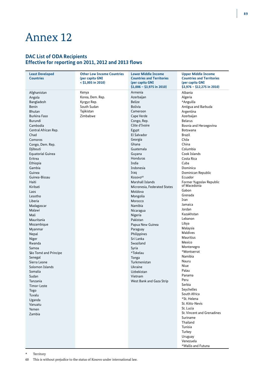# Annex 12

### **DAC List of ODA Recipients Effective for reporting on 2011, 2012 and 2013 flows**

| <b>Least Developed</b>   | <b>Other Low Income Countries</b> | <b>Lower Middle Income</b>       | <b>Upper Middle Income</b>               |
|--------------------------|-----------------------------------|----------------------------------|------------------------------------------|
| <b>Countries</b>         | (per capita GNI                   | <b>Countries and Territories</b> | <b>Countries and Territories</b>         |
|                          | $<$ \$1,005 in 2010)              | (per capita GNI                  | (per capita GNI                          |
|                          |                                   | $$1,006 - $3,975$ in 2010)       | $$3,976 - $12,275$ in 2010)              |
|                          |                                   |                                  |                                          |
| Afghanistan              | Kenya                             | Armenia                          | Albania                                  |
| Angola                   | Korea, Dem. Rep.                  | Azerbaijan                       | Algeria                                  |
| Bangladesh               | Kyrgyz Rep.                       | <b>Belize</b>                    | *Anguilla                                |
| <b>Benin</b>             | South Sudan                       | <b>Bolivia</b>                   | Antigua and Barbuda                      |
| <b>Bhutan</b>            | Tajikistan                        | Cameroon                         | Argentina                                |
| <b>Burkina Faso</b>      | Zimbabwe                          | Cape Verde                       | Azerbaijan                               |
|                          |                                   |                                  |                                          |
| Burundi                  |                                   | Congo, Rep.                      | <b>Belarus</b>                           |
| Cambodia                 |                                   | Côte d'Ivoire                    | Bosnia and Herzegovina                   |
| Central African Rep.     |                                   | Egypt                            | Botswana                                 |
| Chad                     |                                   | El Salvador                      | <b>Brazil</b>                            |
| Comoros                  |                                   | Georgia                          | Chile                                    |
| Congo, Dem. Rep.         |                                   | Ghana                            | China                                    |
|                          |                                   | Guatemala                        | Columbia                                 |
| Djibouti                 |                                   |                                  |                                          |
| <b>Equatorial Guinea</b> |                                   | Guyana                           | Cook Islands                             |
| Eritrea                  |                                   | Honduras                         | Costa Rica                               |
| Ethiopia                 |                                   | India                            | Cuba                                     |
| Gambia                   |                                   | Indonesia                        | Dominica                                 |
| Guinea                   |                                   | Iraq                             | Dominican Republic                       |
| Guinea-Bissau            |                                   | Kosovo <sup>60</sup>             | Ecuador                                  |
|                          |                                   |                                  |                                          |
| Haiti                    |                                   | Marshall Islands                 | Former Yugoslav Republic<br>of Macedonia |
| Kiribati                 |                                   | Micronesia, Federated States     | Gabon                                    |
| Laos                     |                                   | Moldova                          |                                          |
| Lesotho                  |                                   | Mongolia                         | Grenada                                  |
| Liberia                  |                                   | Morocco                          | Iran                                     |
| Madagascar               |                                   | Namibia                          | Jamaica                                  |
| Malawi                   |                                   | Nicaragua                        | Jordan                                   |
| Mali                     |                                   | Nigeria                          | Kazakhstan                               |
| Mauritania               |                                   | Pakistan                         | Lebanon                                  |
|                          |                                   |                                  | Libya                                    |
| Mozambique               |                                   | Papua New Guinea                 | Malaysia                                 |
| Myanmar                  |                                   | Paraguay                         | <b>Maldives</b>                          |
| Nepal                    |                                   | Philippines                      |                                          |
| Niger                    |                                   | Sri Lanka                        | <b>Mauritius</b>                         |
| Rwanda                   |                                   | Swaziland                        | Mexico                                   |
| Samoa                    |                                   | Syria                            | Montenegro                               |
| São Tomé and Principe    |                                   | *Tokelau                         | *Montserrat                              |
| Senegal                  |                                   | Tonga                            | Namibia                                  |
| Sierra Leone             |                                   | Turkmenistan                     | Nauru                                    |
|                          |                                   | Ukraine                          | Niue                                     |
| Solomon Islands          |                                   |                                  | Palau                                    |
| Somalia                  |                                   | Uzbekistan                       | Panama                                   |
| Sudan                    |                                   | Vietnam                          |                                          |
| Tanzania                 |                                   | West Bank and Gaza Strip         | Peru                                     |
| Timor-Leste              |                                   |                                  | Serbia                                   |
| Togo                     |                                   |                                  | Seychelles                               |
| Tuvalu                   |                                   |                                  | South Africa                             |
| Uganda                   |                                   |                                  | *St. Helena                              |
| Vanuatu                  |                                   |                                  | St. Kitts-Nevis                          |
|                          |                                   |                                  | St. Lucia                                |
| Yemen                    |                                   |                                  | St. Vincent and Grenadines               |
| Zambia                   |                                   |                                  |                                          |
|                          |                                   |                                  | Suriname                                 |
|                          |                                   |                                  | Thailand                                 |
|                          |                                   |                                  | Tunisia                                  |
|                          |                                   |                                  | Turkey                                   |
|                          |                                   |                                  | Uruguay                                  |
|                          |                                   |                                  | Venezuela                                |
|                          |                                   |                                  | *Wallis and Futuna                       |